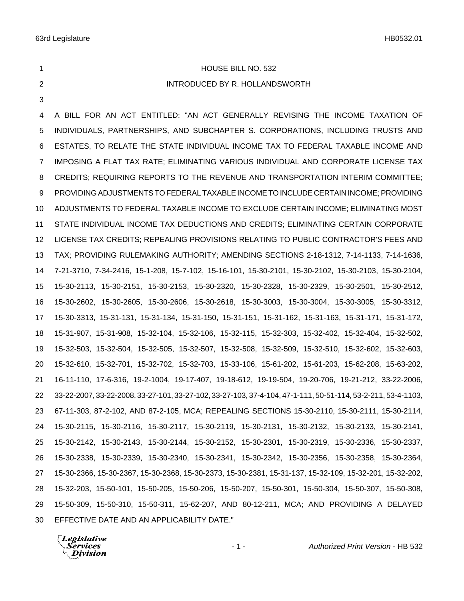**HOUSE BILL NO. 532** 

INTRODUCED BY R. HOLLANDSWORTH

# 

 A BILL FOR AN ACT ENTITLED: "AN ACT GENERALLY REVISING THE INCOME TAXATION OF INDIVIDUALS, PARTNERSHIPS, AND SUBCHAPTER S. CORPORATIONS, INCLUDING TRUSTS AND ESTATES, TO RELATE THE STATE INDIVIDUAL INCOME TAX TO FEDERAL TAXABLE INCOME AND IMPOSING A FLAT TAX RATE; ELIMINATING VARIOUS INDIVIDUAL AND CORPORATE LICENSE TAX CREDITS; REQUIRING REPORTS TO THE REVENUE AND TRANSPORTATION INTERIM COMMITTEE; PROVIDING ADJUSTMENTS TO FEDERAL TAXABLE INCOME TO INCLUDE CERTAIN INCOME; PROVIDING ADJUSTMENTS TO FEDERAL TAXABLE INCOME TO EXCLUDE CERTAIN INCOME; ELIMINATING MOST STATE INDIVIDUAL INCOME TAX DEDUCTIONS AND CREDITS; ELIMINATING CERTAIN CORPORATE LICENSE TAX CREDITS; REPEALING PROVISIONS RELATING TO PUBLIC CONTRACTOR'S FEES AND TAX; PROVIDING RULEMAKING AUTHORITY; AMENDING SECTIONS 2-18-1312, 7-14-1133, 7-14-1636, 7-21-3710, 7-34-2416, 15-1-208, 15-7-102, 15-16-101, 15-30-2101, 15-30-2102, 15-30-2103, 15-30-2104, 15-30-2113, 15-30-2151, 15-30-2153, 15-30-2320, 15-30-2328, 15-30-2329, 15-30-2501, 15-30-2512, 15-30-2602, 15-30-2605, 15-30-2606, 15-30-2618, 15-30-3003, 15-30-3004, 15-30-3005, 15-30-3312, 15-30-3313, 15-31-131, 15-31-134, 15-31-150, 15-31-151, 15-31-162, 15-31-163, 15-31-171, 15-31-172, 15-31-907, 15-31-908, 15-32-104, 15-32-106, 15-32-115, 15-32-303, 15-32-402, 15-32-404, 15-32-502, 15-32-503, 15-32-504, 15-32-505, 15-32-507, 15-32-508, 15-32-509, 15-32-510, 15-32-602, 15-32-603, 15-32-610, 15-32-701, 15-32-702, 15-32-703, 15-33-106, 15-61-202, 15-61-203, 15-62-208, 15-63-202, 16-11-110, 17-6-316, 19-2-1004, 19-17-407, 19-18-612, 19-19-504, 19-20-706, 19-21-212, 33-22-2006, 33-22-2007, 33-22-2008, 33-27-101, 33-27-102, 33-27-103, 37-4-104, 47-1-111, 50-51-114, 53-2-211, 53-4-1103, 67-11-303, 87-2-102, AND 87-2-105, MCA; REPEALING SECTIONS 15-30-2110, 15-30-2111, 15-30-2114, 15-30-2115, 15-30-2116, 15-30-2117, 15-30-2119, 15-30-2131, 15-30-2132, 15-30-2133, 15-30-2141, 15-30-2142, 15-30-2143, 15-30-2144, 15-30-2152, 15-30-2301, 15-30-2319, 15-30-2336, 15-30-2337, 15-30-2338, 15-30-2339, 15-30-2340, 15-30-2341, 15-30-2342, 15-30-2356, 15-30-2358, 15-30-2364, 15-30-2366, 15-30-2367, 15-30-2368, 15-30-2373, 15-30-2381, 15-31-137, 15-32-109, 15-32-201, 15-32-202, 15-32-203, 15-50-101, 15-50-205, 15-50-206, 15-50-207, 15-50-301, 15-50-304, 15-50-307, 15-50-308, 15-50-309, 15-50-310, 15-50-311, 15-62-207, AND 80-12-211, MCA; AND PROVIDING A DELAYED EFFECTIVE DATE AND AN APPLICABILITY DATE."

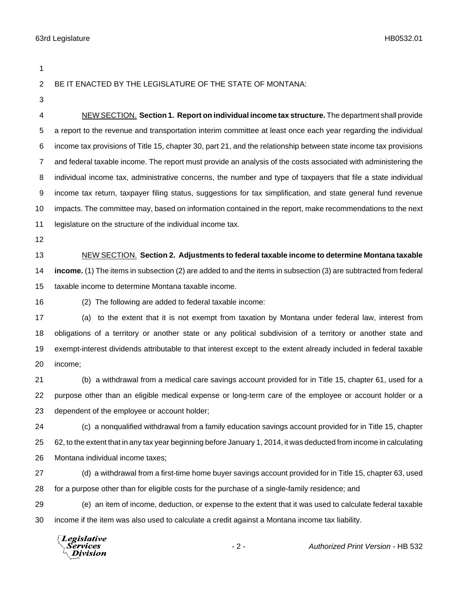**Division** 

 BE IT ENACTED BY THE LEGISLATURE OF THE STATE OF MONTANA: NEW SECTION. **Section 1. Report on individual income tax structure.** The department shall provide a report to the revenue and transportation interim committee at least once each year regarding the individual income tax provisions of Title 15, chapter 30, part 21, and the relationship between state income tax provisions and federal taxable income. The report must provide an analysis of the costs associated with administering the individual income tax, administrative concerns, the number and type of taxpayers that file a state individual income tax return, taxpayer filing status, suggestions for tax simplification, and state general fund revenue impacts. The committee may, based on information contained in the report, make recommendations to the next 11 legislature on the structure of the individual income tax. NEW SECTION. **Section 2. Adjustments to federal taxable income to determine Montana taxable income.** (1) The items in subsection (2) are added to and the items in subsection (3) are subtracted from federal taxable income to determine Montana taxable income. (2) The following are added to federal taxable income: (a) to the extent that it is not exempt from taxation by Montana under federal law, interest from obligations of a territory or another state or any political subdivision of a territory or another state and exempt-interest dividends attributable to that interest except to the extent already included in federal taxable income; (b) a withdrawal from a medical care savings account provided for in Title 15, chapter 61, used for a purpose other than an eligible medical expense or long-term care of the employee or account holder or a dependent of the employee or account holder; (c) a nonqualified withdrawal from a family education savings account provided for in Title 15, chapter 62, to the extent that in any tax year beginning before January 1, 2014, it was deducted from income in calculating Montana individual income taxes; (d) a withdrawal from a first-time home buyer savings account provided for in Title 15, chapter 63, used for a purpose other than for eligible costs for the purchase of a single-family residence; and (e) an item of income, deduction, or expense to the extent that it was used to calculate federal taxable income if the item was also used to calculate a credit against a Montana income tax liability. **Legislative** Services - 2 - *Authorized Print Version* - HB 532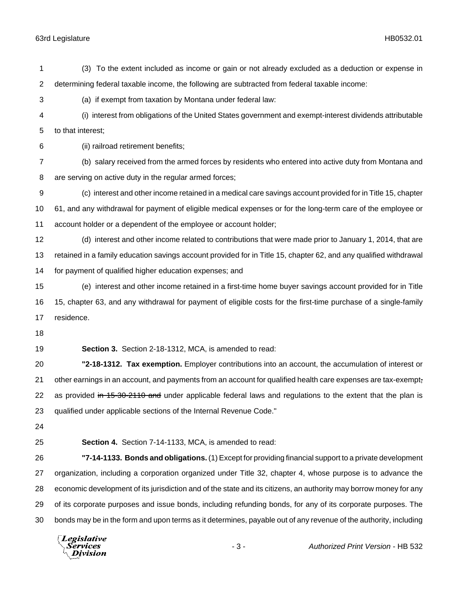(3) To the extent included as income or gain or not already excluded as a deduction or expense in determining federal taxable income, the following are subtracted from federal taxable income: (a) if exempt from taxation by Montana under federal law: (i) interest from obligations of the United States government and exempt-interest dividends attributable to that interest; (ii) railroad retirement benefits; (b) salary received from the armed forces by residents who entered into active duty from Montana and are serving on active duty in the regular armed forces; (c) interest and other income retained in a medical care savings account provided for in Title 15, chapter 61, and any withdrawal for payment of eligible medical expenses or for the long-term care of the employee or account holder or a dependent of the employee or account holder; (d) interest and other income related to contributions that were made prior to January 1, 2014, that are retained in a family education savings account provided for in Title 15, chapter 62, and any qualified withdrawal for payment of qualified higher education expenses; and (e) interest and other income retained in a first-time home buyer savings account provided for in Title 15, chapter 63, and any withdrawal for payment of eligible costs for the first-time purchase of a single-family residence. **Section 3.** Section 2-18-1312, MCA, is amended to read: **"2-18-1312. Tax exemption.** Employer contributions into an account, the accumulation of interest or 21 other earnings in an account, and payments from an account for qualified health care expenses are tax-exempt-22 as provided in 15-30-2110 and under applicable federal laws and regulations to the extent that the plan is qualified under applicable sections of the Internal Revenue Code." **Section 4.** Section 7-14-1133, MCA, is amended to read: **"7-14-1133. Bonds and obligations.** (1) Except for providing financial support to a private development organization, including a corporation organized under Title 32, chapter 4, whose purpose is to advance the economic development of its jurisdiction and of the state and its citizens, an authority may borrow money for any of its corporate purposes and issue bonds, including refunding bonds, for any of its corporate purposes. The bonds may be in the form and upon terms as it determines, payable out of any revenue of the authority, including

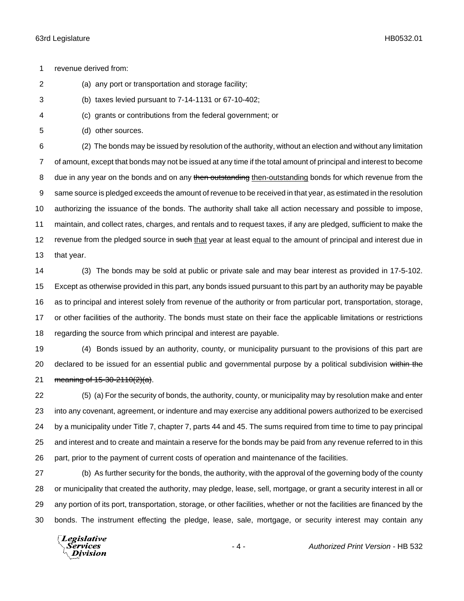revenue derived from:

(a) any port or transportation and storage facility;

- (b) taxes levied pursuant to 7-14-1131 or 67-10-402;
- (c) grants or contributions from the federal government; or
- (d) other sources.

 (2) The bonds may be issued by resolution of the authority, without an election and without any limitation of amount, except that bonds may not be issued at any time if the total amount of principal and interest to become 8 due in any year on the bonds and on any then outstanding then-outstanding bonds for which revenue from the same source is pledged exceeds the amount of revenue to be received in that year, as estimated in the resolution authorizing the issuance of the bonds. The authority shall take all action necessary and possible to impose, maintain, and collect rates, charges, and rentals and to request taxes, if any are pledged, sufficient to make the 12 revenue from the pledged source in such that year at least equal to the amount of principal and interest due in that year.

 (3) The bonds may be sold at public or private sale and may bear interest as provided in 17-5-102. Except as otherwise provided in this part, any bonds issued pursuant to this part by an authority may be payable as to principal and interest solely from revenue of the authority or from particular port, transportation, storage, or other facilities of the authority. The bonds must state on their face the applicable limitations or restrictions regarding the source from which principal and interest are payable.

 (4) Bonds issued by an authority, county, or municipality pursuant to the provisions of this part are 20 declared to be issued for an essential public and governmental purpose by a political subdivision within the 21 meaning of 15-30-2110(2)(a).

 (5) (a) For the security of bonds, the authority, county, or municipality may by resolution make and enter into any covenant, agreement, or indenture and may exercise any additional powers authorized to be exercised by a municipality under Title 7, chapter 7, parts 44 and 45. The sums required from time to time to pay principal and interest and to create and maintain a reserve for the bonds may be paid from any revenue referred to in this part, prior to the payment of current costs of operation and maintenance of the facilities.

 (b) As further security for the bonds, the authority, with the approval of the governing body of the county or municipality that created the authority, may pledge, lease, sell, mortgage, or grant a security interest in all or any portion of its port, transportation, storage, or other facilities, whether or not the facilities are financed by the bonds. The instrument effecting the pledge, lease, sale, mortgage, or security interest may contain any

Legislative Services **Division**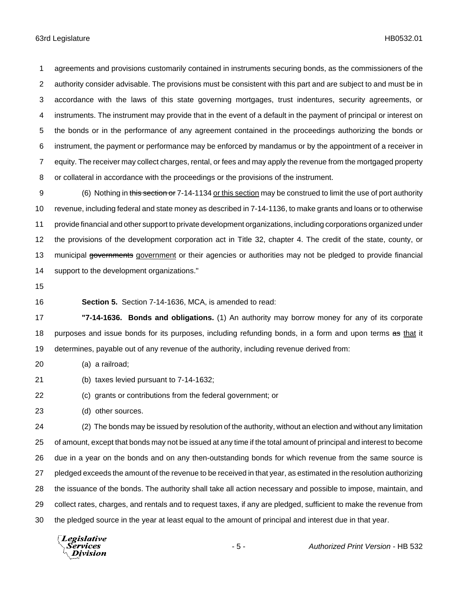agreements and provisions customarily contained in instruments securing bonds, as the commissioners of the authority consider advisable. The provisions must be consistent with this part and are subject to and must be in accordance with the laws of this state governing mortgages, trust indentures, security agreements, or instruments. The instrument may provide that in the event of a default in the payment of principal or interest on the bonds or in the performance of any agreement contained in the proceedings authorizing the bonds or instrument, the payment or performance may be enforced by mandamus or by the appointment of a receiver in equity. The receiver may collect charges, rental, or fees and may apply the revenue from the mortgaged property or collateral in accordance with the proceedings or the provisions of the instrument.

9 (6) Nothing in this section or 7-14-1134 or this section may be construed to limit the use of port authority revenue, including federal and state money as described in 7-14-1136, to make grants and loans or to otherwise provide financial and other support to private development organizations, including corporations organized under the provisions of the development corporation act in Title 32, chapter 4. The credit of the state, county, or 13 municipal governments government or their agencies or authorities may not be pledged to provide financial support to the development organizations."

**Section 5.** Section 7-14-1636, MCA, is amended to read:

 **"7-14-1636. Bonds and obligations.** (1) An authority may borrow money for any of its corporate 18 purposes and issue bonds for its purposes, including refunding bonds, in a form and upon terms as that it determines, payable out of any revenue of the authority, including revenue derived from:

(a) a railroad;

(b) taxes levied pursuant to 7-14-1632;

(c) grants or contributions from the federal government; or

(d) other sources.

 (2) The bonds may be issued by resolution of the authority, without an election and without any limitation of amount, except that bonds may not be issued at any time if the total amount of principal and interest to become due in a year on the bonds and on any then-outstanding bonds for which revenue from the same source is pledged exceeds the amount of the revenue to be received in that year, as estimated in the resolution authorizing the issuance of the bonds. The authority shall take all action necessary and possible to impose, maintain, and collect rates, charges, and rentals and to request taxes, if any are pledged, sufficient to make the revenue from the pledged source in the year at least equal to the amount of principal and interest due in that year.

Legislative Services **Division**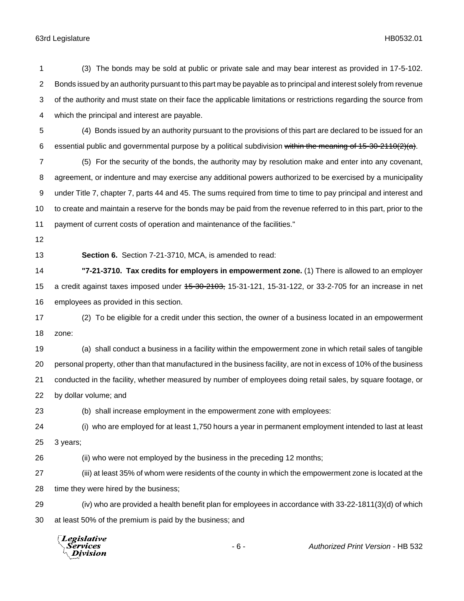| $\overline{2}$ | Bonds issued by an authority pursuant to this part may be payable as to principal and interest solely from revenue |  |
|----------------|--------------------------------------------------------------------------------------------------------------------|--|
| 3              | of the authority and must state on their face the applicable limitations or restrictions regarding the source from |  |
| 4              | which the principal and interest are payable.                                                                      |  |
| 5              | (4) Bonds issued by an authority pursuant to the provisions of this part are declared to be issued for an          |  |
| 6              | essential public and governmental purpose by a political subdivision within the meaning of 15-30-2110(2)(a).       |  |
| 7              | (5) For the security of the bonds, the authority may by resolution make and enter into any covenant,               |  |
| 8              | agreement, or indenture and may exercise any additional powers authorized to be exercised by a municipality        |  |
| 9              | under Title 7, chapter 7, parts 44 and 45. The sums required from time to time to pay principal and interest and   |  |
| 10             | to create and maintain a reserve for the bonds may be paid from the revenue referred to in this part, prior to the |  |
| 11             | payment of current costs of operation and maintenance of the facilities."                                          |  |
| 12             |                                                                                                                    |  |
| 13             | Section 6. Section 7-21-3710, MCA, is amended to read:                                                             |  |
| 14             | "7-21-3710. Tax credits for employers in empowerment zone. (1) There is allowed to an employer                     |  |
| 15             | a credit against taxes imposed under 45-30-2103, 15-31-121, 15-31-122, or 33-2-705 for an increase in net          |  |
| 16             | employees as provided in this section.                                                                             |  |
| 17             | (2) To be eligible for a credit under this section, the owner of a business located in an empowerment              |  |
| 18             | zone:                                                                                                              |  |
| 19             | (a) shall conduct a business in a facility within the empowerment zone in which retail sales of tangible           |  |
| 20             | personal property, other than that manufactured in the business facility, are not in excess of 10% of the business |  |
| 21             | conducted in the facility, whether measured by number of employees doing retail sales, by square footage, or       |  |
| 22             | by dollar volume; and                                                                                              |  |
| 23             | (b) shall increase employment in the empowerment zone with employees:                                              |  |
| 24             | (i) who are employed for at least 1,750 hours a year in permanent employment intended to last at least             |  |
| 25             | 3 years;                                                                                                           |  |
| 26             | (ii) who were not employed by the business in the preceding 12 months;                                             |  |
| 27             | (iii) at least 35% of whom were residents of the county in which the empowerment zone is located at the            |  |
| 28             | time they were hired by the business;                                                                              |  |
| 29             | (iv) who are provided a health benefit plan for employees in accordance with 33-22-1811(3)(d) of which             |  |
| 30             | at least 50% of the premium is paid by the business; and                                                           |  |
|                | Legislative<br>$-6-$<br>Authorized Print Version - HB 532                                                          |  |

(3) The bonds may be sold at public or private sale and may bear interest as provided in 17-5-102.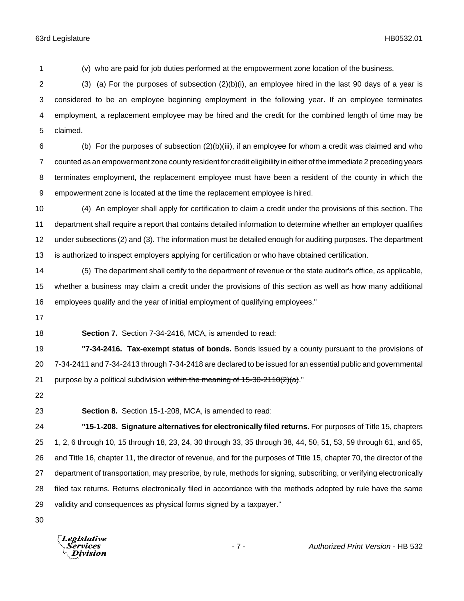(v) who are paid for job duties performed at the empowerment zone location of the business. (3) (a) For the purposes of subsection (2)(b)(i), an employee hired in the last 90 days of a year is considered to be an employee beginning employment in the following year. If an employee terminates employment, a replacement employee may be hired and the credit for the combined length of time may be claimed.

 (b) For the purposes of subsection (2)(b)(iii), if an employee for whom a credit was claimed and who counted as an empowerment zone county resident for credit eligibility in either of the immediate 2 preceding years terminates employment, the replacement employee must have been a resident of the county in which the empowerment zone is located at the time the replacement employee is hired.

 (4) An employer shall apply for certification to claim a credit under the provisions of this section. The department shall require a report that contains detailed information to determine whether an employer qualifies under subsections (2) and (3). The information must be detailed enough for auditing purposes. The department is authorized to inspect employers applying for certification or who have obtained certification.

 (5) The department shall certify to the department of revenue or the state auditor's office, as applicable, whether a business may claim a credit under the provisions of this section as well as how many additional employees qualify and the year of initial employment of qualifying employees."

**Section 7.** Section 7-34-2416, MCA, is amended to read:

 **"7-34-2416. Tax-exempt status of bonds.** Bonds issued by a county pursuant to the provisions of 7-34-2411 and 7-34-2413 through 7-34-2418 are declared to be issued for an essential public and governmental 21 purpose by a political subdivision within the meaning of  $15-30-2110(2)(a)$ ."

**Section 8.** Section 15-1-208, MCA, is amended to read:

 **"15-1-208. Signature alternatives for electronically filed returns.** For purposes of Title 15, chapters 25 1, 2, 6 through 10, 15 through 18, 23, 24, 30 through 33, 35 through 38, 44, 50, 51, 53, 59 through 61, and 65, and Title 16, chapter 11, the director of revenue, and for the purposes of Title 15, chapter 70, the director of the department of transportation, may prescribe, by rule, methods for signing, subscribing, or verifying electronically filed tax returns. Returns electronically filed in accordance with the methods adopted by rule have the same validity and consequences as physical forms signed by a taxpayer."

**Legislative** Division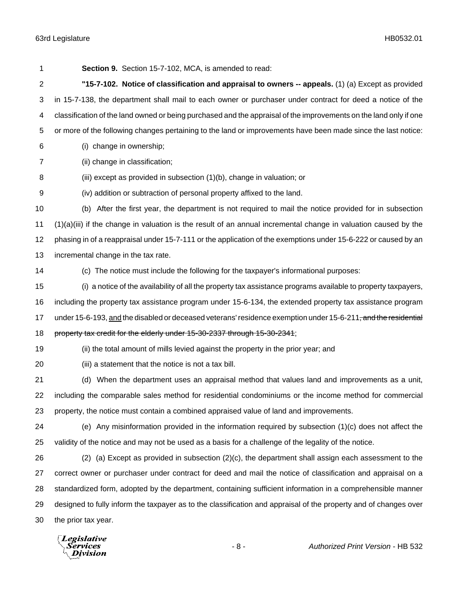**Section 9.** Section 15-7-102, MCA, is amended to read: **"15-7-102. Notice of classification and appraisal to owners -- appeals.** (1) (a) Except as provided in 15-7-138, the department shall mail to each owner or purchaser under contract for deed a notice of the classification of the land owned or being purchased and the appraisal of the improvements on the land only if one or more of the following changes pertaining to the land or improvements have been made since the last notice: (i) change in ownership; (ii) change in classification; (iii) except as provided in subsection (1)(b), change in valuation; or (iv) addition or subtraction of personal property affixed to the land. (b) After the first year, the department is not required to mail the notice provided for in subsection (1)(a)(iii) if the change in valuation is the result of an annual incremental change in valuation caused by the phasing in of a reappraisal under 15-7-111 or the application of the exemptions under 15-6-222 or caused by an incremental change in the tax rate. (c) The notice must include the following for the taxpayer's informational purposes: (i) a notice of the availability of all the property tax assistance programs available to property taxpayers, including the property tax assistance program under 15-6-134, the extended property tax assistance program 17 under 15-6-193, and the disabled or deceased veterans' residence exemption under 15-6-211<del>, and the residential</del> 18 property tax credit for the elderly under 15-30-2337 through 15-30-2341; (ii) the total amount of mills levied against the property in the prior year; and (iii) a statement that the notice is not a tax bill. (d) When the department uses an appraisal method that values land and improvements as a unit, including the comparable sales method for residential condominiums or the income method for commercial property, the notice must contain a combined appraised value of land and improvements. (e) Any misinformation provided in the information required by subsection (1)(c) does not affect the validity of the notice and may not be used as a basis for a challenge of the legality of the notice. (2) (a) Except as provided in subsection (2)(c), the department shall assign each assessment to the correct owner or purchaser under contract for deed and mail the notice of classification and appraisal on a standardized form, adopted by the department, containing sufficient information in a comprehensible manner designed to fully inform the taxpayer as to the classification and appraisal of the property and of changes over the prior tax year. Legislative

Services Division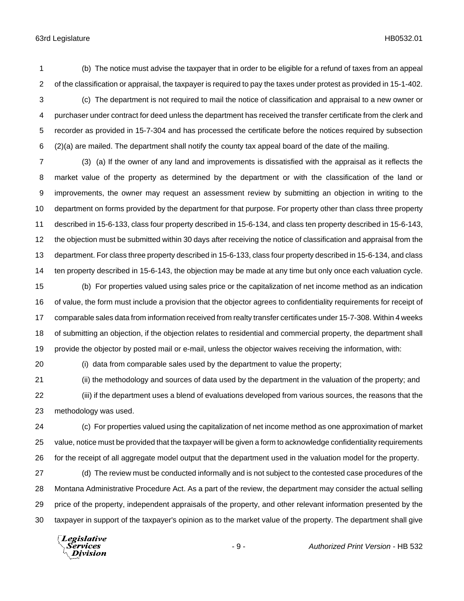(b) The notice must advise the taxpayer that in order to be eligible for a refund of taxes from an appeal of the classification or appraisal, the taxpayer is required to pay the taxes under protest as provided in 15-1-402.

 (c) The department is not required to mail the notice of classification and appraisal to a new owner or purchaser under contract for deed unless the department has received the transfer certificate from the clerk and recorder as provided in 15-7-304 and has processed the certificate before the notices required by subsection (2)(a) are mailed. The department shall notify the county tax appeal board of the date of the mailing.

 (3) (a) If the owner of any land and improvements is dissatisfied with the appraisal as it reflects the market value of the property as determined by the department or with the classification of the land or improvements, the owner may request an assessment review by submitting an objection in writing to the department on forms provided by the department for that purpose. For property other than class three property described in 15-6-133, class four property described in 15-6-134, and class ten property described in 15-6-143, the objection must be submitted within 30 days after receiving the notice of classification and appraisal from the department. For class three property described in 15-6-133, class four property described in 15-6-134, and class ten property described in 15-6-143, the objection may be made at any time but only once each valuation cycle.

 (b) For properties valued using sales price or the capitalization of net income method as an indication of value, the form must include a provision that the objector agrees to confidentiality requirements for receipt of comparable sales data from information received from realty transfer certificates under 15-7-308. Within 4 weeks of submitting an objection, if the objection relates to residential and commercial property, the department shall provide the objector by posted mail or e-mail, unless the objector waives receiving the information, with:

(i) data from comparable sales used by the department to value the property;

 (ii) the methodology and sources of data used by the department in the valuation of the property; and (iii) if the department uses a blend of evaluations developed from various sources, the reasons that the methodology was used.

 (c) For properties valued using the capitalization of net income method as one approximation of market value, notice must be provided that the taxpayer will be given a form to acknowledge confidentiality requirements for the receipt of all aggregate model output that the department used in the valuation model for the property.

 (d) The review must be conducted informally and is not subject to the contested case procedures of the Montana Administrative Procedure Act. As a part of the review, the department may consider the actual selling price of the property, independent appraisals of the property, and other relevant information presented by the taxpayer in support of the taxpayer's opinion as to the market value of the property. The department shall give

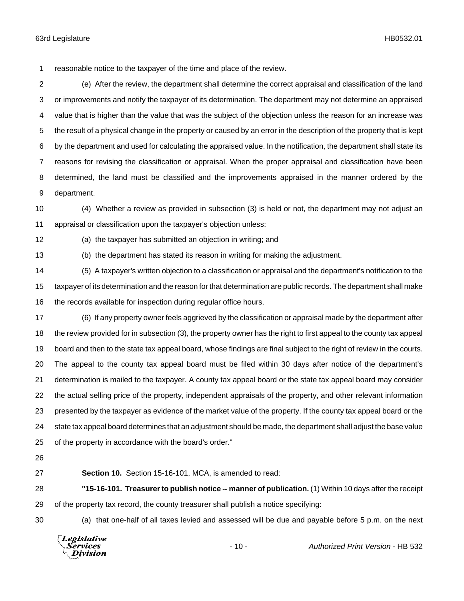reasonable notice to the taxpayer of the time and place of the review.

 (e) After the review, the department shall determine the correct appraisal and classification of the land or improvements and notify the taxpayer of its determination. The department may not determine an appraised value that is higher than the value that was the subject of the objection unless the reason for an increase was the result of a physical change in the property or caused by an error in the description of the property that is kept by the department and used for calculating the appraised value. In the notification, the department shall state its reasons for revising the classification or appraisal. When the proper appraisal and classification have been determined, the land must be classified and the improvements appraised in the manner ordered by the department.

 (4) Whether a review as provided in subsection (3) is held or not, the department may not adjust an appraisal or classification upon the taxpayer's objection unless:

(a) the taxpayer has submitted an objection in writing; and

(b) the department has stated its reason in writing for making the adjustment.

 (5) A taxpayer's written objection to a classification or appraisal and the department's notification to the taxpayer of its determination and the reason for that determination are public records. The department shall make the records available for inspection during regular office hours.

 (6) If any property owner feels aggrieved by the classification or appraisal made by the department after the review provided for in subsection (3), the property owner has the right to first appeal to the county tax appeal board and then to the state tax appeal board, whose findings are final subject to the right of review in the courts. The appeal to the county tax appeal board must be filed within 30 days after notice of the department's determination is mailed to the taxpayer. A county tax appeal board or the state tax appeal board may consider the actual selling price of the property, independent appraisals of the property, and other relevant information presented by the taxpayer as evidence of the market value of the property. If the county tax appeal board or the state tax appeal board determines that an adjustment should be made, the department shall adjust the base value of the property in accordance with the board's order."

**Section 10.** Section 15-16-101, MCA, is amended to read:

 **"15-16-101. Treasurer to publish notice -- manner of publication.** (1) Within 10 days after the receipt of the property tax record, the county treasurer shall publish a notice specifying:

(a) that one-half of all taxes levied and assessed will be due and payable before 5 p.m. on the next

Legislative Services **Division**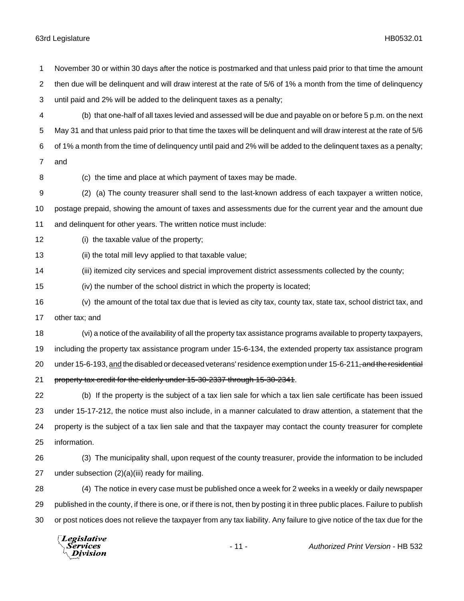(b) that one-half of all taxes levied and assessed will be due and payable on or before 5 p.m. on the next May 31 and that unless paid prior to that time the taxes will be delinquent and will draw interest at the rate of 5/6 of 1% a month from the time of delinquency until paid and 2% will be added to the delinquent taxes as a penalty; and (c) the time and place at which payment of taxes may be made. (2) (a) The county treasurer shall send to the last-known address of each taxpayer a written notice, postage prepaid, showing the amount of taxes and assessments due for the current year and the amount due and delinquent for other years. The written notice must include: (i) the taxable value of the property; (ii) the total mill levy applied to that taxable value; (iii) itemized city services and special improvement district assessments collected by the county; (iv) the number of the school district in which the property is located; (v) the amount of the total tax due that is levied as city tax, county tax, state tax, school district tax, and other tax; and (vi) a notice of the availability of all the property tax assistance programs available to property taxpayers, including the property tax assistance program under 15-6-134, the extended property tax assistance program 20 under 15-6-193, and the disabled or deceased veterans' residence exemption under 15-6-211<del>, and the residential</del> property tax credit for the elderly under 15-30-2337 through 15-30-2341. (b) If the property is the subject of a tax lien sale for which a tax lien sale certificate has been issued under 15-17-212, the notice must also include, in a manner calculated to draw attention, a statement that the property is the subject of a tax lien sale and that the taxpayer may contact the county treasurer for complete information. (3) The municipality shall, upon request of the county treasurer, provide the information to be included under subsection (2)(a)(iii) ready for mailing. (4) The notice in every case must be published once a week for 2 weeks in a weekly or daily newspaper published in the county, if there is one, or if there is not, then by posting it in three public places. Failure to publish or post notices does not relieve the taxpayer from any tax liability. Any failure to give notice of the tax due for the

November 30 or within 30 days after the notice is postmarked and that unless paid prior to that time the amount

then due will be delinquent and will draw interest at the rate of 5/6 of 1% a month from the time of delinquency

until paid and 2% will be added to the delinquent taxes as a penalty;

Legislative Services Division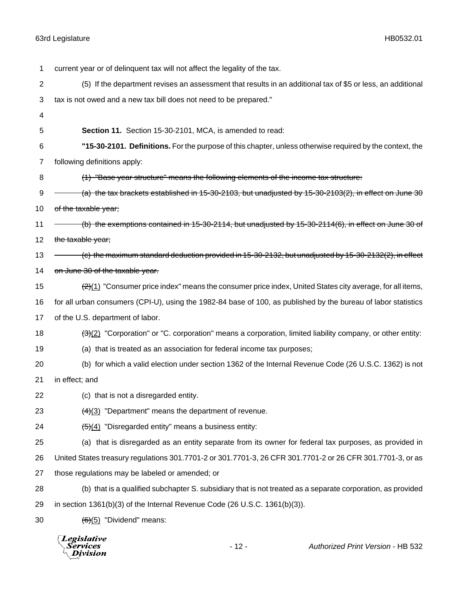| 1              | current year or of delinquent tax will not affect the legality of the tax.                                            |
|----------------|-----------------------------------------------------------------------------------------------------------------------|
| $\overline{c}$ | (5) If the department revises an assessment that results in an additional tax of \$5 or less, an additional           |
| 3              | tax is not owed and a new tax bill does not need to be prepared."                                                     |
| 4              |                                                                                                                       |
| 5              | Section 11. Section 15-30-2101, MCA, is amended to read:                                                              |
| 6              | "15-30-2101. Definitions. For the purpose of this chapter, unless otherwise required by the context, the              |
| 7              | following definitions apply:                                                                                          |
| 8              | (1) "Base year structure" means the following elements of the income tax structure:                                   |
| 9              | (a) the tax brackets established in 15-30-2103, but unadjusted by 15-30-2103(2), in effect on June 30                 |
| 10             | of the taxable year;                                                                                                  |
| 11             | (b) the exemptions contained in 15-30-2114, but unadjusted by 15-30-2114(6), in effect on June 30 of                  |
| 12             | the taxable year;                                                                                                     |
| 13             | (c) the maximum standard deduction provided in 15-30-2132, but unadjusted by 15-30-2132(2), in effect                 |
| 14             | on June 30 of the taxable year.                                                                                       |
| 15             | $\frac{2(1)}{2(1)}$ "Consumer price index" means the consumer price index, United States city average, for all items, |
| 16             | for all urban consumers (CPI-U), using the 1982-84 base of 100, as published by the bureau of labor statistics        |
| 17             | of the U.S. department of labor.                                                                                      |
| 18             | $\frac{3(2)}{2}$ "Corporation" or "C. corporation" means a corporation, limited liability company, or other entity:   |
| 19             | (a) that is treated as an association for federal income tax purposes;                                                |
| 20             | (b) for which a valid election under section 1362 of the Internal Revenue Code (26 U.S.C. 1362) is not                |
| 21             | in effect; and                                                                                                        |
| 22             | (c) that is not a disregarded entity.                                                                                 |
| 23             | $\left(\frac{4}{3}\right)$ "Department" means the department of revenue.                                              |
| 24             | $\left(\frac{1}{2}\right)(4)$ "Disregarded entity" means a business entity:                                           |
| 25             | (a) that is disregarded as an entity separate from its owner for federal tax purposes, as provided in                 |
| 26             | United States treasury regulations 301.7701-2 or 301.7701-3, 26 CFR 301.7701-2 or 26 CFR 301.7701-3, or as            |
| 27             | those regulations may be labeled or amended; or                                                                       |
| 28             | (b) that is a qualified subchapter S. subsidiary that is not treated as a separate corporation, as provided           |
| 29             | in section $1361(b)(3)$ of the Internal Revenue Code (26 U.S.C. $1361(b)(3)$ ).                                       |
| 30             | $(6)(5)$ "Dividend" means:                                                                                            |
|                |                                                                                                                       |

*Legislative*<br>Services<br>*Division* 

- 12 - *Authorized Print Version* - HB 532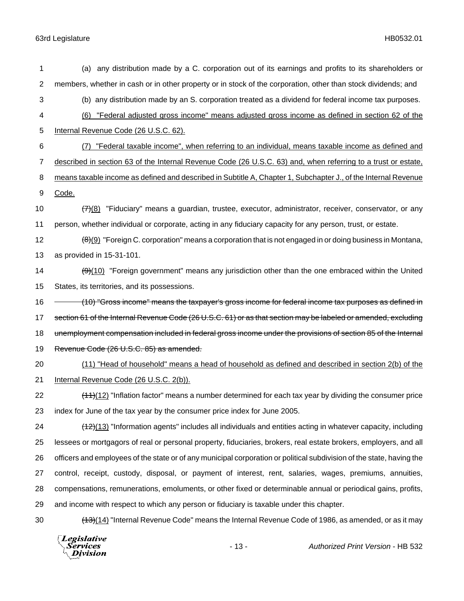| 1              | (a) any distribution made by a C. corporation out of its earnings and profits to its shareholders or                   |
|----------------|------------------------------------------------------------------------------------------------------------------------|
| $\overline{c}$ | members, whether in cash or in other property or in stock of the corporation, other than stock dividends; and          |
| 3              | (b) any distribution made by an S. corporation treated as a dividend for federal income tax purposes.                  |
| 4              | "Federal adjusted gross income" means adjusted gross income as defined in section 62 of the<br>(6)                     |
| 5              | Internal Revenue Code (26 U.S.C. 62).                                                                                  |
| 6              | (7) "Federal taxable income", when referring to an individual, means taxable income as defined and                     |
| $\overline{7}$ | described in section 63 of the Internal Revenue Code (26 U.S.C. 63) and, when referring to a trust or estate,          |
| 8              | means taxable income as defined and described in Subtitle A, Chapter 1, Subchapter J., of the Internal Revenue         |
| 9              | Code.                                                                                                                  |
| 10             | $\frac{77(8)}{77(8)}$ "Fiduciary" means a guardian, trustee, executor, administrator, receiver, conservator, or any    |
| 11             | person, whether individual or corporate, acting in any fiduciary capacity for any person, trust, or estate.            |
| 12             | $\frac{(\theta)}{2}$ "Foreign C. corporation" means a corporation that is not engaged in or doing business in Montana, |
| 13             | as provided in 15-31-101.                                                                                              |
| 14             | (9)(10) "Foreign government" means any jurisdiction other than the one embraced within the United                      |
| 15             | States, its territories, and its possessions.                                                                          |
| 16             | (10) "Gross income" means the taxpayer's gross income for federal income tax purposes as defined in                    |
| 17             | section 61 of the Internal Revenue Code (26 U.S.C. 61) or as that section may be labeled or amended, excluding         |
| 18             | unemployment compensation included in federal gross income under the provisions of section 85 of the Internal          |
| 19             | Revenue Code (26 U.S.C. 85) as amended.                                                                                |
| 20             | (11) "Head of household" means a head of household as defined and described in section 2(b) of the                     |
| 21             | Internal Revenue Code (26 U.S.C. 2(b)).                                                                                |
| 22             | $(11)(12)$ "Inflation factor" means a number determined for each tax year by dividing the consumer price               |
| 23             | index for June of the tax year by the consumer price index for June 2005.                                              |
| 24             | $(12)(13)$ "Information agents" includes all individuals and entities acting in whatever capacity, including           |
| 25             | lessees or mortgagors of real or personal property, fiduciaries, brokers, real estate brokers, employers, and all      |
| 26             | officers and employees of the state or of any municipal corporation or political subdivision of the state, having the  |
| 27             | control, receipt, custody, disposal, or payment of interest, rent, salaries, wages, premiums, annuities,               |
| 28             | compensations, remunerations, emoluments, or other fixed or determinable annual or periodical gains, profits,          |
| 29             | and income with respect to which any person or fiduciary is taxable under this chapter.                                |
| 30             | $(13)(14)$ "Internal Revenue Code" means the Internal Revenue Code of 1986, as amended, or as it may                   |
|                |                                                                                                                        |

*Legislative*<br>Services<br>*Division*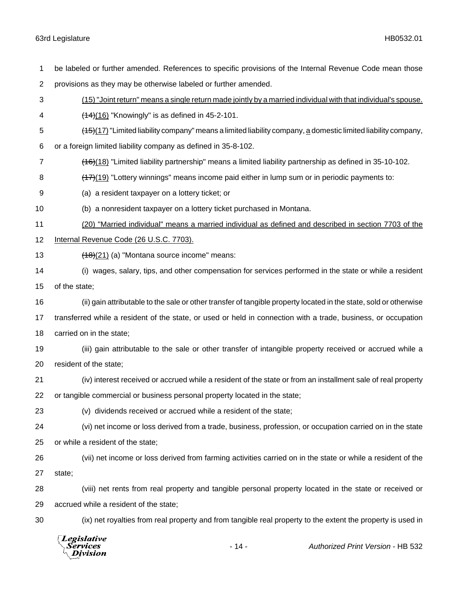| 1  | be labeled or further amended. References to specific provisions of the Internal Revenue Code mean those          |
|----|-------------------------------------------------------------------------------------------------------------------|
| 2  | provisions as they may be otherwise labeled or further amended.                                                   |
| 3  | (15) "Joint return" means a single return made jointly by a married individual with that individual's spouse.     |
| 4  | $(14)(16)$ "Knowingly" is as defined in 45-2-101.                                                                 |
| 5  | $(15)(17)$ "Limited liability company" means a limited liability company, a domestic limited liability company,   |
| 6  | or a foreign limited liability company as defined in 35-8-102.                                                    |
| 7  | $(16)(18)$ "Limited liability partnership" means a limited liability partnership as defined in 35-10-102.         |
| 8  | $(17)(19)$ "Lottery winnings" means income paid either in lump sum or in periodic payments to:                    |
| 9  | (a) a resident taxpayer on a lottery ticket; or                                                                   |
| 10 | (b) a nonresident taxpayer on a lottery ticket purchased in Montana.                                              |
| 11 | (20) "Married individual" means a married individual as defined and described in section 7703 of the              |
| 12 | Internal Revenue Code (26 U.S.C. 7703).                                                                           |
| 13 | (18)(21) (a) "Montana source income" means:                                                                       |
| 14 | (i) wages, salary, tips, and other compensation for services performed in the state or while a resident           |
| 15 | of the state;                                                                                                     |
| 16 | (ii) gain attributable to the sale or other transfer of tangible property located in the state, sold or otherwise |
| 17 | transferred while a resident of the state, or used or held in connection with a trade, business, or occupation    |
| 18 | carried on in the state;                                                                                          |
| 19 | (iii) gain attributable to the sale or other transfer of intangible property received or accrued while a          |
| 20 | resident of the state;                                                                                            |
| 21 | (iv) interest received or accrued while a resident of the state or from an installment sale of real property      |
| 22 | or tangible commercial or business personal property located in the state;                                        |
| 23 | (v) dividends received or accrued while a resident of the state;                                                  |
| 24 | (vi) net income or loss derived from a trade, business, profession, or occupation carried on in the state         |
| 25 | or while a resident of the state;                                                                                 |
| 26 | (vii) net income or loss derived from farming activities carried on in the state or while a resident of the       |
| 27 | state;                                                                                                            |
| 28 | (viii) net rents from real property and tangible personal property located in the state or received or            |
| 29 | accrued while a resident of the state;                                                                            |
| 30 | (ix) net royalties from real property and from tangible real property to the extent the property is used in       |

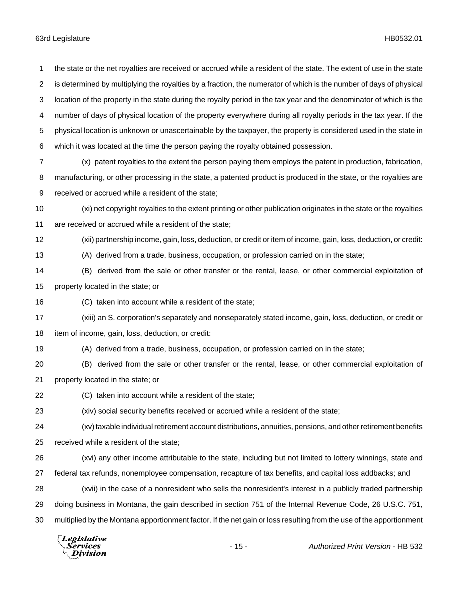location of the property in the state during the royalty period in the tax year and the denominator of which is the number of days of physical location of the property everywhere during all royalty periods in the tax year. If the physical location is unknown or unascertainable by the taxpayer, the property is considered used in the state in which it was located at the time the person paying the royalty obtained possession. (x) patent royalties to the extent the person paying them employs the patent in production, fabrication, manufacturing, or other processing in the state, a patented product is produced in the state, or the royalties are received or accrued while a resident of the state; (xi) net copyright royalties to the extent printing or other publication originates in the state or the royalties are received or accrued while a resident of the state; (xii) partnership income, gain, loss, deduction, or credit or item of income, gain, loss, deduction, or credit: (A) derived from a trade, business, occupation, or profession carried on in the state; (B) derived from the sale or other transfer or the rental, lease, or other commercial exploitation of property located in the state; or (C) taken into account while a resident of the state; (xiii) an S. corporation's separately and nonseparately stated income, gain, loss, deduction, or credit or item of income, gain, loss, deduction, or credit: (A) derived from a trade, business, occupation, or profession carried on in the state; (B) derived from the sale or other transfer or the rental, lease, or other commercial exploitation of property located in the state; or (C) taken into account while a resident of the state; (xiv) social security benefits received or accrued while a resident of the state; (xv) taxable individual retirement account distributions, annuities, pensions, and other retirement benefits received while a resident of the state; (xvi) any other income attributable to the state, including but not limited to lottery winnings, state and federal tax refunds, nonemployee compensation, recapture of tax benefits, and capital loss addbacks; and (xvii) in the case of a nonresident who sells the nonresident's interest in a publicly traded partnership doing business in Montana, the gain described in section 751 of the Internal Revenue Code, 26 U.S.C. 751, multiplied by the Montana apportionment factor. If the net gain or loss resulting from the use of the apportionment Legislative Services - 15 - *Authorized Print Version* - HB 532Division

the state or the net royalties are received or accrued while a resident of the state. The extent of use in the state

is determined by multiplying the royalties by a fraction, the numerator of which is the number of days of physical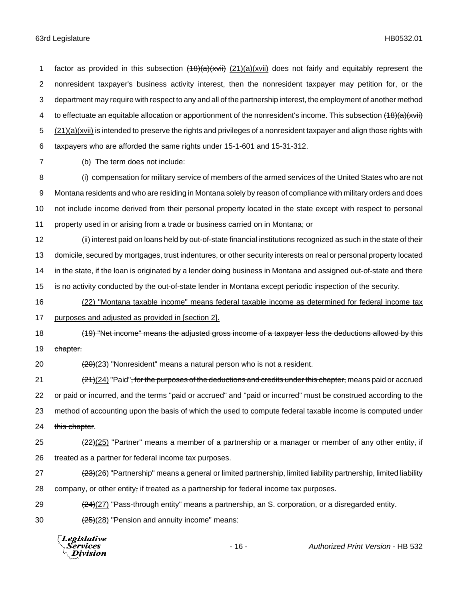1 factor as provided in this subsection  $(18)(a)(xvii)$  (21)(a)(xvii) does not fairly and equitably represent the nonresident taxpayer's business activity interest, then the nonresident taxpayer may petition for, or the department may require with respect to any and all of the partnership interest, the employment of another method 4 to effectuate an equitable allocation or apportionment of the nonresident's income. This subsection (18)(a)(xvii) (21)(a)(xvii) is intended to preserve the rights and privileges of a nonresident taxpayer and align those rights with taxpayers who are afforded the same rights under 15-1-601 and 15-31-312.

7 (b) The term does not include:

 (i) compensation for military service of members of the armed services of the United States who are not Montana residents and who are residing in Montana solely by reason of compliance with military orders and does not include income derived from their personal property located in the state except with respect to personal property used in or arising from a trade or business carried on in Montana; or

 (ii) interest paid on loans held by out-of-state financial institutions recognized as such in the state of their domicile, secured by mortgages, trust indentures, or other security interests on real or personal property located in the state, if the loan is originated by a lender doing business in Montana and assigned out-of-state and there is no activity conducted by the out-of-state lender in Montana except periodic inspection of the security.

16 (22) "Montana taxable income" means federal taxable income as determined for federal income tax

17 purposes and adjusted as provided in [section 2].

18 (19) "Net income" means the adjusted gross income of a taxpayer less the deductions allowed by this 19 chapter.

20  $\left(20\right)$  (23) "Nonresident" means a natural person who is not a resident.

21 (24)(24) "Paid", for the purposes of the deductions and credits under this chapter, means paid or accrued 22 or paid or incurred, and the terms "paid or accrued" and "paid or incurred" must be construed according to the 23 method of accounting upon the basis of which the used to compute federal taxable income is computed under 24 this chapter.

 $(22)(25)$  "Partner" means a member of a partnership or a manager or member of any other entity, if 26 treated as a partner for federal income tax purposes.

27 (<del>23)</del>(26) "Partnership" means a general or limited partnership, limited liability partnership, limited liability 28 company, or other entity, if treated as a partnership for federal income tax purposes.

29 (24)(27) "Pass-through entity" means a partnership, an S. corporation, or a disregarded entity.

30  $(25)(28)$  "Pension and annuity income" means:



- 16 - *Authorized Print Version* - HB 532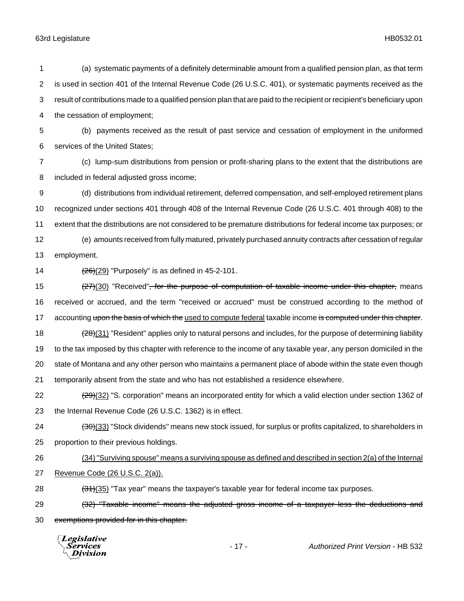is used in section 401 of the Internal Revenue Code (26 U.S.C. 401), or systematic payments received as the result of contributions made to a qualified pension plan that are paid to the recipient or recipient's beneficiary upon the cessation of employment; (b) payments received as the result of past service and cessation of employment in the uniformed services of the United States; (c) lump-sum distributions from pension or profit-sharing plans to the extent that the distributions are included in federal adjusted gross income; (d) distributions from individual retirement, deferred compensation, and self-employed retirement plans recognized under sections 401 through 408 of the Internal Revenue Code (26 U.S.C. 401 through 408) to the extent that the distributions are not considered to be premature distributions for federal income tax purposes; or (e) amounts received from fully matured, privately purchased annuity contracts after cessation of regular employment.  $\left(\frac{26}{29}\right)$  "Purposely" is as defined in 45-2-101. 15 (27)(30) "Received"<del>, for the purpose of computation of taxable income under this chapter,</del> means received or accrued, and the term "received or accrued" must be construed according to the method of 17 accounting upon the basis of which the used to compute federal taxable income is computed under this chapter. 18 (28)(31) "Resident" applies only to natural persons and includes, for the purpose of determining liability to the tax imposed by this chapter with reference to the income of any taxable year, any person domiciled in the state of Montana and any other person who maintains a permanent place of abode within the state even though temporarily absent from the state and who has not established a residence elsewhere. 22 (29)(32) "S. corporation" means an incorporated entity for which a valid election under section 1362 of the Internal Revenue Code (26 U.S.C. 1362) is in effect. 24 (30)(33) "Stock dividends" means new stock issued, for surplus or profits capitalized, to shareholders in proportion to their previous holdings. (34) "Surviving spouse" means a surviving spouse as defined and described in section 2(a) of the Internal Revenue Code (26 U.S.C. 2(a)).  $(34)(35)$  "Tax year" means the taxpayer's taxable year for federal income tax purposes. 29 (32) "Taxable income" means the adjusted gross income of a taxpayer less the deductions and

(a) systematic payments of a definitely determinable amount from a qualified pension plan, as that term

exemptions provided for in this chapter.

Legislative Services Division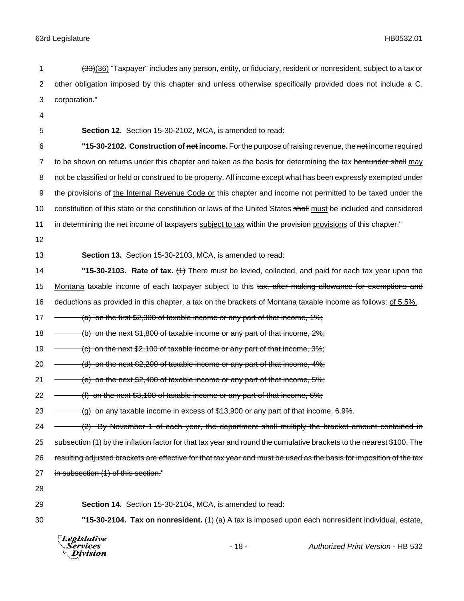- 1 (33)(36) "Taxpayer" includes any person, entity, or fiduciary, resident or nonresident, subject to a tax or 2 other obligation imposed by this chapter and unless otherwise specifically provided does not include a C. 3 corporation."
- 4

5 **Section 12.** Section 15-30-2102, MCA, is amended to read:

6 **"15-30-2102. Construction of net income.** For the purpose of raising revenue, the net income required 7 to be shown on returns under this chapter and taken as the basis for determining the tax hereunder shall may 8 not be classified or held or construed to be property. All income except what has been expressly exempted under 9 the provisions of the Internal Revenue Code or this chapter and income not permitted to be taxed under the 10 constitution of this state or the constitution or laws of the United States shall must be included and considered 11 in determining the net income of taxpayers subject to tax within the provision provisions of this chapter."

12

13 **Section 13.** Section 15-30-2103, MCA, is amended to read:

14 **"15-30-2103. Rate of tax.** (1) There must be levied, collected, and paid for each tax year upon the 15 Montana taxable income of each taxpayer subject to this tax, after making allowance for exemptions and 16 deductions as provided in this chapter, a tax on the brackets of Montana taxable income as follows: of 5.5%.

17  $\rightarrow$  (a) on the first \$2,300 of taxable income or any part of that income, 1%;

18 (b) on the next \$1,800 of taxable income or any part of that income, 2%;

19  $\rightarrow$  (c) on the next \$2,100 of taxable income or any part of that income, 3%;

20  $\rightarrow$  (d) on the next \$2,200 of taxable income or any part of that income, 4%;

21  $-$  (e) on the next \$2,400 of taxable income or any part of that income, 5%;

22 (f) on the next \$3,100 of taxable income or any part of that income, 6%;

23  $-$  (g) on any taxable income in excess of \$13,900 or any part of that income, 6.9%.

24 - (2) By November 1 of each year, the department shall multiply the bracket amount contained in 25 subsection (1) by the inflation factor for that tax year and round the cumulative brackets to the nearest \$100. The 26 resulting adjusted brackets are effective for that tax year and must be used as the basis for imposition of the tax 27 in subsection (1) of this section."

28

29 **Section 14.** Section 15-30-2104, MCA, is amended to read:

30 **"15-30-2104. Tax on nonresident.** (1) (a) A tax is imposed upon each nonresident individual, estate,



- 18 - *Authorized Print Version* - HB 532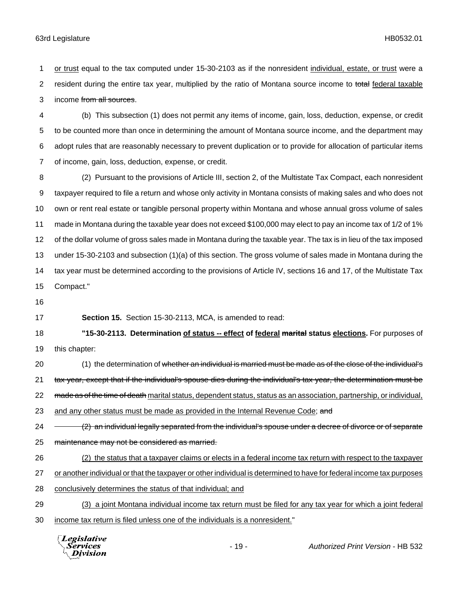or trust equal to the tax computed under 15-30-2103 as if the nonresident individual, estate, or trust were a 2 resident during the entire tax year, multiplied by the ratio of Montana source income to total federal taxable 3 income from all sources.

 (b) This subsection (1) does not permit any items of income, gain, loss, deduction, expense, or credit to be counted more than once in determining the amount of Montana source income, and the department may adopt rules that are reasonably necessary to prevent duplication or to provide for allocation of particular items of income, gain, loss, deduction, expense, or credit.

 (2) Pursuant to the provisions of Article III, section 2, of the Multistate Tax Compact, each nonresident taxpayer required to file a return and whose only activity in Montana consists of making sales and who does not own or rent real estate or tangible personal property within Montana and whose annual gross volume of sales made in Montana during the taxable year does not exceed \$100,000 may elect to pay an income tax of 1/2 of 1% of the dollar volume of gross sales made in Montana during the taxable year. The tax is in lieu of the tax imposed under 15-30-2103 and subsection (1)(a) of this section. The gross volume of sales made in Montana during the tax year must be determined according to the provisions of Article IV, sections 16 and 17, of the Multistate Tax Compact."

**Section 15.** Section 15-30-2113, MCA, is amended to read:

 **"15-30-2113. Determination of status -- effect of federal marital status elections.** For purposes of this chapter:

20 (1) the determination of whether an individual is married must be made as of the close of the individual's 21 tax year, except that if the individual's spouse dies during the individual's tax year, the determination must be

22 made as of the time of death marital status, dependent status, status as an association, partnership, or individual,

23 and any other status must be made as provided in the Internal Revenue Code; and

24 (2) an individual legally separated from the individual's spouse under a decree of divorce or of separate 25 maintenance may not be considered as married.

(2) the status that a taxpayer claims or elects in a federal income tax return with respect to the taxpayer

or another individual or that the taxpayer or other individual is determined to have for federal income tax purposes

28 conclusively determines the status of that individual; and

 (3) a joint Montana individual income tax return must be filed for any tax year for which a joint federal income tax return is filed unless one of the individuals is a nonresident."



- 19 - *Authorized Print Version* - HB 532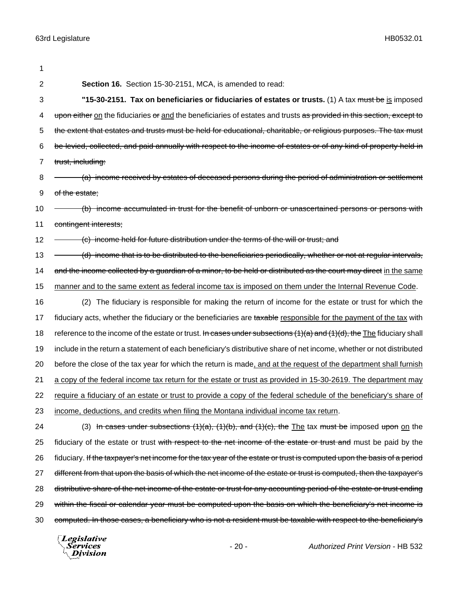| 1              |                                                                                                                        |
|----------------|------------------------------------------------------------------------------------------------------------------------|
| $\overline{2}$ | Section 16. Section 15-30-2151, MCA, is amended to read:                                                               |
| 3              | "15-30-2151. Tax on beneficiaries or fiduciaries of estates or trusts. (1) A tax must be is imposed                    |
| 4              | upon either on the fiduciaries or and the beneficiaries of estates and trusts as provided in this section, except to   |
| 5              | the extent that estates and trusts must be held for educational, charitable, or religious purposes. The tax must       |
| 6              | be levied, collected, and paid annually with respect to the income of estates or of any kind of property held in       |
| 7              | trust, including:                                                                                                      |
| 8              | (a) income received by estates of deceased persons during the period of administration or settlement                   |
| 9              | of the estate;                                                                                                         |
| 10             | (b) income accumulated in trust for the benefit of unborn or unascertained persons or persons with                     |
| 11             | contingent interests;                                                                                                  |
| 12             | (c) income held for future distribution under the terms of the will or trust; and                                      |
| 13             | (d) income that is to be distributed to the beneficiaries periodically, whether or not at regular intervals,           |
| 14             | and the income collected by a guardian of a minor, to be held or distributed as the court may direct in the same       |
| 15             | manner and to the same extent as federal income tax is imposed on them under the Internal Revenue Code.                |
| 16             | (2) The fiduciary is responsible for making the return of income for the estate or trust for which the                 |
| 17             | fiduciary acts, whether the fiduciary or the beneficiaries are taxable responsible for the payment of the tax with     |
| 18             | reference to the income of the estate or trust. In cases under subsections (1)(a) and (1)(d), the The fiduciary shall  |
| 19             | include in the return a statement of each beneficiary's distributive share of net income, whether or not distributed   |
| 20             | before the close of the tax year for which the return is made, and at the request of the department shall furnish      |
| 21             | a copy of the federal income tax return for the estate or trust as provided in 15-30-2619. The department may          |
| 22             | require a fiduciary of an estate or trust to provide a copy of the federal schedule of the beneficiary's share of      |
| 23             | income, deductions, and credits when filing the Montana individual income tax return.                                  |
| 24             | (3) In cases under subsections $(1)(a)$ , $(1)(b)$ , and $(1)(c)$ , the The tax must be imposed upon on the            |
| 25             | fiduciary of the estate or trust with respect to the net income of the estate or trust and must be paid by the         |
| 26             | fiduciary. If the taxpayer's net income for the tax year of the estate or trust is computed upon the basis of a period |
| 27             | different from that upon the basis of which the net income of the estate or trust is computed, then the taxpayer's     |
| 28             | distributive share of the net income of the estate or trust for any accounting period of the estate or trust ending    |
| 29             | within the fiscal or calendar year must be computed upon the basis on which the beneficiary's net income is            |
| 30             | computed. In those cases, a beneficiary who is not a resident must be taxable with respect to the beneficiary's        |
|                | Legislative<br>$d$ Defect $\frac{1}{2}$ (exclose $\frac{1}{2}$ IID EQQ.<br>$\sim$                                      |

*Services*<br>*Division*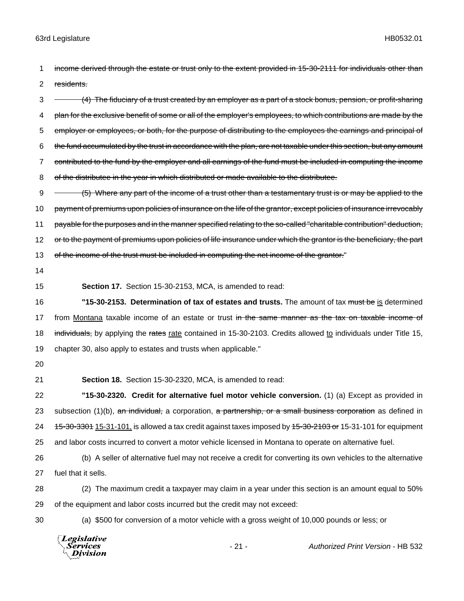1 income derived through the estate or trust only to the extent provided in 15-30-2111 for individuals other than 2 residents.

3 (4) The fiduciary of a trust created by an employer as a part of a stock bonus, pension, or profit-sharing 4 plan for the exclusive benefit of some or all of the employer's employees, to which contributions are made by the 5 employer or employees, or both, for the purpose of distributing to the employees the earnings and principal of 6 the fund accumulated by the trust in accordance with the plan, are not taxable under this section, but any amount 7 contributed to the fund by the employer and all earnings of the fund must be included in computing the income 8 of the distributee in the year in which distributed or made available to the distributee.

9 - (5) Where any part of the income of a trust other than a testamentary trust is or may be applied to the 10 payment of premiums upon policies of insurance on the life of the grantor, except policies of insurance irrevocably 11 payable for the purposes and in the manner specified relating to the so-called "charitable contribution" deduction, 12 or to the payment of premiums upon policies of life insurance under which the grantor is the beneficiary, the part 13 of the income of the trust must be included in computing the net income of the grantor."

- 14
- 

15 **Section 17.** Section 15-30-2153, MCA, is amended to read:

16 **"15-30-2153. Determination of tax of estates and trusts.** The amount of tax must be is determined 17 from Montana taxable income of an estate or trust in the same manner as the tax on taxable income of 18 individuals, by applying the rates rate contained in 15-30-2103. Credits allowed to individuals under Title 15, 19 chapter 30, also apply to estates and trusts when applicable."

20

21 **Section 18.** Section 15-30-2320, MCA, is amended to read:

22 **"15-30-2320. Credit for alternative fuel motor vehicle conversion.** (1) (a) Except as provided in 23 subsection  $(1)(b)$ , an individual, a corporation, a partnership, or a small business corporation as defined in 24 15-30-3301 15-31-101, is allowed a tax credit against taxes imposed by  $15-30-2103$  or 15-31-101 for equipment 25 and labor costs incurred to convert a motor vehicle licensed in Montana to operate on alternative fuel.

26 (b) A seller of alternative fuel may not receive a credit for converting its own vehicles to the alternative 27 fuel that it sells.

28 (2) The maximum credit a taxpayer may claim in a year under this section is an amount equal to 50% 29 of the equipment and labor costs incurred but the credit may not exceed:

30 (a) \$500 for conversion of a motor vehicle with a gross weight of 10,000 pounds or less; or

**Legislative** *Services* - 21 - *Authorized Print Version* - HB 532**Division**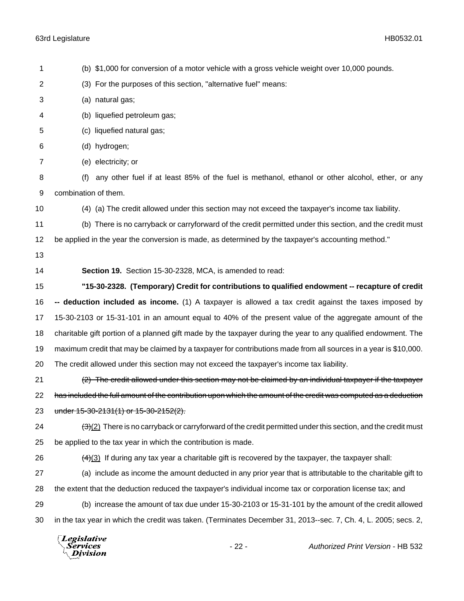| 1              | (b) \$1,000 for conversion of a motor vehicle with a gross vehicle weight over 10,000 pounds.                          |  |
|----------------|------------------------------------------------------------------------------------------------------------------------|--|
| $\overline{c}$ | (3) For the purposes of this section, "alternative fuel" means:                                                        |  |
| 3              | (a) natural gas;                                                                                                       |  |
| 4              | (b) liquefied petroleum gas;                                                                                           |  |
| 5              | (c) liquefied natural gas;                                                                                             |  |
| 6              | (d) hydrogen;                                                                                                          |  |
| $\overline{7}$ | (e) electricity; or                                                                                                    |  |
| 8              | any other fuel if at least 85% of the fuel is methanol, ethanol or other alcohol, ether, or any<br>(f)                 |  |
| 9              | combination of them.                                                                                                   |  |
| 10             | (4) (a) The credit allowed under this section may not exceed the taxpayer's income tax liability.                      |  |
| 11             | (b) There is no carryback or carryforward of the credit permitted under this section, and the credit must              |  |
| 12             | be applied in the year the conversion is made, as determined by the taxpayer's accounting method."                     |  |
| 13             |                                                                                                                        |  |
| 14             | Section 19. Section 15-30-2328, MCA, is amended to read:                                                               |  |
| 15             | "15-30-2328. (Temporary) Credit for contributions to qualified endowment -- recapture of credit                        |  |
| 16             | -- deduction included as income. (1) A taxpayer is allowed a tax credit against the taxes imposed by                   |  |
| 17             | 15-30-2103 or 15-31-101 in an amount equal to 40% of the present value of the aggregate amount of the                  |  |
| 18             | charitable gift portion of a planned gift made by the taxpayer during the year to any qualified endowment. The         |  |
| 19             | maximum credit that may be claimed by a taxpayer for contributions made from all sources in a year is \$10,000.        |  |
| 20             | The credit allowed under this section may not exceed the taxpayer's income tax liability.                              |  |
| 21             | (2) The credit allowed under this section may not be claimed by an individual taxpayer if the taxpayer                 |  |
| 22             | has included the full amount of the contribution upon which the amount of the credit was computed as a deduction       |  |
| 23             | under $15-30-2131(1)$ or $15-30-2152(2)$ .                                                                             |  |
| 24             | $\frac{1}{2}(2)$ There is no carryback or carryforward of the credit permitted under this section, and the credit must |  |
| 25             | be applied to the tax year in which the contribution is made.                                                          |  |
| 26             | $\frac{4}{3}$ If during any tax year a charitable gift is recovered by the taxpayer, the taxpayer shall:               |  |
| 27             | (a) include as income the amount deducted in any prior year that is attributable to the charitable gift to             |  |
| 28             | the extent that the deduction reduced the taxpayer's individual income tax or corporation license tax; and             |  |
| 29             | (b) increase the amount of tax due under 15-30-2103 or 15-31-101 by the amount of the credit allowed                   |  |
| 30             | in the tax year in which the credit was taken. (Terminates December 31, 2013--sec. 7, Ch. 4, L. 2005; secs. 2,         |  |
|                | Legislative<br>$-22-$<br>Authorized Print Version - HB 532<br>Services<br>Division                                     |  |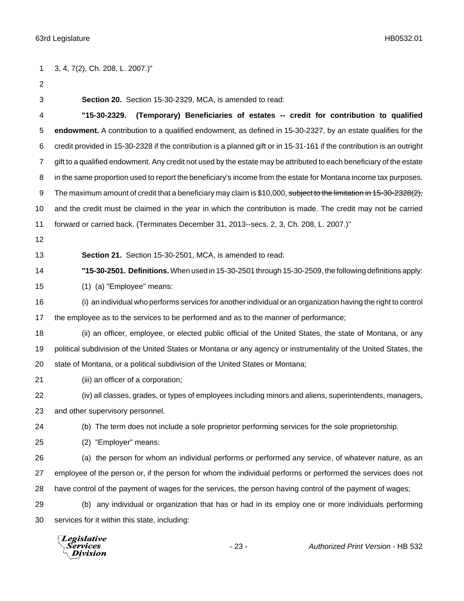3, 4, 7(2), Ch. 208, L. 2007.)" **Section 20.** Section 15-30-2329, MCA, is amended to read: **"15-30-2329. (Temporary) Beneficiaries of estates -- credit for contribution to qualified endowment.** A contribution to a qualified endowment, as defined in 15-30-2327, by an estate qualifies for the credit provided in 15-30-2328 if the contribution is a planned gift or in 15-31-161 if the contribution is an outright gift to a qualified endowment. Any credit not used by the estate may be attributed to each beneficiary of the estate in the same proportion used to report the beneficiary's income from the estate for Montana income tax purposes. 9 The maximum amount of credit that a beneficiary may claim is \$10,000, subject to the limitation in 15-30-2328(2), and the credit must be claimed in the year in which the contribution is made. The credit may not be carried forward or carried back. (Terminates December 31, 2013--secs. 2, 3, Ch. 208, L. 2007.)" **Section 21.** Section 15-30-2501, MCA, is amended to read: **"15-30-2501. Definitions.** When used in 15-30-2501 through 15-30-2509, the following definitions apply: (1) (a) "Employee" means: (i) an individual who performs services for another individual or an organization having the right to control the employee as to the services to be performed and as to the manner of performance; 18 (ii) an officer, employee, or elected public official of the United States, the state of Montana, or any political subdivision of the United States or Montana or any agency or instrumentality of the United States, the state of Montana, or a political subdivision of the United States or Montana; (iii) an officer of a corporation; (iv) all classes, grades, or types of employees including minors and aliens, superintendents, managers, and other supervisory personnel. (b) The term does not include a sole proprietor performing services for the sole proprietorship. (2) "Employer" means: (a) the person for whom an individual performs or performed any service, of whatever nature, as an employee of the person or, if the person for whom the individual performs or performed the services does not have control of the payment of wages for the services, the person having control of the payment of wages; (b) any individual or organization that has or had in its employ one or more individuals performing services for it within this state, including:

**Legislative** Services Division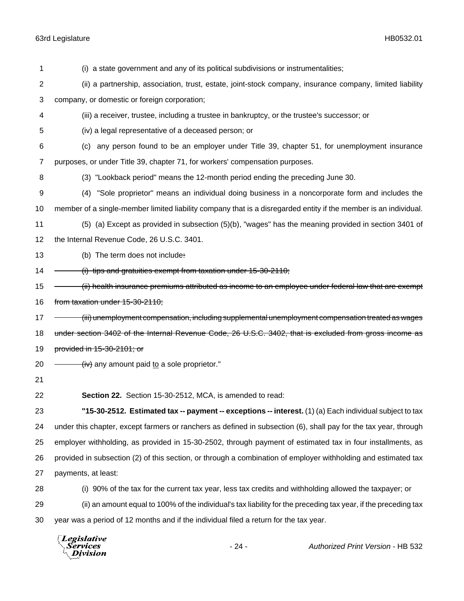| 1              | (i) a state government and any of its political subdivisions or instrumentalities;                               |
|----------------|------------------------------------------------------------------------------------------------------------------|
| 2              | (ii) a partnership, association, trust, estate, joint-stock company, insurance company, limited liability        |
| 3              | company, or domestic or foreign corporation;                                                                     |
| 4              | (iii) a receiver, trustee, including a trustee in bankruptcy, or the trustee's successor; or                     |
| 5              | (iv) a legal representative of a deceased person; or                                                             |
| 6              | any person found to be an employer under Title 39, chapter 51, for unemployment insurance<br>(C)                 |
| $\overline{7}$ | purposes, or under Title 39, chapter 71, for workers' compensation purposes.                                     |
| 8              | (3) "Lookback period" means the 12-month period ending the preceding June 30.                                    |
| 9              | "Sole proprietor" means an individual doing business in a noncorporate form and includes the<br>(4)              |
| 10             | member of a single-member limited liability company that is a disregarded entity if the member is an individual. |
| 11             | (5) (a) Except as provided in subsection (5)(b), "wages" has the meaning provided in section 3401 of             |
| 12             | the Internal Revenue Code, 26 U.S.C. 3401.                                                                       |
| 13             | (b) The term does not include:                                                                                   |
| 14             | $(i)$ tips and gratuities exempt from taxation under 15-30-2110;                                                 |
| 15             | ii) health insurance premiums attributed as income to an employee under federal law that are exempt              |
| 16             | from taxation under 15-30-2110;                                                                                  |
| 17             | <del>iii)</del> unemployment compensation, including supplemental unemployment compensation treated as wages     |
| 18             | under section 3402 of the Internal Revenue Code, 26 U.S.C. 3402, that is excluded from gross income as           |
| 19             | provided in 15-30-2101; or                                                                                       |
| 20             | (iv) any amount paid to a sole proprietor."                                                                      |
| 21             |                                                                                                                  |
| 22             | Section 22. Section 15-30-2512, MCA, is amended to read:                                                         |
| 23             | "15-30-2512. Estimated tax -- payment -- exceptions -- interest. $(1)$ (a) Each individual subject to tax        |
| 24             | under this chapter, except farmers or ranchers as defined in subsection (6), shall pay for the tax year, through |
| 25             | employer withholding, as provided in 15-30-2502, through payment of estimated tax in four installments, as       |
| 26             | provided in subsection (2) of this section, or through a combination of employer withholding and estimated tax   |
| 27             | payments, at least:                                                                                              |
| 28             | (i) 90% of the tax for the current tax year, less tax credits and withholding allowed the taxpayer; or           |
| 29             | (ii) an amount equal to 100% of the individual's tax liability for the preceding tax year, if the preceding tax  |
| 30             | year was a period of 12 months and if the individual filed a return for the tax year.                            |

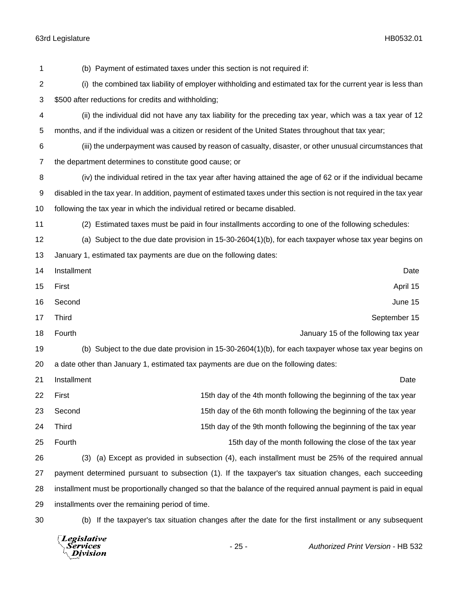(b) Payment of estimated taxes under this section is not required if: (i) the combined tax liability of employer withholding and estimated tax for the current year is less than \$500 after reductions for credits and withholding; (ii) the individual did not have any tax liability for the preceding tax year, which was a tax year of 12 months, and if the individual was a citizen or resident of the United States throughout that tax year; (iii) the underpayment was caused by reason of casualty, disaster, or other unusual circumstances that the department determines to constitute good cause; or (iv) the individual retired in the tax year after having attained the age of 62 or if the individual became disabled in the tax year. In addition, payment of estimated taxes under this section is not required in the tax year following the tax year in which the individual retired or became disabled. (2) Estimated taxes must be paid in four installments according to one of the following schedules: (a) Subject to the due date provision in 15-30-2604(1)(b), for each taxpayer whose tax year begins on January 1, estimated tax payments are due on the following dates: Installment Date First April 15 Second June 15 17 Third September 15 18 Fourth **The Fourth Contract of the following tax year** January 15 of the following tax year (b) Subject to the due date provision in 15-30-2604(1)(b), for each taxpayer whose tax year begins on a date other than January 1, estimated tax payments are due on the following dates: Installment Date 22 First 15th day of the 4th month following the beginning of the tax year 23 Second 2008 Second 15th day of the 6th month following the beginning of the tax year 24 Third 15th day of the 9th month following the beginning of the tax year 25 Fourth 15th day of the month following the close of the tax year (3) (a) Except as provided in subsection (4), each installment must be 25% of the required annual payment determined pursuant to subsection (1). If the taxpayer's tax situation changes, each succeeding installment must be proportionally changed so that the balance of the required annual payment is paid in equal installments over the remaining period of time. (b) If the taxpayer's tax situation changes after the date for the first installment or any subsequent

Legislative *Services* **Division**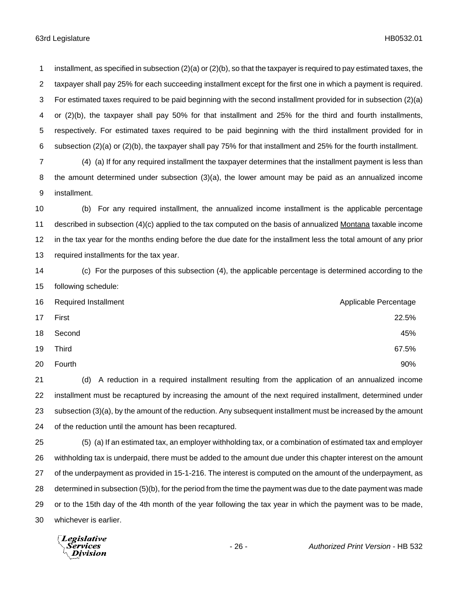installment, as specified in subsection (2)(a) or (2)(b), so that the taxpayer is required to pay estimated taxes, the taxpayer shall pay 25% for each succeeding installment except for the first one in which a payment is required. For estimated taxes required to be paid beginning with the second installment provided for in subsection (2)(a) or (2)(b), the taxpayer shall pay 50% for that installment and 25% for the third and fourth installments, respectively. For estimated taxes required to be paid beginning with the third installment provided for in subsection (2)(a) or (2)(b), the taxpayer shall pay 75% for that installment and 25% for the fourth installment.

 (4) (a) If for any required installment the taxpayer determines that the installment payment is less than the amount determined under subsection (3)(a), the lower amount may be paid as an annualized income installment.

 (b) For any required installment, the annualized income installment is the applicable percentage described in subsection (4)(c) applied to the tax computed on the basis of annualized Montana taxable income in the tax year for the months ending before the due date for the installment less the total amount of any prior required installments for the tax year.

 (c) For the purposes of this subsection (4), the applicable percentage is determined according to the following schedule:

|    | 16 Required Installment | Applicable Percentage |
|----|-------------------------|-----------------------|
| 17 | First                   | 22.5%                 |
| 18 | Second                  | 45%                   |
| 19 | Third                   | 67.5%                 |
| 20 | Fourth                  | 90%                   |

 (d) A reduction in a required installment resulting from the application of an annualized income installment must be recaptured by increasing the amount of the next required installment, determined under subsection (3)(a), by the amount of the reduction. Any subsequent installment must be increased by the amount of the reduction until the amount has been recaptured.

 (5) (a) If an estimated tax, an employer withholding tax, or a combination of estimated tax and employer withholding tax is underpaid, there must be added to the amount due under this chapter interest on the amount of the underpayment as provided in 15-1-216. The interest is computed on the amount of the underpayment, as determined in subsection (5)(b), for the period from the time the payment was due to the date payment was made or to the 15th day of the 4th month of the year following the tax year in which the payment was to be made, whichever is earlier.

Legislative Services Division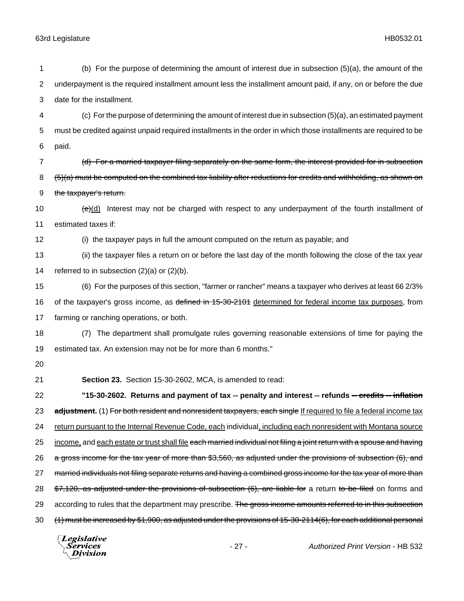| 1  | (b) For the purpose of determining the amount of interest due in subsection (5)(a), the amount of the                  |  |
|----|------------------------------------------------------------------------------------------------------------------------|--|
| 2  | underpayment is the required installment amount less the installment amount paid, if any, on or before the due         |  |
| 3  | date for the installment.                                                                                              |  |
| 4  | (c) For the purpose of determining the amount of interest due in subsection (5)(a), an estimated payment               |  |
| 5  | must be credited against unpaid required installments in the order in which those installments are required to be      |  |
| 6  | paid.                                                                                                                  |  |
| 7  | (d) For a married taxpayer filing separately on the same form, the interest provided for in subsection                 |  |
| 8  | (5)(a) must be computed on the combined tax liability after reductions for credits and withholding, as shown on        |  |
| 9  | the taxpayer's return.                                                                                                 |  |
| 10 | $(e)(d)$ Interest may not be charged with respect to any underpayment of the fourth installment of                     |  |
| 11 | estimated taxes if:                                                                                                    |  |
| 12 | (i) the taxpayer pays in full the amount computed on the return as payable; and                                        |  |
| 13 | (ii) the taxpayer files a return on or before the last day of the month following the close of the tax year            |  |
| 14 | referred to in subsection $(2)(a)$ or $(2)(b)$ .                                                                       |  |
| 15 | (6) For the purposes of this section, "farmer or rancher" means a taxpayer who derives at least 66 2/3%                |  |
| 16 | of the taxpayer's gross income, as defined in 15-30-2101 determined for federal income tax purposes, from              |  |
| 17 | farming or ranching operations, or both.                                                                               |  |
| 18 | (7) The department shall promulgate rules governing reasonable extensions of time for paying the                       |  |
| 19 | estimated tax. An extension may not be for more than 6 months."                                                        |  |
| 20 |                                                                                                                        |  |
| 21 | Section 23. Section 15-30-2602, MCA, is amended to read:                                                               |  |
| 22 | "15-30-2602. Returns and payment of tax -- penalty and interest -- refunds -- credits -- inflation                     |  |
| 23 | adjustment. (1) For both resident and nonresident taxpayers, each single If required to file a federal income tax      |  |
| 24 | return pursuant to the Internal Revenue Code, each individual, including each nonresident with Montana source          |  |
| 25 | income, and each estate or trust shall file each married individual not filing a joint return with a spouse and having |  |
| 26 | a gross income for the tax year of more than \$3,560, as adjusted under the provisions of subsection (6), and          |  |
| 27 | married individuals not filing separate returns and having a combined gross income for the tax year of more than       |  |
| 28 | \$7,120, as adjusted under the provisions of subsection (6), are liable for a return to be filed on forms and          |  |
| 29 | according to rules that the department may prescribe. The gross income amounts referred to in this subsection          |  |
| 30 | (1) must be increased by \$1,900, as adjusted under the provisions of 15-30-2114(6), for each additional personal      |  |
|    |                                                                                                                        |  |

*Legislative*<br>Services<br>*Division*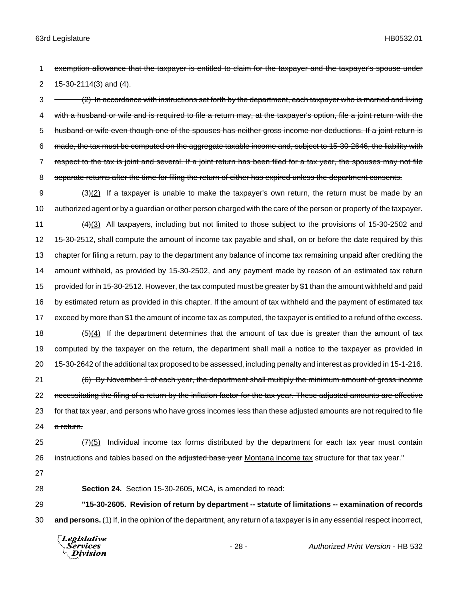1 exemption allowance that the taxpayer is entitled to claim for the taxpayer and the taxpayer's spouse under 2  $15-30-2114(3)$  and  $(4)$ .

3 (2) In accordance with instructions set forth by the department, each taxpayer who is married and living 4 with a husband or wife and is required to file a return may, at the taxpayer's option, file a joint return with the 5 husband or wife even though one of the spouses has neither gross income nor deductions. If a joint return is 6 made, the tax must be computed on the aggregate taxable income and, subject to 15-30-2646, the liability with 7 respect to the tax is joint and several. If a joint return has been filed for a tax year, the spouses may not file 8 separate returns after the time for filing the return of either has expired unless the department consents.

 $(3)(2)$  If a taxpayer is unable to make the taxpayer's own return, the return must be made by an authorized agent or by a guardian or other person charged with the care of the person or property of the taxpayer.  $(4)(3)$  All taxpayers, including but not limited to those subject to the provisions of 15-30-2502 and 15-30-2512, shall compute the amount of income tax payable and shall, on or before the date required by this chapter for filing a return, pay to the department any balance of income tax remaining unpaid after crediting the amount withheld, as provided by 15-30-2502, and any payment made by reason of an estimated tax return provided for in 15-30-2512. However, the tax computed must be greater by \$1 than the amount withheld and paid by estimated return as provided in this chapter. If the amount of tax withheld and the payment of estimated tax exceed by more than \$1 the amount of income tax as computed, the taxpayer is entitled to a refund of the excess.  $(5)(4)$  If the department determines that the amount of tax due is greater than the amount of tax computed by the taxpayer on the return, the department shall mail a notice to the taxpayer as provided in 15-30-2642 of the additional tax proposed to be assessed, including penalty and interest as provided in 15-1-216. (6) By November 1 of each year, the department shall multiply the minimum amount of gross income 22 necessitating the filing of a return by the inflation factor for the tax year. These adjusted amounts are effective 23 for that tax year, and persons who have gross incomes less than these adjusted amounts are not required to file 24 a return.

25  $(7)(5)$  Individual income tax forms distributed by the department for each tax year must contain 26 instructions and tables based on the adjusted base year Montana income tax structure for that tax year."

27

28 **Section 24.** Section 15-30-2605, MCA, is amended to read:

29 **"15-30-2605. Revision of return by department -- statute of limitations -- examination of records** 30 **and persons.** (1) If, in the opinion of the department, any return of a taxpayer is in any essential respect incorrect,

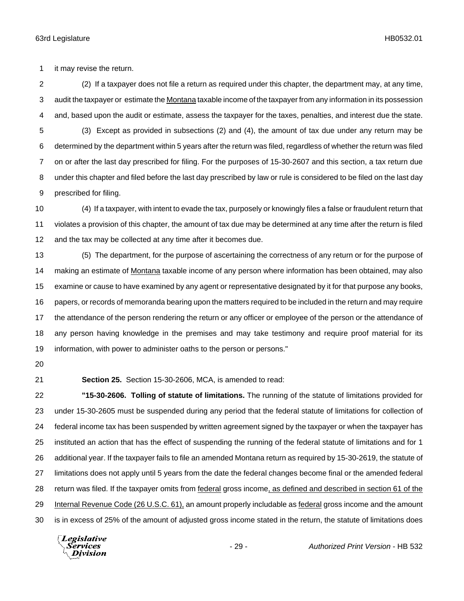it may revise the return.

 (2) If a taxpayer does not file a return as required under this chapter, the department may, at any time, audit the taxpayer or estimate the Montana taxable income of the taxpayer from any information in its possession and, based upon the audit or estimate, assess the taxpayer for the taxes, penalties, and interest due the state. (3) Except as provided in subsections (2) and (4), the amount of tax due under any return may be determined by the department within 5 years after the return was filed, regardless of whether the return was filed on or after the last day prescribed for filing. For the purposes of 15-30-2607 and this section, a tax return due under this chapter and filed before the last day prescribed by law or rule is considered to be filed on the last day prescribed for filing.

 (4) If a taxpayer, with intent to evade the tax, purposely or knowingly files a false or fraudulent return that violates a provision of this chapter, the amount of tax due may be determined at any time after the return is filed and the tax may be collected at any time after it becomes due.

 (5) The department, for the purpose of ascertaining the correctness of any return or for the purpose of 14 making an estimate of Montana taxable income of any person where information has been obtained, may also examine or cause to have examined by any agent or representative designated by it for that purpose any books, papers, or records of memoranda bearing upon the matters required to be included in the return and may require the attendance of the person rendering the return or any officer or employee of the person or the attendance of any person having knowledge in the premises and may take testimony and require proof material for its information, with power to administer oaths to the person or persons."

**Section 25.** Section 15-30-2606, MCA, is amended to read:

 **"15-30-2606. Tolling of statute of limitations.** The running of the statute of limitations provided for under 15-30-2605 must be suspended during any period that the federal statute of limitations for collection of federal income tax has been suspended by written agreement signed by the taxpayer or when the taxpayer has instituted an action that has the effect of suspending the running of the federal statute of limitations and for 1 additional year. If the taxpayer fails to file an amended Montana return as required by 15-30-2619, the statute of limitations does not apply until 5 years from the date the federal changes become final or the amended federal return was filed. If the taxpayer omits from federal gross income, as defined and described in section 61 of the Internal Revenue Code (26 U.S.C. 61), an amount properly includable as federal gross income and the amount is in excess of 25% of the amount of adjusted gross income stated in the return, the statute of limitations does

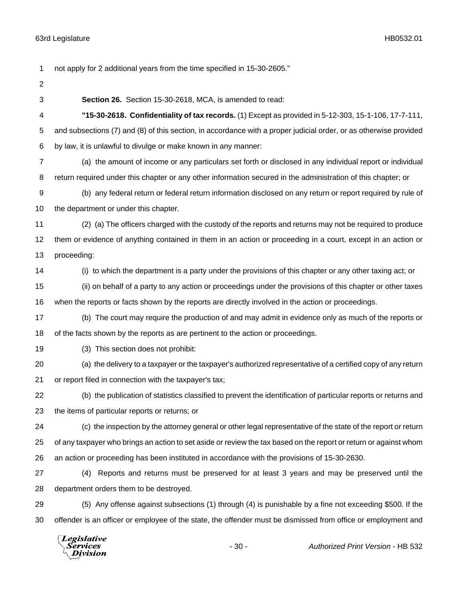not apply for 2 additional years from the time specified in 15-30-2605."

- 
- 

**Section 26.** Section 15-30-2618, MCA, is amended to read:

 **"15-30-2618. Confidentiality of tax records.** (1) Except as provided in 5-12-303, 15-1-106, 17-7-111, and subsections (7) and (8) of this section, in accordance with a proper judicial order, or as otherwise provided by law, it is unlawful to divulge or make known in any manner:

 (a) the amount of income or any particulars set forth or disclosed in any individual report or individual return required under this chapter or any other information secured in the administration of this chapter; or

 (b) any federal return or federal return information disclosed on any return or report required by rule of the department or under this chapter.

 (2) (a) The officers charged with the custody of the reports and returns may not be required to produce them or evidence of anything contained in them in an action or proceeding in a court, except in an action or proceeding:

 (i) to which the department is a party under the provisions of this chapter or any other taxing act; or (ii) on behalf of a party to any action or proceedings under the provisions of this chapter or other taxes

when the reports or facts shown by the reports are directly involved in the action or proceedings.

 (b) The court may require the production of and may admit in evidence only as much of the reports or of the facts shown by the reports as are pertinent to the action or proceedings.

(3) This section does not prohibit:

 (a) the delivery to a taxpayer or the taxpayer's authorized representative of a certified copy of any return or report filed in connection with the taxpayer's tax;

 (b) the publication of statistics classified to prevent the identification of particular reports or returns and the items of particular reports or returns; or

 (c) the inspection by the attorney general or other legal representative of the state of the report or return of any taxpayer who brings an action to set aside or review the tax based on the report or return or against whom an action or proceeding has been instituted in accordance with the provisions of 15-30-2630.

 (4) Reports and returns must be preserved for at least 3 years and may be preserved until the department orders them to be destroyed.

 (5) Any offense against subsections (1) through (4) is punishable by a fine not exceeding \$500. If the offender is an officer or employee of the state, the offender must be dismissed from office or employment and

Legislative *Services* **Division**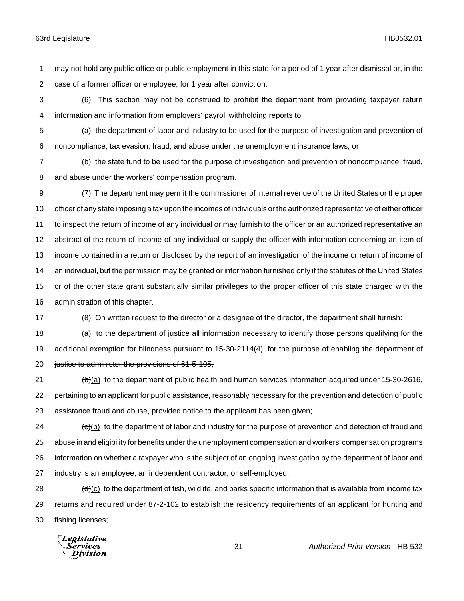may not hold any public office or public employment in this state for a period of 1 year after dismissal or, in the case of a former officer or employee, for 1 year after conviction.

 (6) This section may not be construed to prohibit the department from providing taxpayer return information and information from employers' payroll withholding reports to:

 (a) the department of labor and industry to be used for the purpose of investigation and prevention of noncompliance, tax evasion, fraud, and abuse under the unemployment insurance laws; or

 (b) the state fund to be used for the purpose of investigation and prevention of noncompliance, fraud, and abuse under the workers' compensation program.

 (7) The department may permit the commissioner of internal revenue of the United States or the proper officer of any state imposing a tax upon the incomes of individuals or the authorized representative of either officer to inspect the return of income of any individual or may furnish to the officer or an authorized representative an abstract of the return of income of any individual or supply the officer with information concerning an item of income contained in a return or disclosed by the report of an investigation of the income or return of income of an individual, but the permission may be granted or information furnished only if the statutes of the United States or of the other state grant substantially similar privileges to the proper officer of this state charged with the administration of this chapter.

(8) On written request to the director or a designee of the director, the department shall furnish:

18 (a) to the department of justice all information necessary to identify those persons qualifying for the 19 additional exemption for blindness pursuant to 15-30-2114(4), for the purpose of enabling the department of 20 justice to administer the provisions of 61-5-105;

 (b)(a) to the department of public health and human services information acquired under 15-30-2616, pertaining to an applicant for public assistance, reasonably necessary for the prevention and detection of public assistance fraud and abuse, provided notice to the applicant has been given;

24 (c)(b) to the department of labor and industry for the purpose of prevention and detection of fraud and abuse in and eligibility for benefits under the unemployment compensation and workers' compensation programs information on whether a taxpayer who is the subject of an ongoing investigation by the department of labor and industry is an employee, an independent contractor, or self-employed;

28  $\left(\frac{d}{dx}\right)(c)$  to the department of fish, wildlife, and parks specific information that is available from income tax returns and required under 87-2-102 to establish the residency requirements of an applicant for hunting and fishing licenses;

Legislative Services Division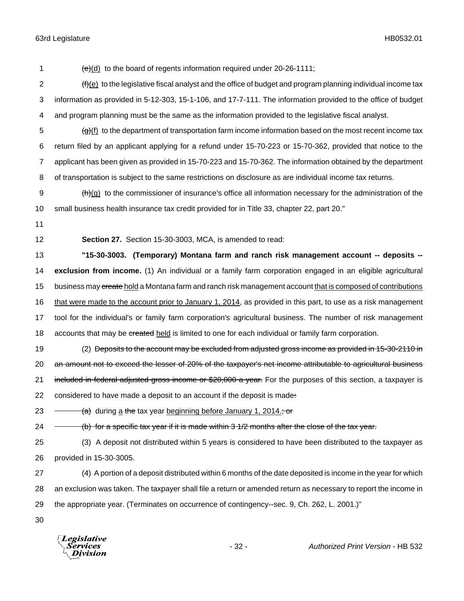1  $\left(\frac{e}{d}\right)$  to the board of regents information required under 20-26-1111; 2 (f)(e) to the legislative fiscal analyst and the office of budget and program planning individual income tax 3 information as provided in 5-12-303, 15-1-106, and 17-7-111. The information provided to the office of budget 4 and program planning must be the same as the information provided to the legislative fiscal analyst.  $\frac{1}{2}$  (g)(f) to the department of transportation farm income information based on the most recent income tax 6 return filed by an applicant applying for a refund under 15-70-223 or 15-70-362, provided that notice to the 7 applicant has been given as provided in 15-70-223 and 15-70-362. The information obtained by the department 8 of transportation is subject to the same restrictions on disclosure as are individual income tax returns.  $\theta$  (h)(g) to the commissioner of insurance's office all information necessary for the administration of the 10 small business health insurance tax credit provided for in Title 33, chapter 22, part 20." 11 12 **Section 27.** Section 15-30-3003, MCA, is amended to read: 13 **"15-30-3003. (Temporary) Montana farm and ranch risk management account -- deposits --** 14 **exclusion from income.** (1) An individual or a family farm corporation engaged in an eligible agricultural 15 business may create hold a Montana farm and ranch risk management account that is composed of contributions 16 that were made to the account prior to January 1, 2014, as provided in this part, to use as a risk management 17 tool for the individual's or family farm corporation's agricultural business. The number of risk management 18 accounts that may be created held is limited to one for each individual or family farm corporation. 19 (2) Deposits to the account may be excluded from adjusted gross income as provided in 15-30-2110 in 20 an amount not to exceed the lesser of 20% of the taxpayer's net income attributable to agricultural business 21 included in federal adjusted gross income or \$20,000 a year. For the purposes of this section, a taxpayer is 22 considered to have made a deposit to an account if the deposit is made: 23  $\rightarrow$  (a) during a the tax year beginning before January 1, 2014.; or 24 (b) for a specific tax year if it is made within 3 1/2 months after the close of the tax year. 25 (3) A deposit not distributed within 5 years is considered to have been distributed to the taxpayer as 26 provided in 15-30-3005. 27 (4) A portion of a deposit distributed within 6 months of the date deposited is income in the year for which 28 an exclusion was taken. The taxpayer shall file a return or amended return as necessary to report the income in 29 the appropriate year. (Terminates on occurrence of contingency--sec. 9, Ch. 262, L. 2001.)" 30 **Legislative** 

Division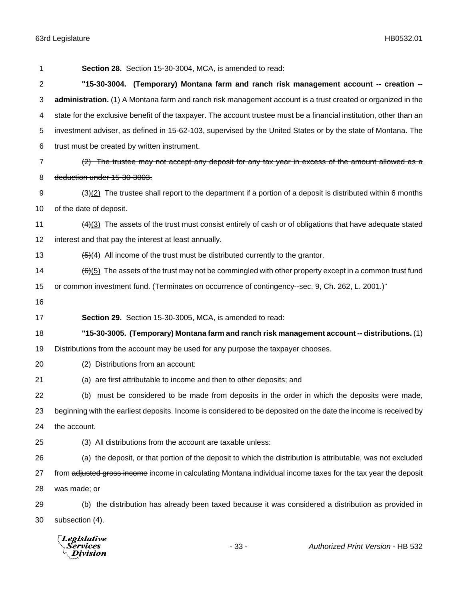| 1  | Section 28. Section 15-30-3004, MCA, is amended to read:                                                                   |  |
|----|----------------------------------------------------------------------------------------------------------------------------|--|
| 2  | "15-30-3004. (Temporary) Montana farm and ranch risk management account -- creation --                                     |  |
| 3  | administration. (1) A Montana farm and ranch risk management account is a trust created or organized in the                |  |
| 4  | state for the exclusive benefit of the taxpayer. The account trustee must be a financial institution, other than an        |  |
| 5  | investment adviser, as defined in 15-62-103, supervised by the United States or by the state of Montana. The               |  |
| 6  | trust must be created by written instrument.                                                                               |  |
| 7  | (2) The trustee may not accept any deposit for any tax year in excess of the amount allowed as a                           |  |
| 8  | deduction under 15-30-3003.                                                                                                |  |
| 9  | $\frac{1}{2}$ The trustee shall report to the department if a portion of a deposit is distributed within 6 months          |  |
| 10 | of the date of deposit.                                                                                                    |  |
| 11 | $\frac{(4)(3)}{(4)(3)}$ The assets of the trust must consist entirely of cash or of obligations that have adequate stated  |  |
| 12 | interest and that pay the interest at least annually.                                                                      |  |
| 13 | $\frac{1}{2}$ All income of the trust must be distributed currently to the grantor.                                        |  |
| 14 | $\left(\frac{6}{6}\right)$ The assets of the trust may not be commingled with other property except in a common trust fund |  |
| 15 | or common investment fund. (Terminates on occurrence of contingency--sec. 9, Ch. 262, L. 2001.)"                           |  |
| 16 |                                                                                                                            |  |
| 17 | Section 29. Section 15-30-3005, MCA, is amended to read:                                                                   |  |
| 18 | "15-30-3005. (Temporary) Montana farm and ranch risk management account -- distributions. (1)                              |  |
| 19 | Distributions from the account may be used for any purpose the taxpayer chooses.                                           |  |
| 20 | (2) Distributions from an account:                                                                                         |  |
| 21 | (a) are first attributable to income and then to other deposits; and                                                       |  |
| 22 | (b) must be considered to be made from deposits in the order in which the deposits were made,                              |  |
| 23 | beginning with the earliest deposits. Income is considered to be deposited on the date the income is received by           |  |
| 24 | the account.                                                                                                               |  |
| 25 | (3) All distributions from the account are taxable unless:                                                                 |  |
| 26 | (a) the deposit, or that portion of the deposit to which the distribution is attributable, was not excluded                |  |
| 27 | from adjusted gross income income in calculating Montana individual income taxes for the tax year the deposit              |  |
| 28 | was made; or                                                                                                               |  |
|    |                                                                                                                            |  |
| 29 | (b) the distribution has already been taxed because it was considered a distribution as provided in                        |  |

*Legislative*<br>Services<br>*Division*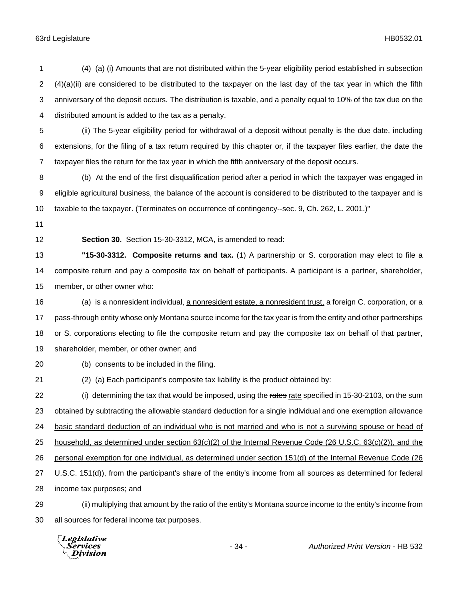(4) (a) (i) Amounts that are not distributed within the 5-year eligibility period established in subsection  $2 \left( 4 \right)$ (a)(ii) are considered to be distributed to the taxpayer on the last day of the tax year in which the fifth anniversary of the deposit occurs. The distribution is taxable, and a penalty equal to 10% of the tax due on the distributed amount is added to the tax as a penalty. (ii) The 5-year eligibility period for withdrawal of a deposit without penalty is the due date, including extensions, for the filing of a tax return required by this chapter or, if the taxpayer files earlier, the date the taxpayer files the return for the tax year in which the fifth anniversary of the deposit occurs. (b) At the end of the first disqualification period after a period in which the taxpayer was engaged in eligible agricultural business, the balance of the account is considered to be distributed to the taxpayer and is taxable to the taxpayer. (Terminates on occurrence of contingency--sec. 9, Ch. 262, L. 2001.)" **Section 30.** Section 15-30-3312, MCA, is amended to read: **"15-30-3312. Composite returns and tax.** (1) A partnership or S. corporation may elect to file a composite return and pay a composite tax on behalf of participants. A participant is a partner, shareholder, member, or other owner who: (a) is a nonresident individual, a nonresident estate, a nonresident trust, a foreign C. corporation, or a pass-through entity whose only Montana source income for the tax year is from the entity and other partnerships or S. corporations electing to file the composite return and pay the composite tax on behalf of that partner, shareholder, member, or other owner; and (b) consents to be included in the filing. (2) (a) Each participant's composite tax liability is the product obtained by: 22 (i) determining the tax that would be imposed, using the rates rate specified in 15-30-2103, on the sum 23 obtained by subtracting the allowable standard deduction for a single individual and one exemption allowance basic standard deduction of an individual who is not married and who is not a surviving spouse or head of household, as determined under section 63(c)(2) of the Internal Revenue Code (26 U.S.C. 63(c)(2)), and the personal exemption for one individual, as determined under section 151(d) of the Internal Revenue Code (26 U.S.C. 151(d)), from the participant's share of the entity's income from all sources as determined for federal income tax purposes; and (ii) multiplying that amount by the ratio of the entity's Montana source income to the entity's income from all sources for federal income tax purposes.

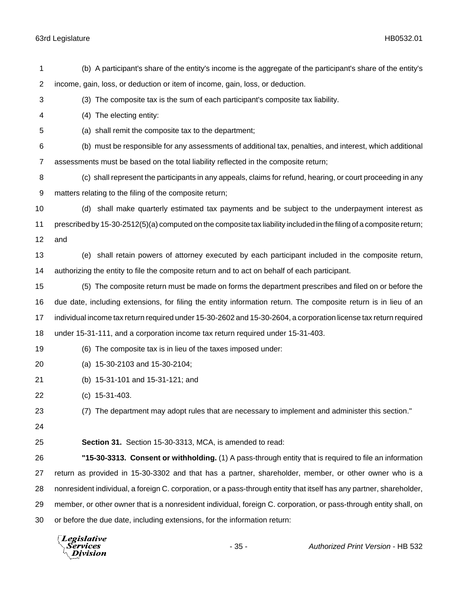| 1              | (b) A participant's share of the entity's income is the aggregate of the participant's share of the entity's         |  |
|----------------|----------------------------------------------------------------------------------------------------------------------|--|
| $\overline{2}$ | income, gain, loss, or deduction or item of income, gain, loss, or deduction.                                        |  |
| 3              | (3) The composite tax is the sum of each participant's composite tax liability.                                      |  |
| 4              | (4) The electing entity:                                                                                             |  |
| 5              | (a) shall remit the composite tax to the department;                                                                 |  |
| 6              | (b) must be responsible for any assessments of additional tax, penalties, and interest, which additional             |  |
| 7              | assessments must be based on the total liability reflected in the composite return;                                  |  |
| 8              | (c) shall represent the participants in any appeals, claims for refund, hearing, or court proceeding in any          |  |
| 9              | matters relating to the filing of the composite return;                                                              |  |
| 10             | (d) shall make quarterly estimated tax payments and be subject to the underpayment interest as                       |  |
| 11             | prescribed by 15-30-2512(5)(a) computed on the composite tax liability included in the filing of a composite return; |  |
| 12             | and                                                                                                                  |  |
| 13             | (e) shall retain powers of attorney executed by each participant included in the composite return,                   |  |
| 14             | authorizing the entity to file the composite return and to act on behalf of each participant.                        |  |
| 15             | (5) The composite return must be made on forms the department prescribes and filed on or before the                  |  |
| 16             | due date, including extensions, for filing the entity information return. The composite return is in lieu of an      |  |
| 17             | individual income tax return required under 15-30-2602 and 15-30-2604, a corporation license tax return required     |  |
| 18             | under 15-31-111, and a corporation income tax return required under 15-31-403.                                       |  |
| 19             | (6) The composite tax is in lieu of the taxes imposed under:                                                         |  |
| 20             | (a) 15-30-2103 and 15-30-2104;                                                                                       |  |
| 21             | (b) 15-31-101 and 15-31-121; and                                                                                     |  |
| 22             | $(c)$ 15-31-403.                                                                                                     |  |
| 23             | (7) The department may adopt rules that are necessary to implement and administer this section."                     |  |
| 24             |                                                                                                                      |  |
| 25             | Section 31. Section 15-30-3313, MCA, is amended to read:                                                             |  |
| 26             | "15-30-3313. Consent or withholding. (1) A pass-through entity that is required to file an information               |  |
| 27             | return as provided in 15-30-3302 and that has a partner, shareholder, member, or other owner who is a                |  |
| 28             | nonresident individual, a foreign C. corporation, or a pass-through entity that itself has any partner, shareholder, |  |
| 29             | member, or other owner that is a nonresident individual, foreign C. corporation, or pass-through entity shall, on    |  |
| 30             | or before the due date, including extensions, for the information return:                                            |  |
|                | $\Box$ egislative                                                                                                    |  |

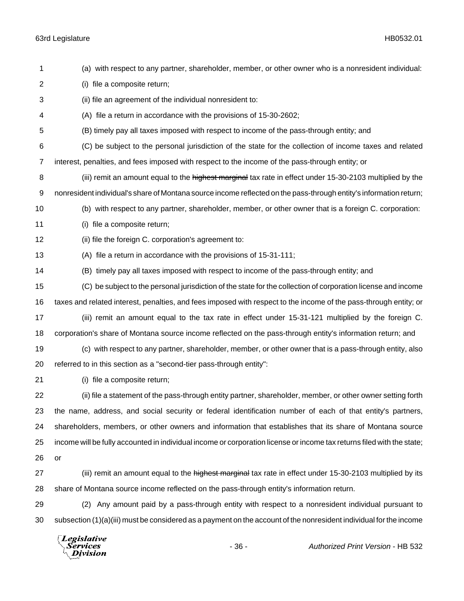(a) with respect to any partner, shareholder, member, or other owner who is a nonresident individual: (i) file a composite return; (ii) file an agreement of the individual nonresident to: (A) file a return in accordance with the provisions of 15-30-2602; (B) timely pay all taxes imposed with respect to income of the pass-through entity; and (C) be subject to the personal jurisdiction of the state for the collection of income taxes and related interest, penalties, and fees imposed with respect to the income of the pass-through entity; or 8 (iii) remit an amount equal to the highest marginal tax rate in effect under 15-30-2103 multiplied by the nonresident individual's share of Montana source income reflected on the pass-through entity's information return; (b) with respect to any partner, shareholder, member, or other owner that is a foreign C. corporation: (i) file a composite return; (ii) file the foreign C. corporation's agreement to: (A) file a return in accordance with the provisions of 15-31-111; (B) timely pay all taxes imposed with respect to income of the pass-through entity; and (C) be subject to the personal jurisdiction of the state for the collection of corporation license and income taxes and related interest, penalties, and fees imposed with respect to the income of the pass-through entity; or (iii) remit an amount equal to the tax rate in effect under 15-31-121 multiplied by the foreign C. corporation's share of Montana source income reflected on the pass-through entity's information return; and (c) with respect to any partner, shareholder, member, or other owner that is a pass-through entity, also referred to in this section as a "second-tier pass-through entity": (i) file a composite return; (ii) file a statement of the pass-through entity partner, shareholder, member, or other owner setting forth the name, address, and social security or federal identification number of each of that entity's partners, shareholders, members, or other owners and information that establishes that its share of Montana source income will be fully accounted in individual income or corporation license or income tax returns filed with the state; or 27 (iii) remit an amount equal to the highest marginal tax rate in effect under 15-30-2103 multiplied by its share of Montana source income reflected on the pass-through entity's information return. (2) Any amount paid by a pass-through entity with respect to a nonresident individual pursuant to subsection (1)(a)(iii) must be considered as a payment on the account of the nonresident individual for the income Legislative

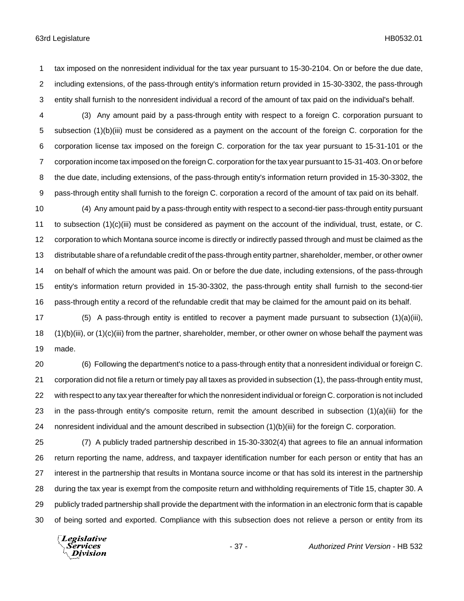- tax imposed on the nonresident individual for the tax year pursuant to 15-30-2104. On or before the due date, including extensions, of the pass-through entity's information return provided in 15-30-3302, the pass-through entity shall furnish to the nonresident individual a record of the amount of tax paid on the individual's behalf.
- (3) Any amount paid by a pass-through entity with respect to a foreign C. corporation pursuant to subsection (1)(b)(iii) must be considered as a payment on the account of the foreign C. corporation for the corporation license tax imposed on the foreign C. corporation for the tax year pursuant to 15-31-101 or the corporation income tax imposed on the foreign C. corporation for the tax year pursuant to 15-31-403. On or before the due date, including extensions, of the pass-through entity's information return provided in 15-30-3302, the pass-through entity shall furnish to the foreign C. corporation a record of the amount of tax paid on its behalf.
- (4) Any amount paid by a pass-through entity with respect to a second-tier pass-through entity pursuant to subsection (1)(c)(iii) must be considered as payment on the account of the individual, trust, estate, or C. corporation to which Montana source income is directly or indirectly passed through and must be claimed as the distributable share of a refundable credit of the pass-through entity partner, shareholder, member, or other owner on behalf of which the amount was paid. On or before the due date, including extensions, of the pass-through entity's information return provided in 15-30-3302, the pass-through entity shall furnish to the second-tier pass-through entity a record of the refundable credit that may be claimed for the amount paid on its behalf.
- (5) A pass-through entity is entitled to recover a payment made pursuant to subsection (1)(a)(iii), (1)(b)(iii), or (1)(c)(iii) from the partner, shareholder, member, or other owner on whose behalf the payment was made.
- (6) Following the department's notice to a pass-through entity that a nonresident individual or foreign C. corporation did not file a return or timely pay all taxes as provided in subsection (1), the pass-through entity must, with respect to any tax year thereafter for which the nonresident individual or foreign C. corporation is not included in the pass-through entity's composite return, remit the amount described in subsection (1)(a)(iii) for the nonresident individual and the amount described in subsection (1)(b)(iii) for the foreign C. corporation.
- (7) A publicly traded partnership described in 15-30-3302(4) that agrees to file an annual information return reporting the name, address, and taxpayer identification number for each person or entity that has an interest in the partnership that results in Montana source income or that has sold its interest in the partnership during the tax year is exempt from the composite return and withholding requirements of Title 15, chapter 30. A publicly traded partnership shall provide the department with the information in an electronic form that is capable of being sorted and exported. Compliance with this subsection does not relieve a person or entity from its

Legislative *Services* **Division**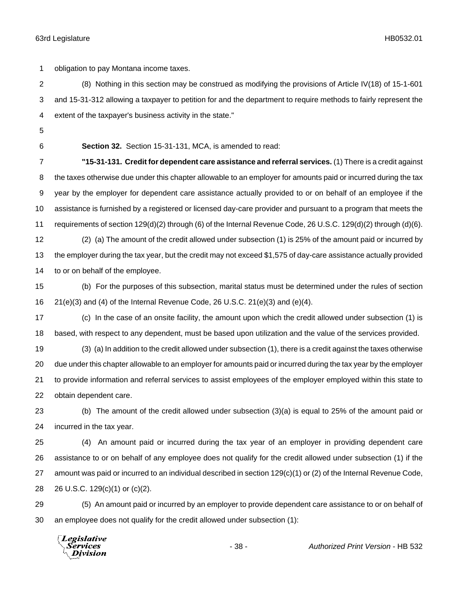obligation to pay Montana income taxes.

 (8) Nothing in this section may be construed as modifying the provisions of Article IV(18) of 15-1-601 and 15-31-312 allowing a taxpayer to petition for and the department to require methods to fairly represent the extent of the taxpayer's business activity in the state."

**Section 32.** Section 15-31-131, MCA, is amended to read:

 **"15-31-131. Credit for dependent care assistance and referral services.** (1) There is a credit against 8 the taxes otherwise due under this chapter allowable to an employer for amounts paid or incurred during the tax year by the employer for dependent care assistance actually provided to or on behalf of an employee if the assistance is furnished by a registered or licensed day-care provider and pursuant to a program that meets the requirements of section 129(d)(2) through (6) of the Internal Revenue Code, 26 U.S.C. 129(d)(2) through (d)(6).

 (2) (a) The amount of the credit allowed under subsection (1) is 25% of the amount paid or incurred by the employer during the tax year, but the credit may not exceed \$1,575 of day-care assistance actually provided to or on behalf of the employee.

 (b) For the purposes of this subsection, marital status must be determined under the rules of section 21(e)(3) and (4) of the Internal Revenue Code, 26 U.S.C. 21(e)(3) and (e)(4).

 (c) In the case of an onsite facility, the amount upon which the credit allowed under subsection (1) is based, with respect to any dependent, must be based upon utilization and the value of the services provided.

 (3) (a) In addition to the credit allowed under subsection (1), there is a credit against the taxes otherwise due under this chapter allowable to an employer for amounts paid or incurred during the tax year by the employer to provide information and referral services to assist employees of the employer employed within this state to obtain dependent care.

 (b) The amount of the credit allowed under subsection (3)(a) is equal to 25% of the amount paid or incurred in the tax year.

 (4) An amount paid or incurred during the tax year of an employer in providing dependent care assistance to or on behalf of any employee does not qualify for the credit allowed under subsection (1) if the amount was paid or incurred to an individual described in section 129(c)(1) or (2) of the Internal Revenue Code, 26 U.S.C. 129(c)(1) or (c)(2).

 (5) An amount paid or incurred by an employer to provide dependent care assistance to or on behalf of an employee does not qualify for the credit allowed under subsection (1):

Legislative Services **Division**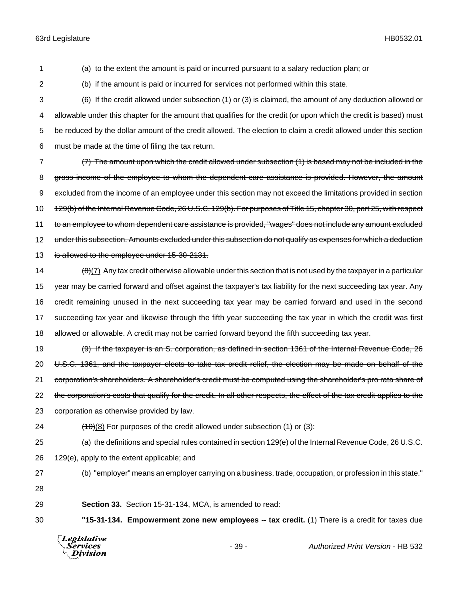1 (a) to the extent the amount is paid or incurred pursuant to a salary reduction plan; or

2 (b) if the amount is paid or incurred for services not performed within this state.

 (6) If the credit allowed under subsection (1) or (3) is claimed, the amount of any deduction allowed or allowable under this chapter for the amount that qualifies for the credit (or upon which the credit is based) must be reduced by the dollar amount of the credit allowed. The election to claim a credit allowed under this section must be made at the time of filing the tax return.

7 (7) The amount upon which the credit allowed under subsection (1) is based may not be included in the 8 gross income of the employee to whom the dependent care assistance is provided. However, the amount 9 excluded from the income of an employee under this section may not exceed the limitations provided in section 10 129(b) of the Internal Revenue Code, 26 U.S.C. 129(b). For purposes of Title 15, chapter 30, part 25, with respect 11 to an employee to whom dependent care assistance is provided, "wages" does not include any amount excluded 12 under this subsection. Amounts excluded under this subsection do not qualify as expenses for which a deduction 13 is allowed to the employee under 15-30-2131.

 $\frac{(\theta)(7)}{(\theta)(7)}$  Any tax credit otherwise allowable under this section that is not used by the taxpayer in a particular year may be carried forward and offset against the taxpayer's tax liability for the next succeeding tax year. Any credit remaining unused in the next succeeding tax year may be carried forward and used in the second succeeding tax year and likewise through the fifth year succeeding the tax year in which the credit was first allowed or allowable. A credit may not be carried forward beyond the fifth succeeding tax year.

19 (9) If the taxpayer is an S. corporation, as defined in section 1361 of the Internal Revenue Code, 26 20 U.S.C. 1361, and the taxpayer elects to take tax credit relief, the election may be made on behalf of the 21 corporation's shareholders. A shareholder's credit must be computed using the shareholder's pro rata share of 22 the corporation's costs that qualify for the credit. In all other respects, the effect of the tax credit applies to the 23 corporation as otherwise provided by law.

24  $(10)(8)$  For purposes of the credit allowed under subsection (1) or (3):

25 (a) the definitions and special rules contained in section 129(e) of the Internal Revenue Code, 26 U.S.C.

26 129(e), apply to the extent applicable; and

27 (b) "employer" means an employer carrying on a business, trade, occupation, or profession in this state." 28

29 **Section 33.** Section 15-31-134, MCA, is amended to read:

30 **"15-31-134. Empowerment zone new employees -- tax credit.** (1) There is a credit for taxes due



- 39 - *Authorized Print Version* - HB 532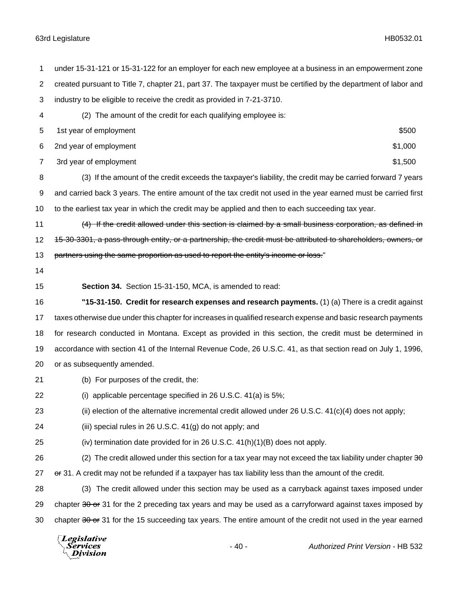under 15-31-121 or 15-31-122 for an employer for each new employee at a business in an empowerment zone created pursuant to Title 7, chapter 21, part 37. The taxpayer must be certified by the department of labor and industry to be eligible to receive the credit as provided in 7-21-3710. (2) The amount of the credit for each qualifying employee is: 5 1st year of employment \$500 6 2nd year of employment  $\text{S1,000}$ 7 3rd year of employment  $\sim$  3rd year of employment  $\sim$  31,500 (3) If the amount of the credit exceeds the taxpayer's liability, the credit may be carried forward 7 years and carried back 3 years. The entire amount of the tax credit not used in the year earned must be carried first to the earliest tax year in which the credit may be applied and then to each succeeding tax year. 11 (4) If the credit allowed under this section is claimed by a small business corporation, as defined in 12 15-30-3301, a pass-through entity, or a partnership, the credit must be attributed to shareholders, owners, or 13 partners using the same proportion as used to report the entity's income or loss." **Section 34.** Section 15-31-150, MCA, is amended to read: **"15-31-150. Credit for research expenses and research payments.** (1) (a) There is a credit against taxes otherwise due under this chapter for increases in qualified research expense and basic research payments for research conducted in Montana. Except as provided in this section, the credit must be determined in accordance with section 41 of the Internal Revenue Code, 26 U.S.C. 41, as that section read on July 1, 1996, or as subsequently amended. (b) For purposes of the credit, the: (i) applicable percentage specified in 26 U.S.C. 41(a) is 5%; (ii) election of the alternative incremental credit allowed under 26 U.S.C. 41(c)(4) does not apply; (iii) special rules in 26 U.S.C. 41(g) do not apply; and (iv) termination date provided for in 26 U.S.C. 41(h)(1)(B) does not apply. 26 (2) The credit allowed under this section for a tax year may not exceed the tax liability under chapter  $3\theta$  or 31. A credit may not be refunded if a taxpayer has tax liability less than the amount of the credit. (3) The credit allowed under this section may be used as a carryback against taxes imposed under 29 chapter  $30 \text{ or } 31$  for the 2 preceding tax years and may be used as a carryforward against taxes imposed by 30 chapter or 31 for the 15 succeeding tax years. The entire amount of the credit not used in the year earned Legislative

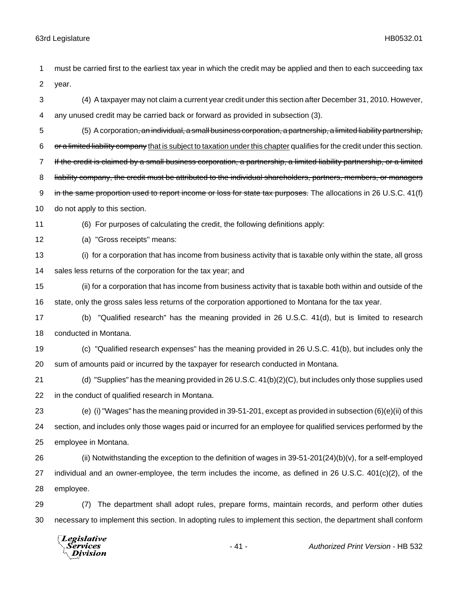must be carried first to the earliest tax year in which the credit may be applied and then to each succeeding tax year. (4) A taxpayer may not claim a current year credit under this section after December 31, 2010. However, any unused credit may be carried back or forward as provided in subsection (3). (5) A corporation, an individual, a small business corporation, a partnership, a limited liability partnership, 6 or a limited liability company that is subject to taxation under this chapter qualifies for the credit under this section. If the credit is claimed by a small business corporation, a partnership, a limited liability partnership, or a limited 8 liability company, the credit must be attributed to the individual shareholders, partners, members, or managers 9 in the same proportion used to report income or loss for state tax purposes. The allocations in 26 U.S.C. 41(f) do not apply to this section. (6) For purposes of calculating the credit, the following definitions apply: (a) "Gross receipts" means: (i) for a corporation that has income from business activity that is taxable only within the state, all gross sales less returns of the corporation for the tax year; and (ii) for a corporation that has income from business activity that is taxable both within and outside of the state, only the gross sales less returns of the corporation apportioned to Montana for the tax year. (b) "Qualified research" has the meaning provided in 26 U.S.C. 41(d), but is limited to research

conducted in Montana.

 (c) "Qualified research expenses" has the meaning provided in 26 U.S.C. 41(b), but includes only the sum of amounts paid or incurred by the taxpayer for research conducted in Montana.

 (d) "Supplies" has the meaning provided in 26 U.S.C. 41(b)(2)(C), but includes only those supplies used in the conduct of qualified research in Montana.

 (e) (i) "Wages" has the meaning provided in 39-51-201, except as provided in subsection (6)(e)(ii) of this section, and includes only those wages paid or incurred for an employee for qualified services performed by the employee in Montana.

 (ii) Notwithstanding the exception to the definition of wages in 39-51-201(24)(b)(v), for a self-employed individual and an owner-employee, the term includes the income, as defined in 26 U.S.C. 401(c)(2), of the employee.

 (7) The department shall adopt rules, prepare forms, maintain records, and perform other duties necessary to implement this section. In adopting rules to implement this section, the department shall conform

Legislative *Services* **Division**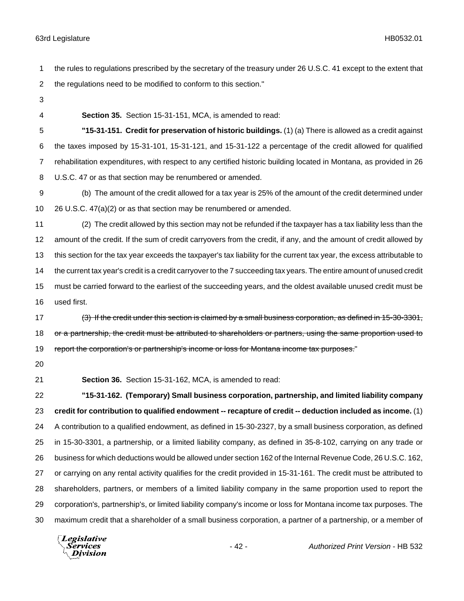- the rules to regulations prescribed by the secretary of the treasury under 26 U.S.C. 41 except to the extent that the regulations need to be modified to conform to this section."
- 
- 

**Section 35.** Section 15-31-151, MCA, is amended to read:

 **"15-31-151. Credit for preservation of historic buildings.** (1) (a) There is allowed as a credit against the taxes imposed by 15-31-101, 15-31-121, and 15-31-122 a percentage of the credit allowed for qualified rehabilitation expenditures, with respect to any certified historic building located in Montana, as provided in 26 U.S.C. 47 or as that section may be renumbered or amended.

 (b) The amount of the credit allowed for a tax year is 25% of the amount of the credit determined under 26 U.S.C. 47(a)(2) or as that section may be renumbered or amended.

 (2) The credit allowed by this section may not be refunded if the taxpayer has a tax liability less than the amount of the credit. If the sum of credit carryovers from the credit, if any, and the amount of credit allowed by this section for the tax year exceeds the taxpayer's tax liability for the current tax year, the excess attributable to the current tax year's credit is a credit carryover to the 7 succeeding tax years. The entire amount of unused credit must be carried forward to the earliest of the succeeding years, and the oldest available unused credit must be used first.

17 (3) If the credit under this section is claimed by a small business corporation, as defined in 15-30-3301, 18 or a partnership, the credit must be attributed to shareholders or partners, using the same proportion used to 19 report the corporation's or partnership's income or loss for Montana income tax purposes."

**Section 36.** Section 15-31-162, MCA, is amended to read:

 **"15-31-162. (Temporary) Small business corporation, partnership, and limited liability company credit for contribution to qualified endowment -- recapture of credit -- deduction included as income.** (1) A contribution to a qualified endowment, as defined in 15-30-2327, by a small business corporation, as defined in 15-30-3301, a partnership, or a limited liability company, as defined in 35-8-102, carrying on any trade or business for which deductions would be allowed under section 162 of the Internal Revenue Code, 26 U.S.C. 162, or carrying on any rental activity qualifies for the credit provided in 15-31-161. The credit must be attributed to shareholders, partners, or members of a limited liability company in the same proportion used to report the corporation's, partnership's, or limited liability company's income or loss for Montana income tax purposes. The maximum credit that a shareholder of a small business corporation, a partner of a partnership, or a member of

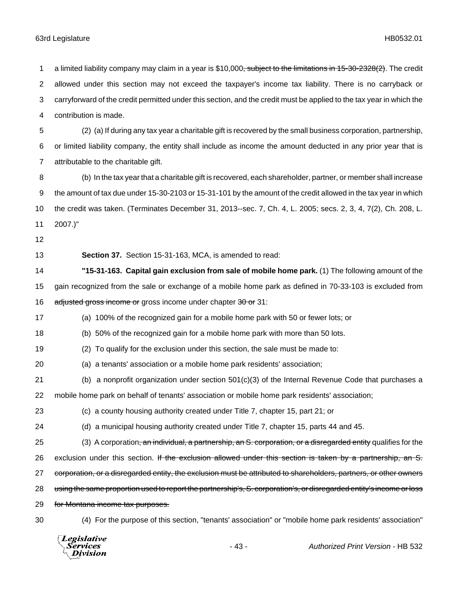**Division** 

1 a limited liability company may claim in a year is \$10,000<del>, subject to the limitations in 15-30-2328(2)</del>. The credit allowed under this section may not exceed the taxpayer's income tax liability. There is no carryback or carryforward of the credit permitted under this section, and the credit must be applied to the tax year in which the contribution is made. (2) (a) If during any tax year a charitable gift is recovered by the small business corporation, partnership, or limited liability company, the entity shall include as income the amount deducted in any prior year that is attributable to the charitable gift. (b) In the tax year that a charitable gift is recovered, each shareholder, partner, or member shall increase the amount of tax due under 15-30-2103 or 15-31-101 by the amount of the credit allowed in the tax year in which the credit was taken. (Terminates December 31, 2013--sec. 7, Ch. 4, L. 2005; secs. 2, 3, 4, 7(2), Ch. 208, L. 2007.)" **Section 37.** Section 15-31-163, MCA, is amended to read: **"15-31-163. Capital gain exclusion from sale of mobile home park.** (1) The following amount of the gain recognized from the sale or exchange of a mobile home park as defined in 70-33-103 is excluded from 16 adjusted gross income or gross income under chapter 30 or 31: (a) 100% of the recognized gain for a mobile home park with 50 or fewer lots; or (b) 50% of the recognized gain for a mobile home park with more than 50 lots. (2) To qualify for the exclusion under this section, the sale must be made to: (a) a tenants' association or a mobile home park residents' association; (b) a nonprofit organization under section 501(c)(3) of the Internal Revenue Code that purchases a mobile home park on behalf of tenants' association or mobile home park residents' association; (c) a county housing authority created under Title 7, chapter 15, part 21; or (d) a municipal housing authority created under Title 7, chapter 15, parts 44 and 45. 25 (3) A corporation<del>, an individual, a partnership, an S. corporation, or a disregarded entity</del> qualifies for the 26 exclusion under this section. If the exclusion allowed under this section is taken by a partnership, an S. 27 corporation, or a disregarded entity, the exclusion must be attributed to shareholders, partners, or other owners 28 using the same proportion used to report the partnership's, S. corporation's, or disregarded entity's income or loss 29 for Montana income tax purposes. (4) For the purpose of this section, "tenants' association" or "mobile home park residents' association" Legislative Services - 43 - *Authorized Print Version* - HB 532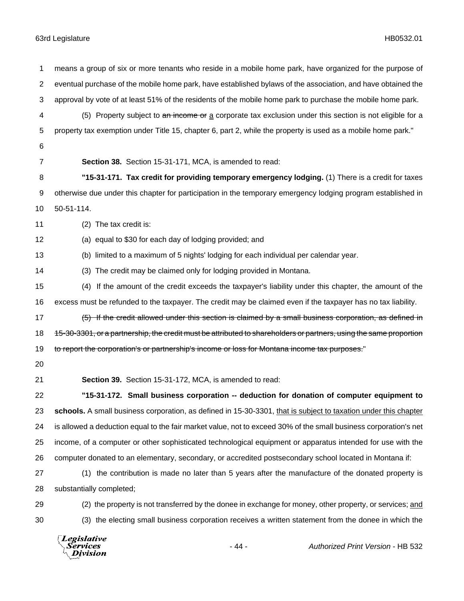means a group of six or more tenants who reside in a mobile home park, have organized for the purpose of eventual purchase of the mobile home park, have established bylaws of the association, and have obtained the approval by vote of at least 51% of the residents of the mobile home park to purchase the mobile home park. 4 (5) Property subject to an income or a corporate tax exclusion under this section is not eligible for a property tax exemption under Title 15, chapter 6, part 2, while the property is used as a mobile home park." **Section 38.** Section 15-31-171, MCA, is amended to read: **"15-31-171. Tax credit for providing temporary emergency lodging.** (1) There is a credit for taxes otherwise due under this chapter for participation in the temporary emergency lodging program established in 50-51-114. (2) The tax credit is: (a) equal to \$30 for each day of lodging provided; and (b) limited to a maximum of 5 nights' lodging for each individual per calendar year. (3) The credit may be claimed only for lodging provided in Montana. (4) If the amount of the credit exceeds the taxpayer's liability under this chapter, the amount of the excess must be refunded to the taxpayer. The credit may be claimed even if the taxpayer has no tax liability. 17 (5) If the credit allowed under this section is claimed by a small business corporation, as defined in 18 15-30-3301, or a partnership, the credit must be attributed to shareholders or partners, using the same proportion 19 to report the corporation's or partnership's income or loss for Montana income tax purposes." **Section 39.** Section 15-31-172, MCA, is amended to read: **"15-31-172. Small business corporation -- deduction for donation of computer equipment to schools.** A small business corporation, as defined in 15-30-3301, that is subject to taxation under this chapter is allowed a deduction equal to the fair market value, not to exceed 30% of the small business corporation's net income, of a computer or other sophisticated technological equipment or apparatus intended for use with the computer donated to an elementary, secondary, or accredited postsecondary school located in Montana if: (1) the contribution is made no later than 5 years after the manufacture of the donated property is substantially completed; (2) the property is not transferred by the donee in exchange for money, other property, or services; and (3) the electing small business corporation receives a written statement from the donee in which the

Legislative Services Division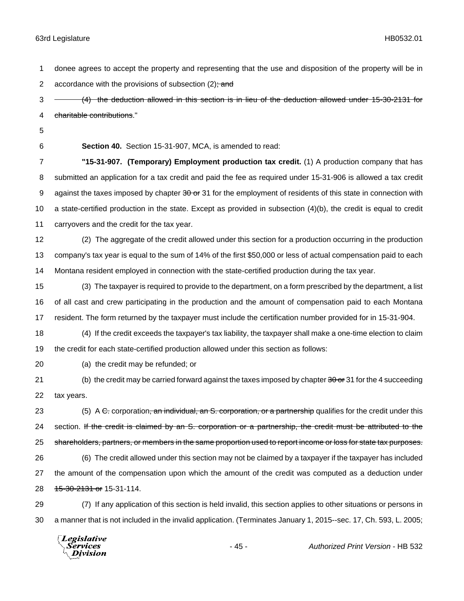donee agrees to accept the property and representing that the use and disposition of the property will be in 2 accordance with the provisions of subsection  $(2)$ ; and

3 - (4) the deduction allowed in this section is in lieu of the deduction allowed under 15-30-2131 for charitable contributions."

**Section 40.** Section 15-31-907, MCA, is amended to read:

 **"15-31-907. (Temporary) Employment production tax credit.** (1) A production company that has submitted an application for a tax credit and paid the fee as required under 15-31-906 is allowed a tax credit 9 against the taxes imposed by chapter 30 or 31 for the employment of residents of this state in connection with a state-certified production in the state. Except as provided in subsection (4)(b), the credit is equal to credit carryovers and the credit for the tax year.

 (2) The aggregate of the credit allowed under this section for a production occurring in the production company's tax year is equal to the sum of 14% of the first \$50,000 or less of actual compensation paid to each Montana resident employed in connection with the state-certified production during the tax year.

 (3) The taxpayer is required to provide to the department, on a form prescribed by the department, a list of all cast and crew participating in the production and the amount of compensation paid to each Montana resident. The form returned by the taxpayer must include the certification number provided for in 15-31-904.

 (4) If the credit exceeds the taxpayer's tax liability, the taxpayer shall make a one-time election to claim the credit for each state-certified production allowed under this section as follows:

(a) the credit may be refunded; or

21 (b) the credit may be carried forward against the taxes imposed by chapter 30 or 31 for the 4 succeeding tax years.

23 (5) A C. corporation, an individual, an S. corporation, or a partnership qualifies for the credit under this 24 section. If the credit is claimed by an S. corporation or a partnership, the credit must be attributed to the 25 shareholders, partners, or members in the same proportion used to report income or loss for state tax purposes. (6) The credit allowed under this section may not be claimed by a taxpayer if the taxpayer has included the amount of the compensation upon which the amount of the credit was computed as a deduction under 28 15-30-2131 or 15-31-114.

 (7) If any application of this section is held invalid, this section applies to other situations or persons in a manner that is not included in the invalid application. (Terminates January 1, 2015--sec. 17, Ch. 593, L. 2005;

**Legislative** Services Division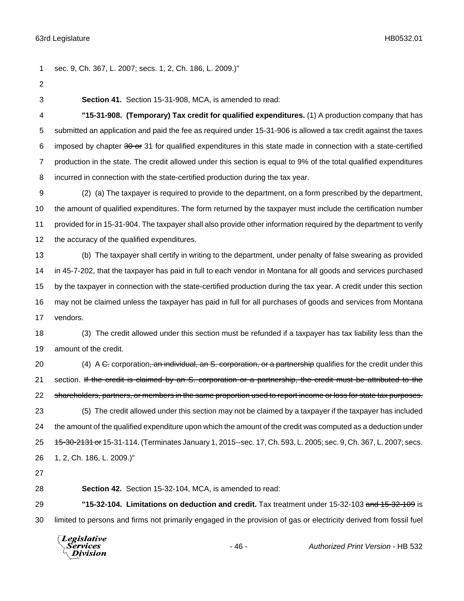sec. 9, Ch. 367, L. 2007; secs. 1, 2, Ch. 186, L. 2009.)" **Section 41.** Section 15-31-908, MCA, is amended to read: **"15-31-908. (Temporary) Tax credit for qualified expenditures.** (1) A production company that has submitted an application and paid the fee as required under 15-31-906 is allowed a tax credit against the taxes 6 imposed by chapter  $30 \text{ or } 31$  for qualified expenditures in this state made in connection with a state-certified production in the state. The credit allowed under this section is equal to 9% of the total qualified expenditures incurred in connection with the state-certified production during the tax year. (2) (a) The taxpayer is required to provide to the department, on a form prescribed by the department, the amount of qualified expenditures. The form returned by the taxpayer must include the certification number provided for in 15-31-904. The taxpayer shall also provide other information required by the department to verify the accuracy of the qualified expenditures. (b) The taxpayer shall certify in writing to the department, under penalty of false swearing as provided in 45-7-202, that the taxpayer has paid in full to each vendor in Montana for all goods and services purchased by the taxpayer in connection with the state-certified production during the tax year. A credit under this section may not be claimed unless the taxpayer has paid in full for all purchases of goods and services from Montana vendors. (3) The credit allowed under this section must be refunded if a taxpayer has tax liability less than the amount of the credit. 20 (4) A C. corporation, an individual, an S. corporation, or a partnership qualifies for the credit under this 21 section. If the credit is claimed by an S. corporation or a partnership, the credit must be attributed to the 22 shareholders, partners, or members in the same proportion used to report income or loss for state tax purposes. (5) The credit allowed under this section may not be claimed by a taxpayer if the taxpayer has included the amount of the qualified expenditure upon which the amount of the credit was computed as a deduction under **15-30-2131 or** 15-31-114. (Terminates January 1, 2015--sec. 17, Ch. 593, L. 2005; sec. 9, Ch. 367, L. 2007; secs. 1, 2, Ch. 186, L. 2009.)" **Section 42.** Section 15-32-104, MCA, is amended to read: **"15-32-104. Limitations on deduction and credit.** Tax treatment under 15-32-103 and 15-32-109 is limited to persons and firms not primarily engaged in the provision of gas or electricity derived from fossil fuel

Legislative *Services* **Division**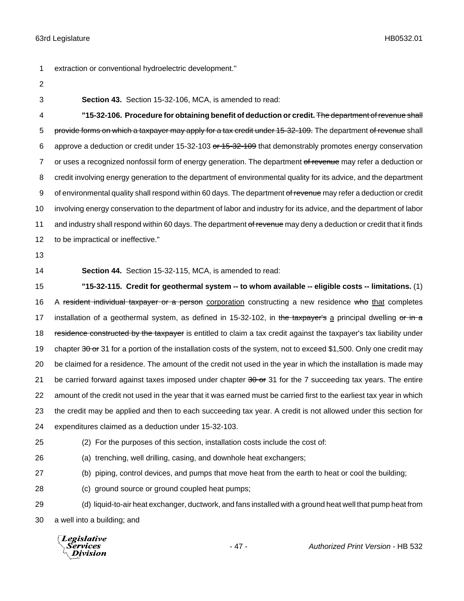1 extraction or conventional hydroelectric development."

- 2
- 

3 **Section 43.** Section 15-32-106, MCA, is amended to read:

4 **"15-32-106. Procedure for obtaining benefit of deduction or credit.** The department of revenue shall 5 provide forms on which a taxpayer may apply for a tax credit under 15-32-109. The department of revenue shall 6 approve a deduction or credit under 15-32-103 or 15-32-109 that demonstrably promotes energy conservation 7 or uses a recognized nonfossil form of energy generation. The department of revenue may refer a deduction or 8 credit involving energy generation to the department of environmental quality for its advice, and the department 9 of environmental quality shall respond within 60 days. The department of revenue may refer a deduction or credit 10 involving energy conservation to the department of labor and industry for its advice, and the department of labor 11 and industry shall respond within 60 days. The department of revenue may deny a deduction or credit that it finds 12 to be impractical or ineffective."

13

14 **Section 44.** Section 15-32-115, MCA, is amended to read:

15 **"15-32-115. Credit for geothermal system -- to whom available -- eligible costs -- limitations.** (1) 16 A resident individual taxpayer or a person corporation constructing a new residence who that completes 17 installation of a geothermal system, as defined in 15-32-102, in the taxpayer's a principal dwelling or in a 18 residence constructed by the taxpayer is entitled to claim a tax credit against the taxpayer's tax liability under 19 chapter 30 or 31 for a portion of the installation costs of the system, not to exceed \$1,500. Only one credit may 20 be claimed for a residence. The amount of the credit not used in the year in which the installation is made may 21 be carried forward against taxes imposed under chapter  $30$  or  $31$  for the 7 succeeding tax years. The entire 22 amount of the credit not used in the year that it was earned must be carried first to the earliest tax year in which 23 the credit may be applied and then to each succeeding tax year. A credit is not allowed under this section for 24 expenditures claimed as a deduction under 15-32-103.

25 (2) For the purposes of this section, installation costs include the cost of:

26 (a) trenching, well drilling, casing, and downhole heat exchangers;

27 (b) piping, control devices, and pumps that move heat from the earth to heat or cool the building;

28 (c) ground source or ground coupled heat pumps;

29 (d) liquid-to-air heat exchanger, ductwork, and fans installed with a ground heat well that pump heat from 30 a well into a building; and

**Legislative** *Services* **Division**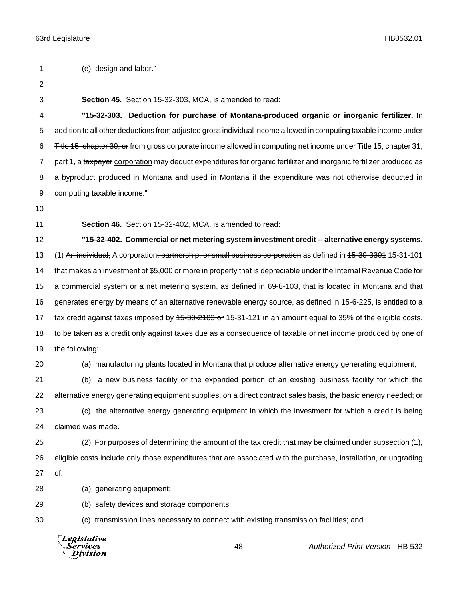(e) design and labor."

- 
- 

**Section 45.** Section 15-32-303, MCA, is amended to read:

 **"15-32-303. Deduction for purchase of Montana-produced organic or inorganic fertilizer.** In 5 addition to all other deductions from adjusted gross individual income allowed in computing taxable income under Title 15, chapter 30, or from gross corporate income allowed in computing net income under Title 15, chapter 31, 7 part 1, a taxpayer corporation may deduct expenditures for organic fertilizer and inorganic fertilizer produced as a byproduct produced in Montana and used in Montana if the expenditure was not otherwise deducted in computing taxable income."

**Section 46.** Section 15-32-402, MCA, is amended to read:

 **"15-32-402. Commercial or net metering system investment credit -- alternative energy systems.** 13 (1) An individual, A corporation, partnership, or small business corporation as defined in 15-30-3301 15-31-101 that makes an investment of \$5,000 or more in property that is depreciable under the Internal Revenue Code for a commercial system or a net metering system, as defined in 69-8-103, that is located in Montana and that generates energy by means of an alternative renewable energy source, as defined in 15-6-225, is entitled to a 17 tax credit against taxes imposed by 45-30-2103 or 15-31-121 in an amount equal to 35% of the eligible costs, to be taken as a credit only against taxes due as a consequence of taxable or net income produced by one of the following:

(a) manufacturing plants located in Montana that produce alternative energy generating equipment;

 (b) a new business facility or the expanded portion of an existing business facility for which the alternative energy generating equipment supplies, on a direct contract sales basis, the basic energy needed; or (c) the alternative energy generating equipment in which the investment for which a credit is being claimed was made.

 (2) For purposes of determining the amount of the tax credit that may be claimed under subsection (1), eligible costs include only those expenditures that are associated with the purchase, installation, or upgrading of:

(a) generating equipment;

(b) safety devices and storage components;

(c) transmission lines necessary to connect with existing transmission facilities; and

**Legislative** Services Division

- 48 - *Authorized Print Version* - HB 532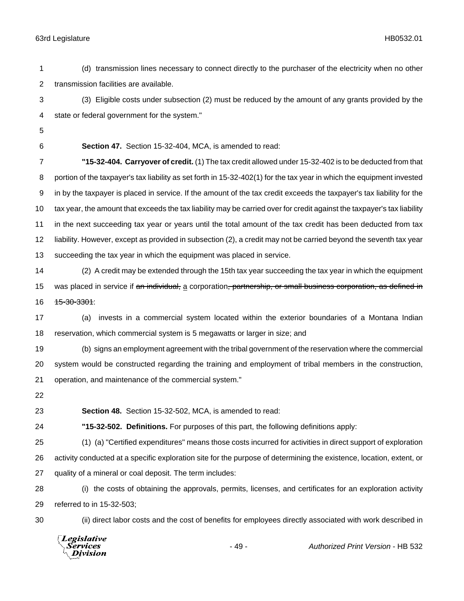(d) transmission lines necessary to connect directly to the purchaser of the electricity when no other transmission facilities are available.

 (3) Eligible costs under subsection (2) must be reduced by the amount of any grants provided by the state or federal government for the system."

**Section 47.** Section 15-32-404, MCA, is amended to read:

 **"15-32-404. Carryover of credit.** (1) The tax credit allowed under 15-32-402 is to be deducted from that portion of the taxpayer's tax liability as set forth in 15-32-402(1) for the tax year in which the equipment invested in by the taxpayer is placed in service. If the amount of the tax credit exceeds the taxpayer's tax liability for the tax year, the amount that exceeds the tax liability may be carried over for credit against the taxpayer's tax liability in the next succeeding tax year or years until the total amount of the tax credit has been deducted from tax liability. However, except as provided in subsection (2), a credit may not be carried beyond the seventh tax year succeeding the tax year in which the equipment was placed in service.

 (2) A credit may be extended through the 15th tax year succeeding the tax year in which the equipment 15 was placed in service if an individual, a corporation<del>, partnership, or small business corporation, as defined in</del> 16 <del>15-30-3301</del>:

 (a) invests in a commercial system located within the exterior boundaries of a Montana Indian reservation, which commercial system is 5 megawatts or larger in size; and

 (b) signs an employment agreement with the tribal government of the reservation where the commercial system would be constructed regarding the training and employment of tribal members in the construction, operation, and maintenance of the commercial system."

**Section 48.** Section 15-32-502, MCA, is amended to read:

**"15-32-502. Definitions.** For purposes of this part, the following definitions apply:

 (1) (a) "Certified expenditures" means those costs incurred for activities in direct support of exploration activity conducted at a specific exploration site for the purpose of determining the existence, location, extent, or quality of a mineral or coal deposit. The term includes:

 (i) the costs of obtaining the approvals, permits, licenses, and certificates for an exploration activity referred to in 15-32-503;

(ii) direct labor costs and the cost of benefits for employees directly associated with work described in

Legislative *Services* **Division**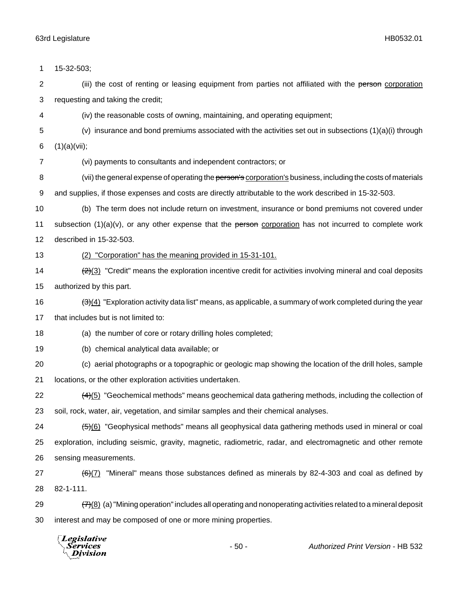| 1              | 15-32-503;                                                                                                          |
|----------------|---------------------------------------------------------------------------------------------------------------------|
| 2              | (iii) the cost of renting or leasing equipment from parties not affiliated with the person corporation              |
| 3              | requesting and taking the credit;                                                                                   |
| 4              | (iv) the reasonable costs of owning, maintaining, and operating equipment;                                          |
| 5              | (v) insurance and bond premiums associated with the activities set out in subsections $(1)(a)(i)$ through           |
| 6              | (1)(a)(vii);                                                                                                        |
| $\overline{7}$ | (vi) payments to consultants and independent contractors; or                                                        |
| 8              | (vii) the general expense of operating the person's corporation's business, including the costs of materials        |
| 9              | and supplies, if those expenses and costs are directly attributable to the work described in 15-32-503.             |
| 10             | (b) The term does not include return on investment, insurance or bond premiums not covered under                    |
| 11             | subsection $(1)(a)(v)$ , or any other expense that the person corporation has not incurred to complete work         |
| 12             | described in 15-32-503.                                                                                             |
| 13             | (2) "Corporation" has the meaning provided in 15-31-101.                                                            |
| 14             | $\frac{2(3)}{2}$ "Credit" means the exploration incentive credit for activities involving mineral and coal deposits |
| 15             | authorized by this part.                                                                                            |
| 16             | $\frac{1}{2}(4)$ "Exploration activity data list" means, as applicable, a summary of work completed during the year |
| 17             | that includes but is not limited to:                                                                                |
| 18             | (a) the number of core or rotary drilling holes completed;                                                          |
| 19             | (b) chemical analytical data available; or                                                                          |
| 20             | (c) aerial photographs or a topographic or geologic map showing the location of the drill holes, sample             |
| 21             | locations, or the other exploration activities undertaken.                                                          |
| 22             | $\frac{4}{5}$ "Geochemical methods" means geochemical data gathering methods, including the collection of           |
| 23             | soil, rock, water, air, vegetation, and similar samples and their chemical analyses.                                |
| 24             | (5)(6) "Geophysical methods" means all geophysical data gathering methods used in mineral or coal                   |
| 25             | exploration, including seismic, gravity, magnetic, radiometric, radar, and electromagnetic and other remote         |
| 26             | sensing measurements.                                                                                               |
| 27             | "Mineral" means those substances defined as minerals by 82-4-303 and coal as defined by<br>(6)(7)                   |
| 28             | 82-1-111.                                                                                                           |
| 29             | $(7)(8)$ (a) "Mining operation" includes all operating and nonoperating activities related to a mineral deposit     |
| 30             | interest and may be composed of one or more mining properties.                                                      |
|                |                                                                                                                     |



- 50 - *Authorized Print Version* - HB 532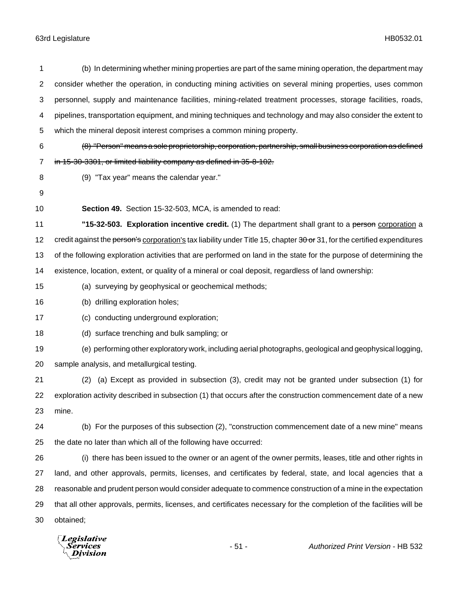| 1              | (b) In determining whether mining properties are part of the same mining operation, the department may                   |
|----------------|--------------------------------------------------------------------------------------------------------------------------|
| $\overline{2}$ | consider whether the operation, in conducting mining activities on several mining properties, uses common                |
| 3              | personnel, supply and maintenance facilities, mining-related treatment processes, storage facilities, roads,             |
| 4              | pipelines, transportation equipment, and mining techniques and technology and may also consider the extent to            |
| $\,$ 5 $\,$    | which the mineral deposit interest comprises a common mining property.                                                   |
| 6              | (8) "Person" means a sole proprietorship, corporation, partnership, small business corporation as defined                |
| $\overline{7}$ | in 15-30-3301, or limited liability company as defined in 35-8-102.                                                      |
| 8              | (9) "Tax year" means the calendar year."                                                                                 |
| 9              |                                                                                                                          |
| 10             | Section 49. Section 15-32-503, MCA, is amended to read:                                                                  |
| 11             | "15-32-503. Exploration incentive credit. (1) The department shall grant to a person corporation a                       |
| 12             | credit against the person's corporation's tax liability under Title 15, chapter 30 or 31, for the certified expenditures |
| 13             | of the following exploration activities that are performed on land in the state for the purpose of determining the       |
| 14             | existence, location, extent, or quality of a mineral or coal deposit, regardless of land ownership:                      |
| 15             | (a) surveying by geophysical or geochemical methods;                                                                     |
| 16             | (b) drilling exploration holes;                                                                                          |
| 17             | (c) conducting underground exploration;                                                                                  |
| 18             | (d) surface trenching and bulk sampling; or                                                                              |
| 19             | (e) performing other exploratory work, including aerial photographs, geological and geophysical logging,                 |
| 20             | sample analysis, and metallurgical testing.                                                                              |
| 21             | (a) Except as provided in subsection (3), credit may not be granted under subsection (1) for<br>(2)                      |
| 22             | exploration activity described in subsection (1) that occurs after the construction commencement date of a new           |
| 23             | mine.                                                                                                                    |
| 24             | (b) For the purposes of this subsection (2), "construction commencement date of a new mine" means                        |
| 25             | the date no later than which all of the following have occurred:                                                         |
| 26             | (i) there has been issued to the owner or an agent of the owner permits, leases, title and other rights in               |
| 27             | land, and other approvals, permits, licenses, and certificates by federal, state, and local agencies that a              |
| 28             | reasonable and prudent person would consider adequate to commence construction of a mine in the expectation              |
| 29             | that all other approvals, permits, licenses, and certificates necessary for the completion of the facilities will be     |
| 30             | obtained;                                                                                                                |
|                |                                                                                                                          |

*Legislative*<br>Services<br>*Division*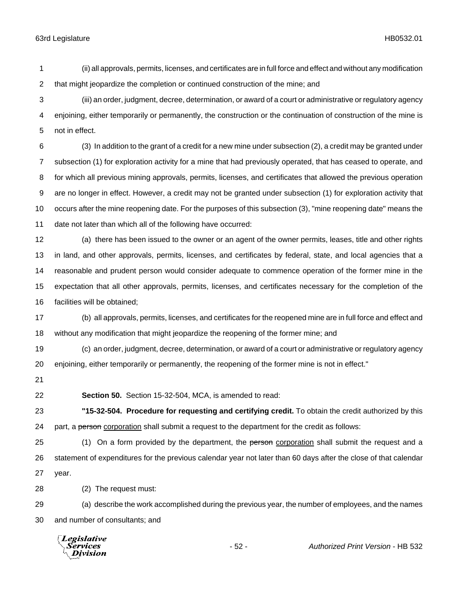(ii) all approvals, permits, licenses, and certificates are in full force and effect and without any modification that might jeopardize the completion or continued construction of the mine; and

 (iii) an order, judgment, decree, determination, or award of a court or administrative or regulatory agency enjoining, either temporarily or permanently, the construction or the continuation of construction of the mine is not in effect.

 (3) In addition to the grant of a credit for a new mine under subsection (2), a credit may be granted under subsection (1) for exploration activity for a mine that had previously operated, that has ceased to operate, and for which all previous mining approvals, permits, licenses, and certificates that allowed the previous operation are no longer in effect. However, a credit may not be granted under subsection (1) for exploration activity that occurs after the mine reopening date. For the purposes of this subsection (3), "mine reopening date" means the date not later than which all of the following have occurred:

 (a) there has been issued to the owner or an agent of the owner permits, leases, title and other rights in land, and other approvals, permits, licenses, and certificates by federal, state, and local agencies that a reasonable and prudent person would consider adequate to commence operation of the former mine in the expectation that all other approvals, permits, licenses, and certificates necessary for the completion of the facilities will be obtained;

 (b) all approvals, permits, licenses, and certificates for the reopened mine are in full force and effect and without any modification that might jeopardize the reopening of the former mine; and

 (c) an order, judgment, decree, determination, or award of a court or administrative or regulatory agency enjoining, either temporarily or permanently, the reopening of the former mine is not in effect."

**Section 50.** Section 15-32-504, MCA, is amended to read:

 **"15-32-504. Procedure for requesting and certifying credit.** To obtain the credit authorized by this 24 part, a person corporation shall submit a request to the department for the credit as follows:

25 (1) On a form provided by the department, the person corporation shall submit the request and a statement of expenditures for the previous calendar year not later than 60 days after the close of that calendar year.

(2) The request must:

 (a) describe the work accomplished during the previous year, the number of employees, and the names and number of consultants; and

Legislative Services **Division**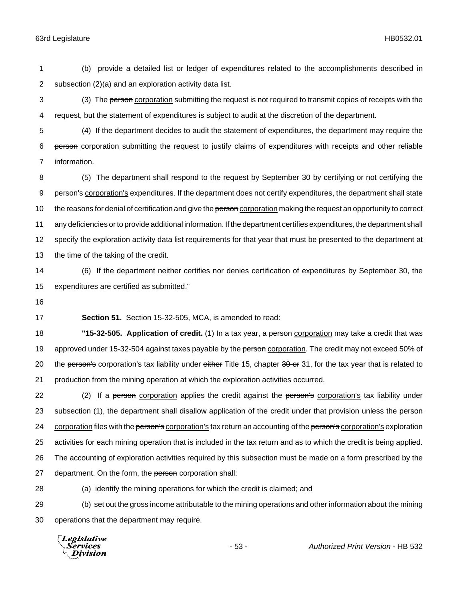1 (b) provide a detailed list or ledger of expenditures related to the accomplishments described in 2 subsection (2)(a) and an exploration activity data list.

3 (3) The person corporation submitting the request is not required to transmit copies of receipts with the 4 request, but the statement of expenditures is subject to audit at the discretion of the department.

5 (4) If the department decides to audit the statement of expenditures, the department may require the 6 person corporation submitting the request to justify claims of expenditures with receipts and other reliable 7 information.

 (5) The department shall respond to the request by September 30 by certifying or not certifying the 9 person's corporation's expenditures. If the department does not certify expenditures, the department shall state 10 the reasons for denial of certification and give the person corporation making the request an opportunity to correct any deficiencies or to provide additional information. If the department certifies expenditures, the department shall specify the exploration activity data list requirements for that year that must be presented to the department at the time of the taking of the credit.

14 (6) If the department neither certifies nor denies certification of expenditures by September 30, the 15 expenditures are certified as submitted."

16

17 **Section 51.** Section 15-32-505, MCA, is amended to read:

18 **"15-32-505. Application of credit.** (1) In a tax year, a person corporation may take a credit that was 19 approved under 15-32-504 against taxes payable by the person corporation. The credit may not exceed 50% of 20 the person's corporation's tax liability under either Title 15, chapter  $30$  or 31, for the tax year that is related to 21 production from the mining operation at which the exploration activities occurred.

22 (2) If a person corporation applies the credit against the person's corporation's tax liability under 23 subsection (1), the department shall disallow application of the credit under that provision unless the person 24 corporation files with the person's corporation's tax return an accounting of the person's corporation's exploration 25 activities for each mining operation that is included in the tax return and as to which the credit is being applied. 26 The accounting of exploration activities required by this subsection must be made on a form prescribed by the 27 department. On the form, the person corporation shall:

28 (a) identify the mining operations for which the credit is claimed; and

29 (b) set out the gross income attributable to the mining operations and other information about the mining 30 operations that the department may require.

Legislative *Services* **Division**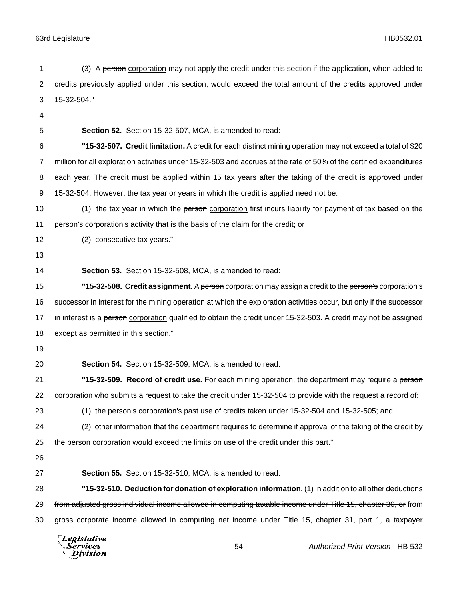1 (3) A person corporation may not apply the credit under this section if the application, when added to credits previously applied under this section, would exceed the total amount of the credits approved under 15-32-504." 

**Section 52.** Section 15-32-507, MCA, is amended to read:

 **"15-32-507. Credit limitation.** A credit for each distinct mining operation may not exceed a total of \$20 million for all exploration activities under 15-32-503 and accrues at the rate of 50% of the certified expenditures each year. The credit must be applied within 15 tax years after the taking of the credit is approved under 15-32-504. However, the tax year or years in which the credit is applied need not be:

10 (1) the tax year in which the person corporation first incurs liability for payment of tax based on the 11 person's corporation's activity that is the basis of the claim for the credit; or

- (2) consecutive tax years."
- 

**Section 53.** Section 15-32-508, MCA, is amended to read:

 **"15-32-508. Credit assignment.** A person corporation may assign a credit to the person's corporation's successor in interest for the mining operation at which the exploration activities occur, but only if the successor 17 in interest is a person corporation qualified to obtain the credit under 15-32-503. A credit may not be assigned except as permitted in this section."

- 
- 

**Section 54.** Section 15-32-509, MCA, is amended to read:

 **"15-32-509. Record of credit use.** For each mining operation, the department may require a person corporation who submits a request to take the credit under 15-32-504 to provide with the request a record of:

23 (1) the person's corporation's past use of credits taken under 15-32-504 and 15-32-505; and

 (2) other information that the department requires to determine if approval of the taking of the credit by 25 the person corporation would exceed the limits on use of the credit under this part."

**Section 55.** Section 15-32-510, MCA, is amended to read:

 **"15-32-510. Deduction for donation of exploration information.** (1) In addition to all other deductions 29 from adjusted gross individual income allowed in computing taxable income under Title 15, chapter 30, or from 30 gross corporate income allowed in computing net income under Title 15, chapter 31, part 1, a taxpayer

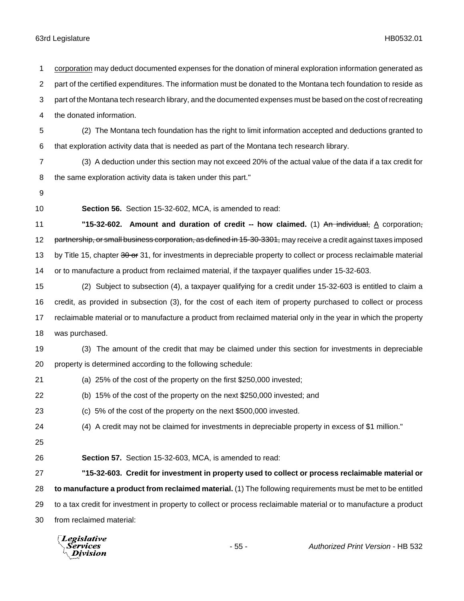corporation may deduct documented expenses for the donation of mineral exploration information generated as part of the certified expenditures. The information must be donated to the Montana tech foundation to reside as part of the Montana tech research library, and the documented expenses must be based on the cost of recreating the donated information. (2) The Montana tech foundation has the right to limit information accepted and deductions granted to that exploration activity data that is needed as part of the Montana tech research library. (3) A deduction under this section may not exceed 20% of the actual value of the data if a tax credit for the same exploration activity data is taken under this part." **Section 56.** Section 15-32-602, MCA, is amended to read: **11 15-32-602.** Amount and duration of credit -- how claimed. (1) An individual, A corporation, 12 partnership, or small business corporation, as defined in 15-30-3301, may receive a credit against taxes imposed 13 by Title 15, chapter 30 or 31, for investments in depreciable property to collect or process reclaimable material or to manufacture a product from reclaimed material, if the taxpayer qualifies under 15-32-603. (2) Subject to subsection (4), a taxpayer qualifying for a credit under 15-32-603 is entitled to claim a credit, as provided in subsection (3), for the cost of each item of property purchased to collect or process reclaimable material or to manufacture a product from reclaimed material only in the year in which the property was purchased. (3) The amount of the credit that may be claimed under this section for investments in depreciable property is determined according to the following schedule: (a) 25% of the cost of the property on the first \$250,000 invested; (b) 15% of the cost of the property on the next \$250,000 invested; and (c) 5% of the cost of the property on the next \$500,000 invested. (4) A credit may not be claimed for investments in depreciable property in excess of \$1 million." **Section 57.** Section 15-32-603, MCA, is amended to read: **"15-32-603. Credit for investment in property used to collect or process reclaimable material or to manufacture a product from reclaimed material.** (1) The following requirements must be met to be entitled to a tax credit for investment in property to collect or process reclaimable material or to manufacture a product from reclaimed material:

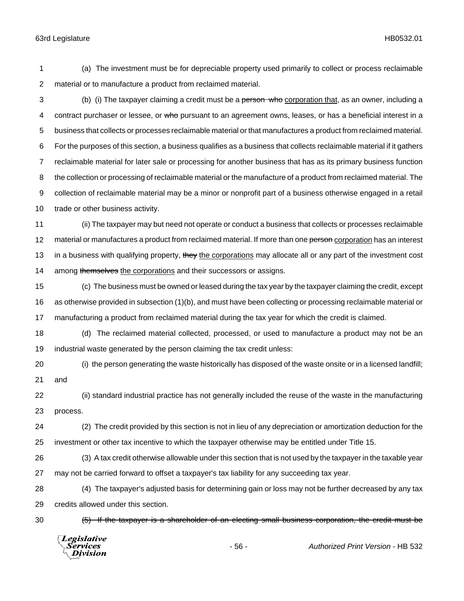(a) The investment must be for depreciable property used primarily to collect or process reclaimable material or to manufacture a product from reclaimed material.

3 (b) (i) The taxpayer claiming a credit must be a person who corporation that, as an owner, including a 4 contract purchaser or lessee, or who pursuant to an agreement owns, leases, or has a beneficial interest in a business that collects or processes reclaimable material or that manufactures a product from reclaimed material. For the purposes of this section, a business qualifies as a business that collects reclaimable material if it gathers reclaimable material for later sale or processing for another business that has as its primary business function the collection or processing of reclaimable material or the manufacture of a product from reclaimed material. The collection of reclaimable material may be a minor or nonprofit part of a business otherwise engaged in a retail 10 trade or other business activity.

 (ii) The taxpayer may but need not operate or conduct a business that collects or processes reclaimable 12 material or manufactures a product from reclaimed material. If more than one person corporation has an interest 13 in a business with qualifying property, they the corporations may allocate all or any part of the investment cost 14 among themselves the corporations and their successors or assigns.

 (c) The business must be owned or leased during the tax year by the taxpayer claiming the credit, except as otherwise provided in subsection (1)(b), and must have been collecting or processing reclaimable material or manufacturing a product from reclaimed material during the tax year for which the credit is claimed.

 (d) The reclaimed material collected, processed, or used to manufacture a product may not be an industrial waste generated by the person claiming the tax credit unless:

 (i) the person generating the waste historically has disposed of the waste onsite or in a licensed landfill; and

 (ii) standard industrial practice has not generally included the reuse of the waste in the manufacturing process.

 (2) The credit provided by this section is not in lieu of any depreciation or amortization deduction for the investment or other tax incentive to which the taxpayer otherwise may be entitled under Title 15.

 (3) A tax credit otherwise allowable under this section that is not used by the taxpayer in the taxable year may not be carried forward to offset a taxpayer's tax liability for any succeeding tax year.

 (4) The taxpayer's adjusted basis for determining gain or loss may not be further decreased by any tax credits allowed under this section.

(5) If the taxpayer is a shareholder of an electing small business corporation, the credit must be

**Legislative** Division

- 56 - *Authorized Print Version* - HB 532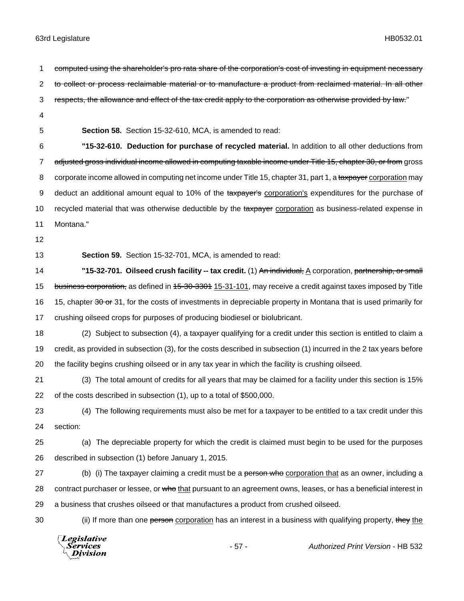1 computed using the shareholder's pro rata share of the corporation's cost of investing in equipment necessary 2 to collect or process reclaimable material or to manufacture a product from reclaimed material. In all other 3 respects, the allowance and effect of the tax credit apply to the corporation as otherwise provided by law." 4 5 **Section 58.** Section 15-32-610, MCA, is amended to read: 6 **"15-32-610. Deduction for purchase of recycled material.** In addition to all other deductions from 7 adjusted gross individual income allowed in computing taxable income under Title 15, chapter 30, or from gross 8 corporate income allowed in computing net income under Title 15, chapter 31, part 1, a taxpayer corporation may 9 deduct an additional amount equal to 10% of the taxpayer's corporation's expenditures for the purchase of 10 recycled material that was otherwise deductible by the taxpayer corporation as business-related expense in 11 Montana." 12 13 **Section 59.** Section 15-32-701, MCA, is amended to read: 14 **14 "15-32-701. Oilseed crush facility -- tax credit.** (1) An individual, A corporation, partnership, or small 15 business corporation, as defined in 15-30-3301 15-31-101, may receive a credit against taxes imposed by Title 16 15, chapter 30 or 31, for the costs of investments in depreciable property in Montana that is used primarily for 17 crushing oilseed crops for purposes of producing biodiesel or biolubricant. 18 (2) Subject to subsection (4), a taxpayer qualifying for a credit under this section is entitled to claim a 19 credit, as provided in subsection (3), for the costs described in subsection (1) incurred in the 2 tax years before 20 the facility begins crushing oilseed or in any tax year in which the facility is crushing oilseed. 21 (3) The total amount of credits for all years that may be claimed for a facility under this section is 15% 22 of the costs described in subsection (1), up to a total of \$500,000. 23 (4) The following requirements must also be met for a taxpayer to be entitled to a tax credit under this 24 section: 25 (a) The depreciable property for which the credit is claimed must begin to be used for the purposes 26 described in subsection (1) before January 1, 2015. 27 (b) (i) The taxpayer claiming a credit must be a person who corporation that as an owner, including a 28 contract purchaser or lessee, or who that pursuant to an agreement owns, leases, or has a beneficial interest in 29 a business that crushes oilseed or that manufactures a product from crushed oilseed. 30 (ii) If more than one person corporation has an interest in a business with qualifying property, they the **Legislative** Services - 57 - *Authorized Print Version* - HB 532**Division**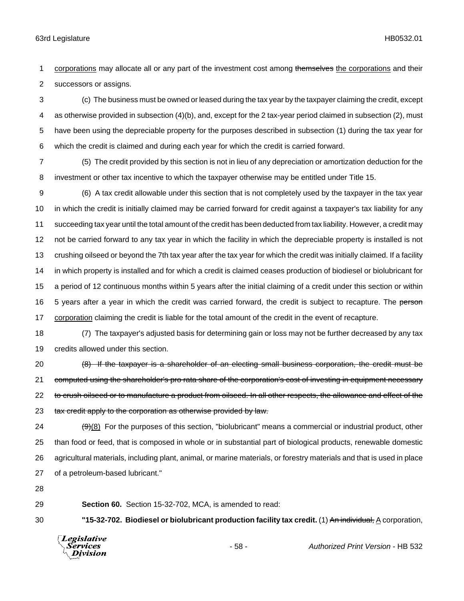1 corporations may allocate all or any part of the investment cost among themselves the corporations and their successors or assigns.

 (c) The business must be owned or leased during the tax year by the taxpayer claiming the credit, except as otherwise provided in subsection (4)(b), and, except for the 2 tax-year period claimed in subsection (2), must have been using the depreciable property for the purposes described in subsection (1) during the tax year for which the credit is claimed and during each year for which the credit is carried forward.

 (5) The credit provided by this section is not in lieu of any depreciation or amortization deduction for the investment or other tax incentive to which the taxpayer otherwise may be entitled under Title 15.

 (6) A tax credit allowable under this section that is not completely used by the taxpayer in the tax year in which the credit is initially claimed may be carried forward for credit against a taxpayer's tax liability for any succeeding tax year until the total amount of the credit has been deducted from tax liability. However, a credit may not be carried forward to any tax year in which the facility in which the depreciable property is installed is not crushing oilseed or beyond the 7th tax year after the tax year for which the credit was initially claimed. If a facility in which property is installed and for which a credit is claimed ceases production of biodiesel or biolubricant for a period of 12 continuous months within 5 years after the initial claiming of a credit under this section or within 16 5 years after a year in which the credit was carried forward, the credit is subject to recapture. The person corporation claiming the credit is liable for the total amount of the credit in the event of recapture.

 (7) The taxpayer's adjusted basis for determining gain or loss may not be further decreased by any tax credits allowed under this section.

 (8) If the taxpayer is a shareholder of an electing small business corporation, the credit must be 21 computed using the shareholder's pro rata share of the corporation's cost of investing in equipment necessary 22 to crush oilseed or to manufacture a product from oilseed. In all other respects, the allowance and effect of the 23 tax credit apply to the corporation as otherwise provided by law.

 ( $9$ )(8) For the purposes of this section, "biolubricant" means a commercial or industrial product, other than food or feed, that is composed in whole or in substantial part of biological products, renewable domestic agricultural materials, including plant, animal, or marine materials, or forestry materials and that is used in place of a petroleum-based lubricant."

**Section 60.** Section 15-32-702, MCA, is amended to read:

**"15-32-702. Biodiesel or biolubricant production facility tax credit.** (1) An individual, A corporation,

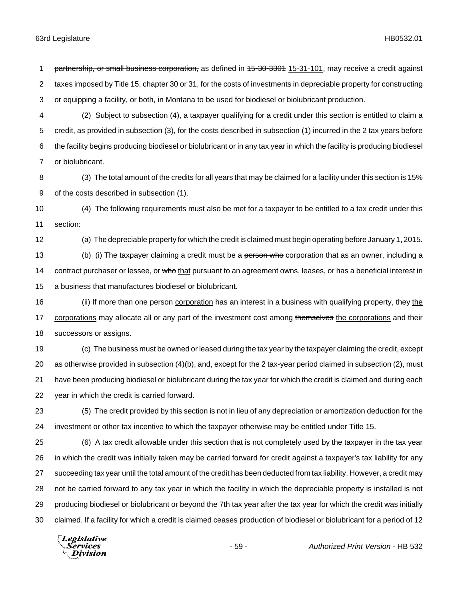1 partnership, or small business corporation, as defined in  $15-30-3301$  15-31-101, may receive a credit against 2 taxes imposed by Title 15, chapter 30 or 31, for the costs of investments in depreciable property for constructing or equipping a facility, or both, in Montana to be used for biodiesel or biolubricant production.

 (2) Subject to subsection (4), a taxpayer qualifying for a credit under this section is entitled to claim a credit, as provided in subsection (3), for the costs described in subsection (1) incurred in the 2 tax years before the facility begins producing biodiesel or biolubricant or in any tax year in which the facility is producing biodiesel or biolubricant.

 (3) The total amount of the credits for all years that may be claimed for a facility under this section is 15% of the costs described in subsection (1).

 (4) The following requirements must also be met for a taxpayer to be entitled to a tax credit under this section:

 (a) The depreciable property for which the credit is claimed must begin operating before January 1, 2015. 13 (b) (i) The taxpayer claiming a credit must be a person who corporation that as an owner, including a 14 contract purchaser or lessee, or who that pursuant to an agreement owns, leases, or has a beneficial interest in

a business that manufactures biodiesel or biolubricant.

16 (ii) If more than one person corporation has an interest in a business with qualifying property, they the 17 corporations may allocate all or any part of the investment cost among themselves the corporations and their successors or assigns.

 (c) The business must be owned or leased during the tax year by the taxpayer claiming the credit, except as otherwise provided in subsection (4)(b), and, except for the 2 tax-year period claimed in subsection (2), must have been producing biodiesel or biolubricant during the tax year for which the credit is claimed and during each year in which the credit is carried forward.

 (5) The credit provided by this section is not in lieu of any depreciation or amortization deduction for the investment or other tax incentive to which the taxpayer otherwise may be entitled under Title 15.

 (6) A tax credit allowable under this section that is not completely used by the taxpayer in the tax year in which the credit was initially taken may be carried forward for credit against a taxpayer's tax liability for any succeeding tax year until the total amount of the credit has been deducted from tax liability. However, a credit may not be carried forward to any tax year in which the facility in which the depreciable property is installed is not producing biodiesel or biolubricant or beyond the 7th tax year after the tax year for which the credit was initially claimed. If a facility for which a credit is claimed ceases production of biodiesel or biolubricant for a period of 12

Legislative *Services* Division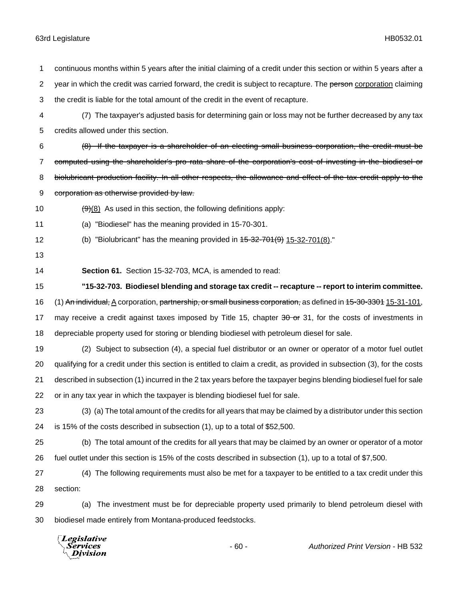continuous months within 5 years after the initial claiming of a credit under this section or within 5 years after a 2 year in which the credit was carried forward, the credit is subject to recapture. The person corporation claiming the credit is liable for the total amount of the credit in the event of recapture. (7) The taxpayer's adjusted basis for determining gain or loss may not be further decreased by any tax credits allowed under this section. (8) If the taxpayer is a shareholder of an electing small business corporation, the credit must be 7 computed using the shareholder's pro rata share of the corporation's cost of investing in the biodiesel or 8 biolubricant production facility. In all other respects, the allowance and effect of the tax credit apply to the 9 corporation as otherwise provided by law.  $\left(\frac{9}{8}\right)$  As used in this section, the following definitions apply: (a) "Biodiesel" has the meaning provided in 15-70-301. 12 (b) "Biolubricant" has the meaning provided in  $45-32-701(9)$  15-32-701(8)." **Section 61.** Section 15-32-703, MCA, is amended to read: **"15-32-703. Biodiesel blending and storage tax credit -- recapture -- report to interim committee.** 16 (1) An individual, A corporation, partnership, or small business corporation, as defined in 45-30-3304 15-31-101, 17 may receive a credit against taxes imposed by Title 15, chapter 30 or 31, for the costs of investments in depreciable property used for storing or blending biodiesel with petroleum diesel for sale. (2) Subject to subsection (4), a special fuel distributor or an owner or operator of a motor fuel outlet qualifying for a credit under this section is entitled to claim a credit, as provided in subsection (3), for the costs described in subsection (1) incurred in the 2 tax years before the taxpayer begins blending biodiesel fuel for sale or in any tax year in which the taxpayer is blending biodiesel fuel for sale. (3) (a) The total amount of the credits for all years that may be claimed by a distributor under this section is 15% of the costs described in subsection (1), up to a total of \$52,500. (b) The total amount of the credits for all years that may be claimed by an owner or operator of a motor fuel outlet under this section is 15% of the costs described in subsection (1), up to a total of \$7,500. (4) The following requirements must also be met for a taxpayer to be entitled to a tax credit under this section: (a) The investment must be for depreciable property used primarily to blend petroleum diesel with biodiesel made entirely from Montana-produced feedstocks. Legislative

Services **Division**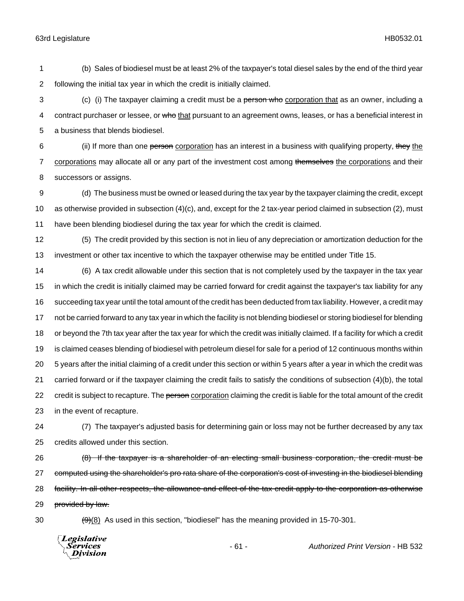1 (b) Sales of biodiesel must be at least 2% of the taxpayer's total diesel sales by the end of the third year 2 following the initial tax year in which the credit is initially claimed.

3 (c) (i) The taxpayer claiming a credit must be a person who corporation that as an owner, including a 4 contract purchaser or lessee, or who that pursuant to an agreement owns, leases, or has a beneficial interest in 5 a business that blends biodiesel.

6 (ii) If more than one person corporation has an interest in a business with qualifying property, they the 7 corporations may allocate all or any part of the investment cost among themselves the corporations and their 8 successors or assigns.

9 (d) The business must be owned or leased during the tax year by the taxpayer claiming the credit, except 10 as otherwise provided in subsection (4)(c), and, except for the 2 tax-year period claimed in subsection (2), must 11 have been blending biodiesel during the tax year for which the credit is claimed.

12 (5) The credit provided by this section is not in lieu of any depreciation or amortization deduction for the 13 investment or other tax incentive to which the taxpayer otherwise may be entitled under Title 15.

 (6) A tax credit allowable under this section that is not completely used by the taxpayer in the tax year in which the credit is initially claimed may be carried forward for credit against the taxpayer's tax liability for any succeeding tax year until the total amount of the credit has been deducted from tax liability. However, a credit may not be carried forward to any tax year in which the facility is not blending biodiesel or storing biodiesel for blending or beyond the 7th tax year after the tax year for which the credit was initially claimed. If a facility for which a credit is claimed ceases blending of biodiesel with petroleum diesel for sale for a period of 12 continuous months within 5 years after the initial claiming of a credit under this section or within 5 years after a year in which the credit was carried forward or if the taxpayer claiming the credit fails to satisfy the conditions of subsection (4)(b), the total 22 credit is subject to recapture. The person corporation claiming the credit is liable for the total amount of the credit in the event of recapture.

24 (7) The taxpayer's adjusted basis for determining gain or loss may not be further decreased by any tax 25 credits allowed under this section.

26 (8) If the taxpayer is a shareholder of an electing small business corporation, the credit must be 27 computed using the shareholder's pro rata share of the corporation's cost of investing in the biodiesel blending 28 facility. In all other respects, the allowance and effect of the tax credit apply to the corporation as otherwise 29 provided by law.

 $30 \left( \frac{9}{9} \right)$  As used in this section, "biodiesel" has the meaning provided in 15-70-301.

**Legislative** Services Division

- 61 - *Authorized Print Version* - HB 532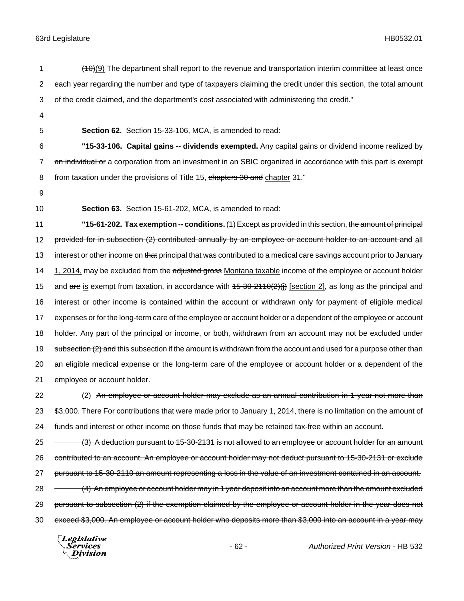- $(10)$  The department shall report to the revenue and transportation interim committee at least once 2 each year regarding the number and type of taxpayers claiming the credit under this section, the total amount 3 of the credit claimed, and the department's cost associated with administering the credit." 4 5 **Section 62.** Section 15-33-106, MCA, is amended to read: 6 **"15-33-106. Capital gains -- dividends exempted.** Any capital gains or dividend income realized by 7 an individual or a corporation from an investment in an SBIC organized in accordance with this part is exempt 8 from taxation under the provisions of Title 15, chapters 30 and chapter 31." 9 10 **Section 63.** Section 15-61-202, MCA, is amended to read: 11 **"15-61-202. Tax exemption -- conditions.** (1) Except as provided in this section, the amount of principal 12 provided for in subsection (2) contributed annually by an employee or account holder to an account and all 13 interest or other income on that principal that was contributed to a medical care savings account prior to January 14 1, 2014, may be excluded from the adjusted gross Montana taxable income of the employee or account holder 15 and  $\frac{a}{b}$  exempt from taxation, in accordance with  $\frac{45-30-2110(2)}{1}$  [section 2], as long as the principal and 16 interest or other income is contained within the account or withdrawn only for payment of eligible medical 17 expenses or for the long-term care of the employee or account holder or a dependent of the employee or account 18 holder. Any part of the principal or income, or both, withdrawn from an account may not be excluded under 19 subsection (2) and this subsection if the amount is withdrawn from the account and used for a purpose other than 20 an eligible medical expense or the long-term care of the employee or account holder or a dependent of the 21 employee or account holder. 22 (2) An employee or account holder may exclude as an annual contribution in 1 year not more than 23 \$3,000. There For contributions that were made prior to January 1, 2014, there is no limitation on the amount of 24 funds and interest or other income on those funds that may be retained tax-free within an account. 25 - (3) A deduction pursuant to 15-30-2131 is not allowed to an employee or account holder for an amount 26 contributed to an account. An employee or account holder may not deduct pursuant to 15-30-2131 or exclude 27 pursuant to 15-30-2110 an amount representing a loss in the value of an investment contained in an account. 28 – (4) An employee or account holder may in 1 year deposit into an account more than the amount excluded 29 pursuant to subsection (2) if the exemption claimed by the employee or account holder in the year does not 30 exceed \$3,000. An employee or account holder who deposits more than \$3,000 into an account in a year may
	- Legislative *Services* Division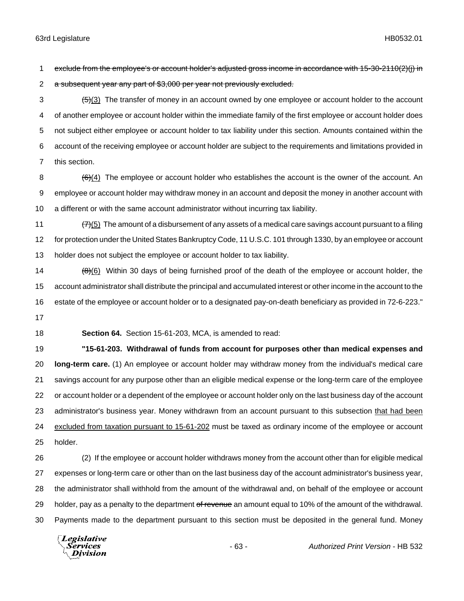exclude from the employee's or account holder's adjusted gross income in accordance with 15-30-2110(2)(j) in 2 a subsequent year any part of \$3,000 per year not previously excluded.

 $3 \left( \frac{1}{5}\right)$  The transfer of money in an account owned by one employee or account holder to the account of another employee or account holder within the immediate family of the first employee or account holder does not subject either employee or account holder to tax liability under this section. Amounts contained within the account of the receiving employee or account holder are subject to the requirements and limitations provided in this section.

- 8  $(6)(4)$  The employee or account holder who establishes the account is the owner of the account. An employee or account holder may withdraw money in an account and deposit the money in another account with a different or with the same account administrator without incurring tax liability.
- 11  $(7)(5)$  The amount of a disbursement of any assets of a medical care savings account pursuant to a filing for protection under the United States Bankruptcy Code, 11 U.S.C. 101 through 1330, by an employee or account holder does not subject the employee or account holder to tax liability.

14  $(\theta)(6)$  Within 30 days of being furnished proof of the death of the employee or account holder, the account administrator shall distribute the principal and accumulated interest or other income in the account to the estate of the employee or account holder or to a designated pay-on-death beneficiary as provided in 72-6-223."

**Section 64.** Section 15-61-203, MCA, is amended to read:

 **"15-61-203. Withdrawal of funds from account for purposes other than medical expenses and long-term care.** (1) An employee or account holder may withdraw money from the individual's medical care savings account for any purpose other than an eligible medical expense or the long-term care of the employee or account holder or a dependent of the employee or account holder only on the last business day of the account administrator's business year. Money withdrawn from an account pursuant to this subsection that had been excluded from taxation pursuant to 15-61-202 must be taxed as ordinary income of the employee or account holder.

 (2) If the employee or account holder withdraws money from the account other than for eligible medical expenses or long-term care or other than on the last business day of the account administrator's business year, the administrator shall withhold from the amount of the withdrawal and, on behalf of the employee or account 29 holder, pay as a penalty to the department of revenue an amount equal to 10% of the amount of the withdrawal. Payments made to the department pursuant to this section must be deposited in the general fund. Money

Legislative Services Division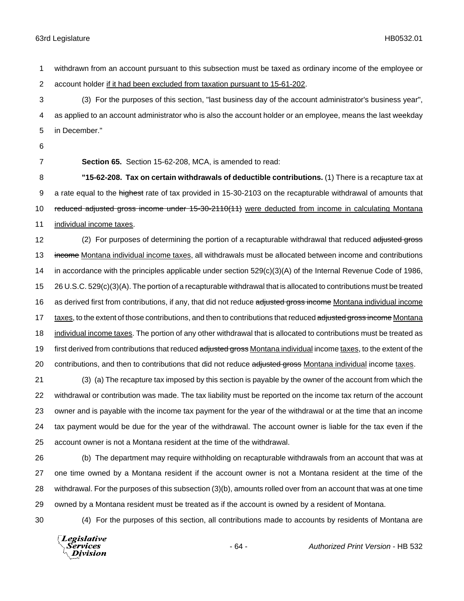1 withdrawn from an account pursuant to this subsection must be taxed as ordinary income of the employee or 2 account holder if it had been excluded from taxation pursuant to 15-61-202.

3 (3) For the purposes of this section, "last business day of the account administrator's business year", 4 as applied to an account administrator who is also the account holder or an employee, means the last weekday 5 in December."

- 6
- 

7 **Section 65.** Section 15-62-208, MCA, is amended to read:

8 **"15-62-208. Tax on certain withdrawals of deductible contributions.** (1) There is a recapture tax at 9 a rate equal to the highest rate of tax provided in 15-30-2103 on the recapturable withdrawal of amounts that 10 reduced adjusted gross income under 15-30-2110(11) were deducted from income in calculating Montana 11 individual income taxes.

12 (2) For purposes of determining the portion of a recapturable withdrawal that reduced adjusted gross 13 income Montana individual income taxes, all withdrawals must be allocated between income and contributions 14 in accordance with the principles applicable under section 529(c)(3)(A) of the Internal Revenue Code of 1986, 15 26 U.S.C. 529(c)(3)(A). The portion of a recapturable withdrawal that is allocated to contributions must be treated 16 as derived first from contributions, if any, that did not reduce adjusted gross income Montana individual income 17 taxes, to the extent of those contributions, and then to contributions that reduced adjusted gross income Montana 18 individual income taxes. The portion of any other withdrawal that is allocated to contributions must be treated as 19 first derived from contributions that reduced adjusted gross Montana individual income taxes, to the extent of the 20 contributions, and then to contributions that did not reduce adjusted gross Montana individual income taxes.

 (3) (a) The recapture tax imposed by this section is payable by the owner of the account from which the withdrawal or contribution was made. The tax liability must be reported on the income tax return of the account owner and is payable with the income tax payment for the year of the withdrawal or at the time that an income tax payment would be due for the year of the withdrawal. The account owner is liable for the tax even if the account owner is not a Montana resident at the time of the withdrawal.

 (b) The department may require withholding on recapturable withdrawals from an account that was at one time owned by a Montana resident if the account owner is not a Montana resident at the time of the withdrawal. For the purposes of this subsection (3)(b), amounts rolled over from an account that was at one time owned by a Montana resident must be treated as if the account is owned by a resident of Montana.

30 (4) For the purposes of this section, all contributions made to accounts by residents of Montana are

**Legislative** Services Division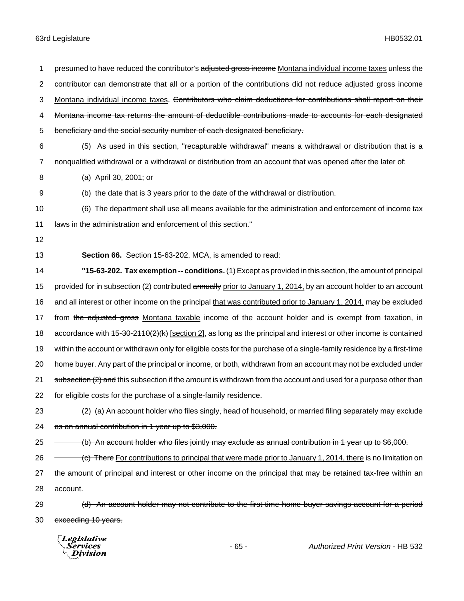2 contributor can demonstrate that all or a portion of the contributions did not reduce adjusted gross income 3 Montana individual income taxes. Contributors who claim deductions for contributions shall report on their 4 Montana income tax returns the amount of deductible contributions made to accounts for each designated 5 beneficiary and the social security number of each designated beneficiary. 6 (5) As used in this section, "recapturable withdrawal" means a withdrawal or distribution that is a 7 nonqualified withdrawal or a withdrawal or distribution from an account that was opened after the later of: 8 (a) April 30, 2001; or 9 (b) the date that is 3 years prior to the date of the withdrawal or distribution. 10 (6) The department shall use all means available for the administration and enforcement of income tax 11 laws in the administration and enforcement of this section." 12 13 **Section 66.** Section 15-63-202, MCA, is amended to read: 14 **"15-63-202. Tax exemption -- conditions.** (1) Except as provided in this section, the amount of principal 15 provided for in subsection (2) contributed annually prior to January 1, 2014, by an account holder to an account 16 and all interest or other income on the principal that was contributed prior to January 1, 2014, may be excluded 17 from the adjusted gross Montana taxable income of the account holder and is exempt from taxation, in 18 accordance with 45-30-2110(2)(k) [section 2], as long as the principal and interest or other income is contained 19 within the account or withdrawn only for eligible costs for the purchase of a single-family residence by a first-time 20 home buyer. Any part of the principal or income, or both, withdrawn from an account may not be excluded under 21 subsection (2) and this subsection if the amount is withdrawn from the account and used for a purpose other than 22 for eligible costs for the purchase of a single-family residence. 23 (2) (a) An account holder who files singly, head of household, or married filing separately may exclude 24 as an annual contribution in 1 year up to \$3,000. 25 (b) An account holder who files jointly may exclude as annual contribution in 1 year up to \$6,000. 26 <del>(c) There For contributions to principal that were made prior to January 1, 2014, there is no limitation on</del> 27 the amount of principal and interest or other income on the principal that may be retained tax-free within an 28 account. 29 (d) An account holder may not contribute to the first-time home buyer savings account for a period 30 exceeding 10 years. Legislative Services - 65 - *Authorized Print Version* - HB 532Division

1 presumed to have reduced the contributor's adjusted gross income Montana individual income taxes unless the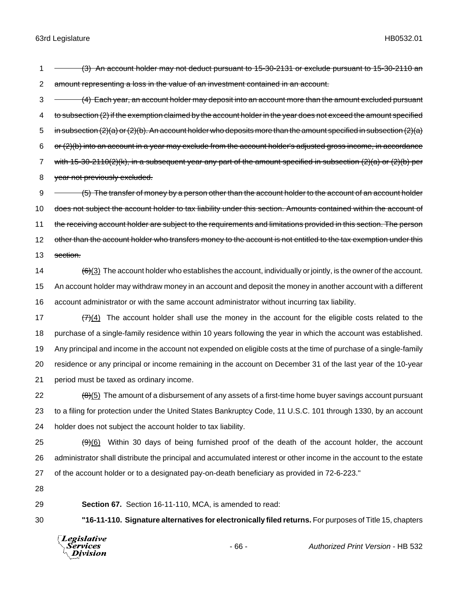1 - (3) An account holder may not deduct pursuant to 15-30-2131 or exclude pursuant to 15-30-2110 an 2 amount representing a loss in the value of an investment contained in an account.

3 (4) Each year, an account holder may deposit into an account more than the amount excluded pursuant 4 to subsection (2) if the exemption claimed by the account holder in the year does not exceed the amount specified 5 in subsection (2)(a) or (2)(b). An account holder who deposits more than the amount specified in subsection (2)(a)  $6$  or  $(2)(b)$  into an account in a year may exclude from the account holder's adjusted gross income, in accordance 7 with 15-30-2110(2)(k), in a subsequent year any part of the amount specified in subsection (2)(a) or (2)(b) per 8 year not previously excluded.

9 (5) The transfer of money by a person other than the account holder to the account of an account holder 10 does not subject the account holder to tax liability under this section. Amounts contained within the account of 11 the receiving account holder are subject to the requirements and limitations provided in this section. The person 12 other than the account holder who transfers money to the account is not entitled to the tax exemption under this 13 section.

14  $\left(\frac{6}{3}\right)$  The account holder who establishes the account, individually or jointly, is the owner of the account. 15 An account holder may withdraw money in an account and deposit the money in another account with a different 16 account administrator or with the same account administrator without incurring tax liability.

 $\left(7\right)(4)$  The account holder shall use the money in the account for the eligible costs related to the purchase of a single-family residence within 10 years following the year in which the account was established. Any principal and income in the account not expended on eligible costs at the time of purchase of a single-family residence or any principal or income remaining in the account on December 31 of the last year of the 10-year period must be taxed as ordinary income.

22  $(8)(5)$  The amount of a disbursement of any assets of a first-time home buyer savings account pursuant 23 to a filing for protection under the United States Bankruptcy Code, 11 U.S.C. 101 through 1330, by an account 24 holder does not subject the account holder to tax liability.

 $25$  ( $9)(6)$ ) Within 30 days of being furnished proof of the death of the account holder, the account 26 administrator shall distribute the principal and accumulated interest or other income in the account to the estate 27 of the account holder or to a designated pay-on-death beneficiary as provided in 72-6-223."

28

29 **Section 67.** Section 16-11-110, MCA, is amended to read:

30 **"16-11-110. Signature alternatives for electronically filed returns.** For purposes of Title 15, chapters



- 66 - *Authorized Print Version* - HB 532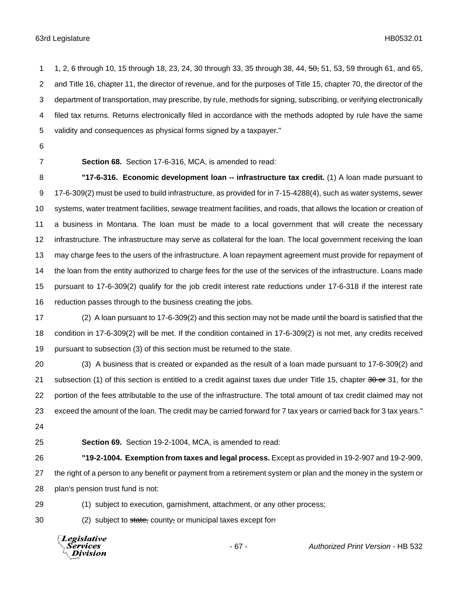1 1, 2, 6 through 10, 15 through 18, 23, 24, 30 through 33, 35 through 38, 44, 50, 51, 53, 59 through 61, and 65, and Title 16, chapter 11, the director of revenue, and for the purposes of Title 15, chapter 70, the director of the department of transportation, may prescribe, by rule, methods for signing, subscribing, or verifying electronically filed tax returns. Returns electronically filed in accordance with the methods adopted by rule have the same validity and consequences as physical forms signed by a taxpayer."

- 
- 

**Section 68.** Section 17-6-316, MCA, is amended to read:

 **"17-6-316. Economic development loan -- infrastructure tax credit.** (1) A loan made pursuant to 17-6-309(2) must be used to build infrastructure, as provided for in 7-15-4288(4), such as water systems, sewer systems, water treatment facilities, sewage treatment facilities, and roads, that allows the location or creation of a business in Montana. The loan must be made to a local government that will create the necessary infrastructure. The infrastructure may serve as collateral for the loan. The local government receiving the loan may charge fees to the users of the infrastructure. A loan repayment agreement must provide for repayment of the loan from the entity authorized to charge fees for the use of the services of the infrastructure. Loans made pursuant to 17-6-309(2) qualify for the job credit interest rate reductions under 17-6-318 if the interest rate reduction passes through to the business creating the jobs.

 (2) A loan pursuant to 17-6-309(2) and this section may not be made until the board is satisfied that the condition in 17-6-309(2) will be met. If the condition contained in 17-6-309(2) is not met, any credits received pursuant to subsection (3) of this section must be returned to the state.

 (3) A business that is created or expanded as the result of a loan made pursuant to 17-6-309(2) and 21 subsection (1) of this section is entitled to a credit against taxes due under Title 15, chapter or  $31$ , for the portion of the fees attributable to the use of the infrastructure. The total amount of tax credit claimed may not exceed the amount of the loan. The credit may be carried forward for 7 tax years or carried back for 3 tax years." 

- 
- 

**Section 69.** Section 19-2-1004, MCA, is amended to read:

 **"19-2-1004. Exemption from taxes and legal process.** Except as provided in 19-2-907 and 19-2-909, 27 the right of a person to any benefit or payment from a retirement system or plan and the money in the system or plan's pension trust fund is not:

(1) subject to execution, garnishment, attachment, or any other process;

30 (2) subject to state, county, or municipal taxes except for:

**Legislative** Services Division

- 67 - *Authorized Print Version* - HB 532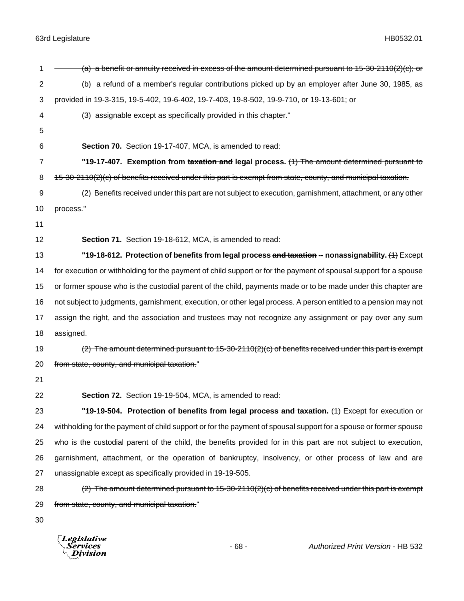| 1              | (a) a benefit or annuity received in excess of the amount determined pursuant to $15-30-2110(2)(c)$ ; or         |
|----------------|------------------------------------------------------------------------------------------------------------------|
| $\overline{c}$ | (b) a refund of a member's regular contributions picked up by an employer after June 30, 1985, as                |
| 3              | provided in 19-3-315, 19-5-402, 19-6-402, 19-7-403, 19-8-502, 19-9-710, or 19-13-601; or                         |
| 4              | (3) assignable except as specifically provided in this chapter."                                                 |
| 5              |                                                                                                                  |
| 6              | Section 70. Section 19-17-407, MCA, is amended to read:                                                          |
| 7              | "19-17-407. Exemption from taxation and legal process. (1) The amount determined pursuant to                     |
| 8              | 15-30-2110(2)(c) of benefits received under this part is exempt from state, county, and municipal taxation.      |
| 9              | $(2)$ Benefits received under this part are not subject to execution, garnishment, attachment, or any other      |
| 10             | process."                                                                                                        |
| 11             |                                                                                                                  |
| 12             | Section 71. Section 19-18-612, MCA, is amended to read:                                                          |
| 13             | "19-18-612. Protection of benefits from legal process and taxation -- nonassignability. (4) Except               |
| 14             | for execution or withholding for the payment of child support or for the payment of spousal support for a spouse |
| 15             | or former spouse who is the custodial parent of the child, payments made or to be made under this chapter are    |
| 16             | not subject to judgments, garnishment, execution, or other legal process. A person entitled to a pension may not |
| 17             | assign the right, and the association and trustees may not recognize any assignment or pay over any sum          |
| 18             | assigned.                                                                                                        |
| 19             | $(2)$ The amount determined pursuant to 15-30-2110(2)(c) of benefits received under this part is exempt          |
| 20             | from state, county, and municipal taxation."                                                                     |
| 21             |                                                                                                                  |
| 22             | Section 72. Section 19-19-504, MCA, is amended to read:                                                          |
| 23             | "19-19-504. Protection of benefits from legal process and taxation. (4) Except for execution or                  |
| 24             | withholding for the payment of child support or for the payment of spousal support for a spouse or former spouse |
| 25             | who is the custodial parent of the child, the benefits provided for in this part are not subject to execution,   |
| 26             | garnishment, attachment, or the operation of bankruptcy, insolvency, or other process of law and are             |
| 27             | unassignable except as specifically provided in 19-19-505.                                                       |
| 28             | $(2)$ The amount determined pursuant to 15-30-2110(2)(c) of benefits received under this part is exempt          |
| 29             | from state, county, and municipal taxation."                                                                     |
| 30             |                                                                                                                  |
|                |                                                                                                                  |

*Legislative*<br>Services<br>*Division*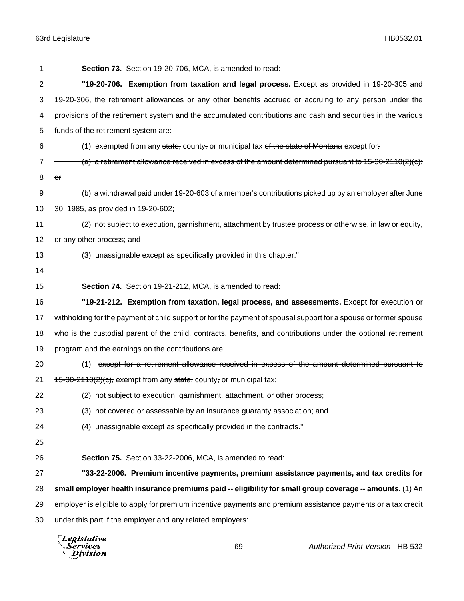| 1  | Section 73. Section 19-20-706, MCA, is amended to read:                                                          |
|----|------------------------------------------------------------------------------------------------------------------|
| 2  | "19-20-706. Exemption from taxation and legal process. Except as provided in 19-20-305 and                       |
| 3  | 19-20-306, the retirement allowances or any other benefits accrued or accruing to any person under the           |
| 4  | provisions of the retirement system and the accumulated contributions and cash and securities in the various     |
| 5  | funds of the retirement system are:                                                                              |
| 6  | (1) exempted from any state, county, or municipal tax of the state of Montana except for:                        |
| 7  | (a) a retirement allowance received in excess of the amount determined pursuant to 15-30-2110(2)(c);             |
| 8  | or                                                                                                               |
| 9  | $(b)$ a withdrawal paid under 19-20-603 of a member's contributions picked up by an employer after June          |
| 10 | 30, 1985, as provided in 19-20-602;                                                                              |
| 11 | (2) not subject to execution, garnishment, attachment by trustee process or otherwise, in law or equity,         |
| 12 | or any other process; and                                                                                        |
| 13 | (3) unassignable except as specifically provided in this chapter."                                               |
| 14 |                                                                                                                  |
| 15 | Section 74. Section 19-21-212, MCA, is amended to read:                                                          |
| 16 | "19-21-212. Exemption from taxation, legal process, and assessments. Except for execution or                     |
| 17 | withholding for the payment of child support or for the payment of spousal support for a spouse or former spouse |
| 18 | who is the custodial parent of the child, contracts, benefits, and contributions under the optional retirement   |
| 19 | program and the earnings on the contributions are:                                                               |
| 20 | (1) except for a retirement allowance received in excess of the amount determined pursuant to                    |
| 21 | $15-30-2110(2)(c)$ , exempt from any state, county, or municipal tax;                                            |
| 22 | (2) not subject to execution, garnishment, attachment, or other process;                                         |
| 23 | (3) not covered or assessable by an insurance guaranty association; and                                          |
| 24 | (4) unassignable except as specifically provided in the contracts."                                              |
| 25 |                                                                                                                  |
| 26 | Section 75. Section 33-22-2006, MCA, is amended to read:                                                         |
| 27 | "33-22-2006. Premium incentive payments, premium assistance payments, and tax credits for                        |
| 28 | small employer health insurance premiums paid -- eligibility for small group coverage -- amounts. (1) An         |
| 29 | employer is eligible to apply for premium incentive payments and premium assistance payments or a tax credit     |
| 30 | under this part if the employer and any related employers:                                                       |
|    |                                                                                                                  |

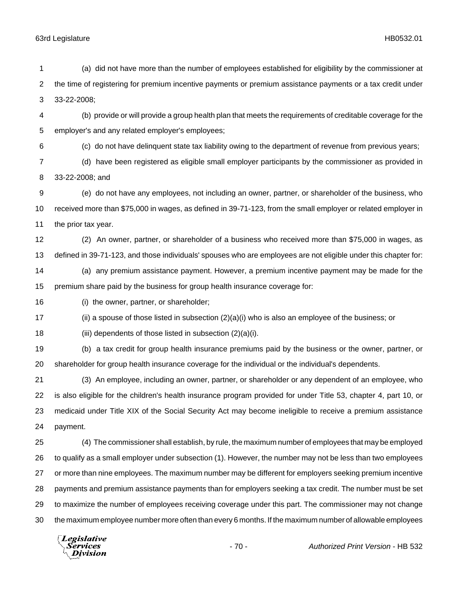Division

 (a) did not have more than the number of employees established for eligibility by the commissioner at the time of registering for premium incentive payments or premium assistance payments or a tax credit under 33-22-2008; (b) provide or will provide a group health plan that meets the requirements of creditable coverage for the employer's and any related employer's employees; (c) do not have delinquent state tax liability owing to the department of revenue from previous years; (d) have been registered as eligible small employer participants by the commissioner as provided in 33-22-2008; and (e) do not have any employees, not including an owner, partner, or shareholder of the business, who received more than \$75,000 in wages, as defined in 39-71-123, from the small employer or related employer in the prior tax year. (2) An owner, partner, or shareholder of a business who received more than \$75,000 in wages, as defined in 39-71-123, and those individuals' spouses who are employees are not eligible under this chapter for: (a) any premium assistance payment. However, a premium incentive payment may be made for the premium share paid by the business for group health insurance coverage for: (i) the owner, partner, or shareholder; (ii) a spouse of those listed in subsection (2)(a)(i) who is also an employee of the business; or (iii) dependents of those listed in subsection (2)(a)(i). (b) a tax credit for group health insurance premiums paid by the business or the owner, partner, or shareholder for group health insurance coverage for the individual or the individual's dependents. (3) An employee, including an owner, partner, or shareholder or any dependent of an employee, who is also eligible for the children's health insurance program provided for under Title 53, chapter 4, part 10, or medicaid under Title XIX of the Social Security Act may become ineligible to receive a premium assistance payment. (4) The commissioner shall establish, by rule, the maximum number of employees that may be employed to qualify as a small employer under subsection (1). However, the number may not be less than two employees or more than nine employees. The maximum number may be different for employers seeking premium incentive payments and premium assistance payments than for employers seeking a tax credit. The number must be set to maximize the number of employees receiving coverage under this part. The commissioner may not change the maximum employee number more often than every 6 months. If the maximum number of allowable employees **Legislative** *Services* - 70 - *Authorized Print Version* - HB 532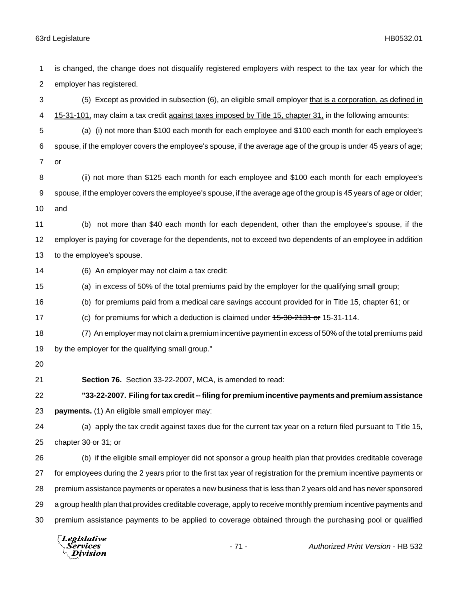employer has registered. (5) Except as provided in subsection (6), an eligible small employer that is a corporation, as defined in 4 15-31-101, may claim a tax credit against taxes imposed by Title 15, chapter 31, in the following amounts: (a) (i) not more than \$100 each month for each employee and \$100 each month for each employee's spouse, if the employer covers the employee's spouse, if the average age of the group is under 45 years of age; or (ii) not more than \$125 each month for each employee and \$100 each month for each employee's spouse, if the employer covers the employee's spouse, if the average age of the group is 45 years of age or older; and (b) not more than \$40 each month for each dependent, other than the employee's spouse, if the employer is paying for coverage for the dependents, not to exceed two dependents of an employee in addition to the employee's spouse. (6) An employer may not claim a tax credit: (a) in excess of 50% of the total premiums paid by the employer for the qualifying small group; (b) for premiums paid from a medical care savings account provided for in Title 15, chapter 61; or 17 (c) for premiums for which a deduction is claimed under  $15-30-2131$  or 15-31-114. (7) An employer may not claim a premium incentive payment in excess of 50% of the total premiums paid by the employer for the qualifying small group." **Section 76.** Section 33-22-2007, MCA, is amended to read: **"33-22-2007. Filing for tax credit -- filing for premium incentive payments and premium assistance payments.** (1) An eligible small employer may: (a) apply the tax credit against taxes due for the current tax year on a return filed pursuant to Title 15, 25 chapter or 31; or (b) if the eligible small employer did not sponsor a group health plan that provides creditable coverage for employees during the 2 years prior to the first tax year of registration for the premium incentive payments or premium assistance payments or operates a new business that is less than 2 years old and has never sponsored a group health plan that provides creditable coverage, apply to receive monthly premium incentive payments and premium assistance payments to be applied to coverage obtained through the purchasing pool or qualified

is changed, the change does not disqualify registered employers with respect to the tax year for which the

Legislative *Services* **Division**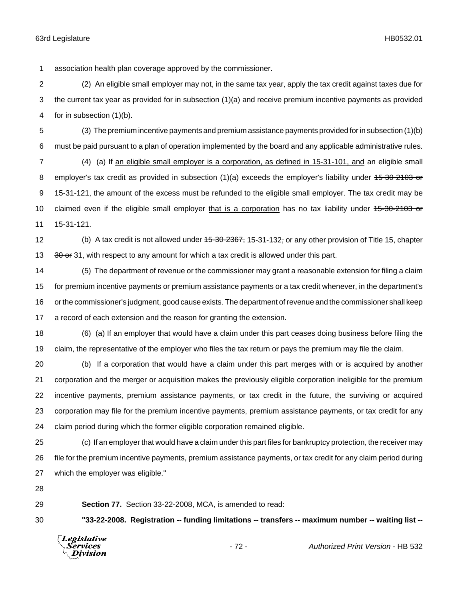association health plan coverage approved by the commissioner.

 (2) An eligible small employer may not, in the same tax year, apply the tax credit against taxes due for the current tax year as provided for in subsection (1)(a) and receive premium incentive payments as provided for in subsection (1)(b).

 (3) The premium incentive payments and premium assistance payments provided for in subsection (1)(b) must be paid pursuant to a plan of operation implemented by the board and any applicable administrative rules.

 (4) (a) If an eligible small employer is a corporation, as defined in 15-31-101, and an eligible small 8 employer's tax credit as provided in subsection (1)(a) exceeds the employer's liability under 45-30-2103 or 15-31-121, the amount of the excess must be refunded to the eligible small employer. The tax credit may be 10 claimed even if the eligible small employer that is a corporation has no tax liability under 45-30-2103 or 15-31-121.

12 (b) A tax credit is not allowed under <del>15-30-2367,</del> 15-31-132, or any other provision of Title 15, chapter 13 or 31, with respect to any amount for which a tax credit is allowed under this part.

 (5) The department of revenue or the commissioner may grant a reasonable extension for filing a claim for premium incentive payments or premium assistance payments or a tax credit whenever, in the department's or the commissioner's judgment, good cause exists. The department of revenue and the commissioner shall keep a record of each extension and the reason for granting the extension.

 (6) (a) If an employer that would have a claim under this part ceases doing business before filing the claim, the representative of the employer who files the tax return or pays the premium may file the claim.

 (b) If a corporation that would have a claim under this part merges with or is acquired by another corporation and the merger or acquisition makes the previously eligible corporation ineligible for the premium incentive payments, premium assistance payments, or tax credit in the future, the surviving or acquired corporation may file for the premium incentive payments, premium assistance payments, or tax credit for any claim period during which the former eligible corporation remained eligible.

 (c) If an employer that would have a claim under this part files for bankruptcy protection, the receiver may file for the premium incentive payments, premium assistance payments, or tax credit for any claim period during which the employer was eligible."

**Section 77.** Section 33-22-2008, MCA, is amended to read:

**"33-22-2008. Registration -- funding limitations -- transfers -- maximum number -- waiting list --**



- 72 - *Authorized Print Version* - HB 532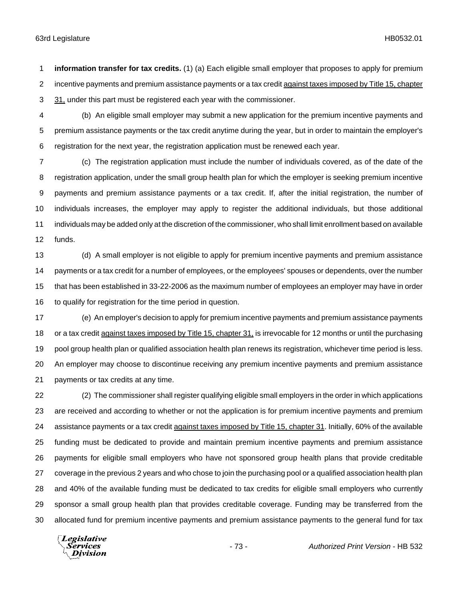**information transfer for tax credits.** (1) (a) Each eligible small employer that proposes to apply for premium 2 incentive payments and premium assistance payments or a tax credit against taxes imposed by Title 15, chapter 31, under this part must be registered each year with the commissioner.

 (b) An eligible small employer may submit a new application for the premium incentive payments and premium assistance payments or the tax credit anytime during the year, but in order to maintain the employer's registration for the next year, the registration application must be renewed each year.

 (c) The registration application must include the number of individuals covered, as of the date of the registration application, under the small group health plan for which the employer is seeking premium incentive payments and premium assistance payments or a tax credit. If, after the initial registration, the number of individuals increases, the employer may apply to register the additional individuals, but those additional individuals may be added only at the discretion of the commissioner, who shall limit enrollment based on available funds.

 (d) A small employer is not eligible to apply for premium incentive payments and premium assistance payments or a tax credit for a number of employees, or the employees' spouses or dependents, over the number that has been established in 33-22-2006 as the maximum number of employees an employer may have in order 16 to qualify for registration for the time period in question.

 (e) An employer's decision to apply for premium incentive payments and premium assistance payments 18 or a tax credit against taxes imposed by Title 15, chapter 31, is irrevocable for 12 months or until the purchasing pool group health plan or qualified association health plan renews its registration, whichever time period is less. An employer may choose to discontinue receiving any premium incentive payments and premium assistance payments or tax credits at any time.

 (2) The commissioner shall register qualifying eligible small employers in the order in which applications are received and according to whether or not the application is for premium incentive payments and premium 24 assistance payments or a tax credit against taxes imposed by Title 15, chapter 31. Initially, 60% of the available funding must be dedicated to provide and maintain premium incentive payments and premium assistance payments for eligible small employers who have not sponsored group health plans that provide creditable coverage in the previous 2 years and who chose to join the purchasing pool or a qualified association health plan and 40% of the available funding must be dedicated to tax credits for eligible small employers who currently sponsor a small group health plan that provides creditable coverage. Funding may be transferred from the allocated fund for premium incentive payments and premium assistance payments to the general fund for tax

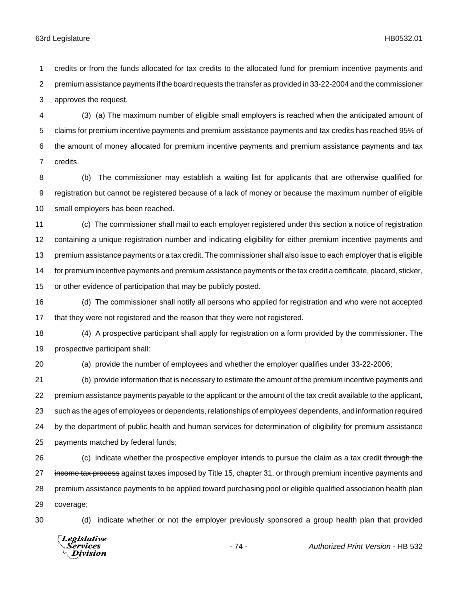credits or from the funds allocated for tax credits to the allocated fund for premium incentive payments and premium assistance payments if the board requests the transfer as provided in 33-22-2004 and the commissioner approves the request.

 (3) (a) The maximum number of eligible small employers is reached when the anticipated amount of claims for premium incentive payments and premium assistance payments and tax credits has reached 95% of the amount of money allocated for premium incentive payments and premium assistance payments and tax credits.

 (b) The commissioner may establish a waiting list for applicants that are otherwise qualified for registration but cannot be registered because of a lack of money or because the maximum number of eligible small employers has been reached.

 (c) The commissioner shall mail to each employer registered under this section a notice of registration containing a unique registration number and indicating eligibility for either premium incentive payments and premium assistance payments or a tax credit. The commissioner shall also issue to each employer that is eligible for premium incentive payments and premium assistance payments or the tax credit a certificate, placard, sticker, or other evidence of participation that may be publicly posted.

 (d) The commissioner shall notify all persons who applied for registration and who were not accepted that they were not registered and the reason that they were not registered.

 (4) A prospective participant shall apply for registration on a form provided by the commissioner. The prospective participant shall:

(a) provide the number of employees and whether the employer qualifies under 33-22-2006;

 (b) provide information that is necessary to estimate the amount of the premium incentive payments and premium assistance payments payable to the applicant or the amount of the tax credit available to the applicant, such as the ages of employees or dependents, relationships of employees' dependents, and information required by the department of public health and human services for determination of eligibility for premium assistance payments matched by federal funds;

26 (c) indicate whether the prospective employer intends to pursue the claim as a tax credit through the 27 income tax process against taxes imposed by Title 15, chapter 31, or through premium incentive payments and premium assistance payments to be applied toward purchasing pool or eligible qualified association health plan coverage;

(d) indicate whether or not the employer previously sponsored a group health plan that provided

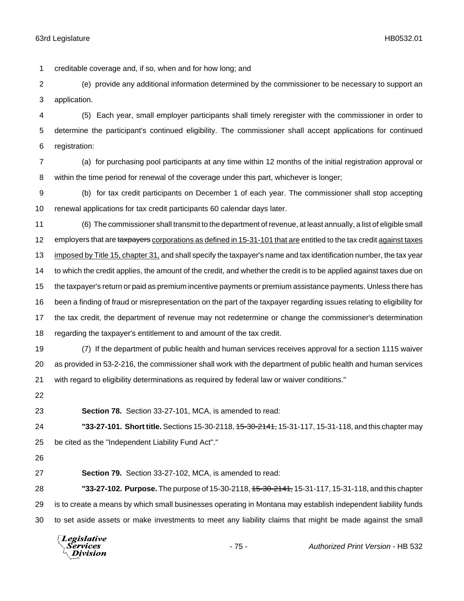creditable coverage and, if so, when and for how long; and

 (e) provide any additional information determined by the commissioner to be necessary to support an application.

 (5) Each year, small employer participants shall timely reregister with the commissioner in order to determine the participant's continued eligibility. The commissioner shall accept applications for continued registration:

 (a) for purchasing pool participants at any time within 12 months of the initial registration approval or within the time period for renewal of the coverage under this part, whichever is longer;

 (b) for tax credit participants on December 1 of each year. The commissioner shall stop accepting renewal applications for tax credit participants 60 calendar days later.

 (6) The commissioner shall transmit to the department of revenue, at least annually, a list of eligible small 12 employers that are taxpayers corporations as defined in 15-31-101 that are entitled to the tax credit against taxes 13 imposed by Title 15, chapter 31, and shall specify the taxpayer's name and tax identification number, the tax year 14 to which the credit applies, the amount of the credit, and whether the credit is to be applied against taxes due on the taxpayer's return or paid as premium incentive payments or premium assistance payments. Unless there has been a finding of fraud or misrepresentation on the part of the taxpayer regarding issues relating to eligibility for the tax credit, the department of revenue may not redetermine or change the commissioner's determination regarding the taxpayer's entitlement to and amount of the tax credit.

 (7) If the department of public health and human services receives approval for a section 1115 waiver as provided in 53-2-216, the commissioner shall work with the department of public health and human services with regard to eligibility determinations as required by federal law or waiver conditions."

**Section 78.** Section 33-27-101, MCA, is amended to read:

 **"33-27-101. Short title.** Sections 15-30-2118, 15-30-2141, 15-31-117, 15-31-118, and this chapter may be cited as the "Independent Liability Fund Act"."

**Section 79.** Section 33-27-102, MCA, is amended to read:

 **"33-27-102. Purpose.** The purpose of 15-30-2118, 15-30-2141, 15-31-117, 15-31-118, and this chapter is to create a means by which small businesses operating in Montana may establish independent liability funds to set aside assets or make investments to meet any liability claims that might be made against the small

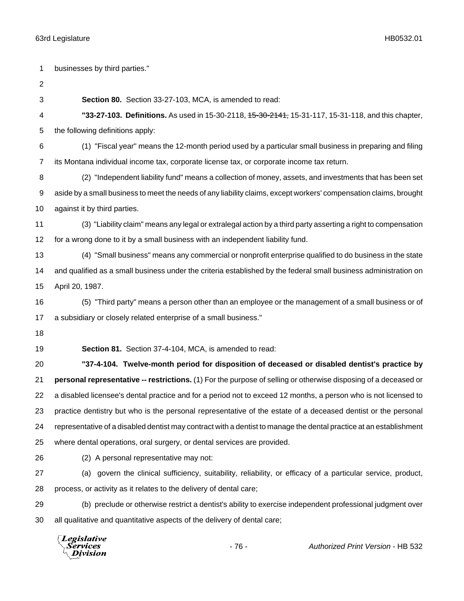businesses by third parties." **Section 80.** Section 33-27-103, MCA, is amended to read: **"33-27-103. Definitions.** As used in 15-30-2118, 15-30-2141, 15-31-117, 15-31-118, and this chapter, the following definitions apply: (1) "Fiscal year" means the 12-month period used by a particular small business in preparing and filing its Montana individual income tax, corporate license tax, or corporate income tax return. (2) "Independent liability fund" means a collection of money, assets, and investments that has been set aside by a small business to meet the needs of any liability claims, except workers' compensation claims, brought against it by third parties. (3) "Liability claim" means any legal or extralegal action by a third party asserting a right to compensation for a wrong done to it by a small business with an independent liability fund. (4) "Small business" means any commercial or nonprofit enterprise qualified to do business in the state and qualified as a small business under the criteria established by the federal small business administration on April 20, 1987. (5) "Third party" means a person other than an employee or the management of a small business or of a subsidiary or closely related enterprise of a small business." **Section 81.** Section 37-4-104, MCA, is amended to read: **"37-4-104. Twelve-month period for disposition of deceased or disabled dentist's practice by personal representative -- restrictions.** (1) For the purpose of selling or otherwise disposing of a deceased or a disabled licensee's dental practice and for a period not to exceed 12 months, a person who is not licensed to practice dentistry but who is the personal representative of the estate of a deceased dentist or the personal representative of a disabled dentist may contract with a dentist to manage the dental practice at an establishment where dental operations, oral surgery, or dental services are provided. (2) A personal representative may not: (a) govern the clinical sufficiency, suitability, reliability, or efficacy of a particular service, product, process, or activity as it relates to the delivery of dental care; (b) preclude or otherwise restrict a dentist's ability to exercise independent professional judgment over all qualitative and quantitative aspects of the delivery of dental care;

**Legislative** Services **Division**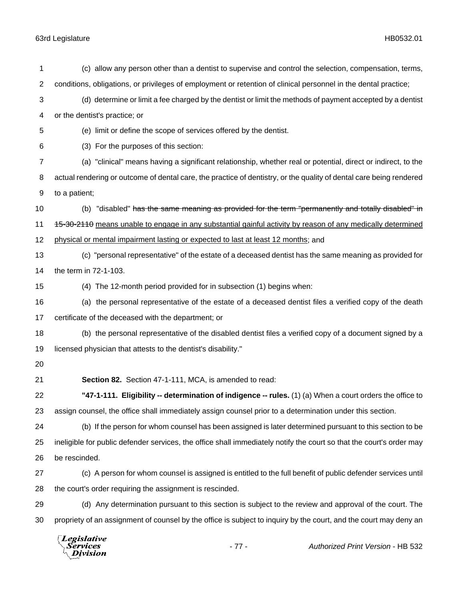| 1              | (c) allow any person other than a dentist to supervise and control the selection, compensation, terms,               |  |
|----------------|----------------------------------------------------------------------------------------------------------------------|--|
| $\overline{c}$ | conditions, obligations, or privileges of employment or retention of clinical personnel in the dental practice;      |  |
| 3              | (d) determine or limit a fee charged by the dentist or limit the methods of payment accepted by a dentist            |  |
| 4              | or the dentist's practice; or                                                                                        |  |
| 5              | (e) limit or define the scope of services offered by the dentist.                                                    |  |
| 6              | (3) For the purposes of this section:                                                                                |  |
| 7              | (a) "clinical" means having a significant relationship, whether real or potential, direct or indirect, to the        |  |
| 8              | actual rendering or outcome of dental care, the practice of dentistry, or the quality of dental care being rendered  |  |
| 9              | to a patient;                                                                                                        |  |
| 10             | (b) "disabled" has the same meaning as provided for the term "permanently and totally disabled" in                   |  |
| 11             | 15-30-2110 means unable to engage in any substantial gainful activity by reason of any medically determined          |  |
| 12             | physical or mental impairment lasting or expected to last at least 12 months; and                                    |  |
| 13             | (c) "personal representative" of the estate of a deceased dentist has the same meaning as provided for               |  |
| 14             | the term in 72-1-103.                                                                                                |  |
| 15             | (4) The 12-month period provided for in subsection (1) begins when:                                                  |  |
| 16             | (a) the personal representative of the estate of a deceased dentist files a verified copy of the death               |  |
| 17             | certificate of the deceased with the department; or                                                                  |  |
| 18             | (b) the personal representative of the disabled dentist files a verified copy of a document signed by a              |  |
| 19             | licensed physician that attests to the dentist's disability."                                                        |  |
| 20             |                                                                                                                      |  |
| 21             | Section 82. Section 47-1-111, MCA, is amended to read:                                                               |  |
| 22             | "47-1-111. Eligibility -- determination of indigence -- rules. (1) (a) When a court orders the office to             |  |
| 23             | assign counsel, the office shall immediately assign counsel prior to a determination under this section.             |  |
| 24             | (b) If the person for whom counsel has been assigned is later determined pursuant to this section to be              |  |
| 25             | ineligible for public defender services, the office shall immediately notify the court so that the court's order may |  |
| 26             | be rescinded.                                                                                                        |  |
| 27             | (c) A person for whom counsel is assigned is entitled to the full benefit of public defender services until          |  |
| 28             | the court's order requiring the assignment is rescinded.                                                             |  |
| 29             | (d) Any determination pursuant to this section is subject to the review and approval of the court. The               |  |
| 30             | propriety of an assignment of counsel by the office is subject to inquiry by the court, and the court may deny an    |  |
|                |                                                                                                                      |  |

*Legislative*<br>*Services*<br>*Division*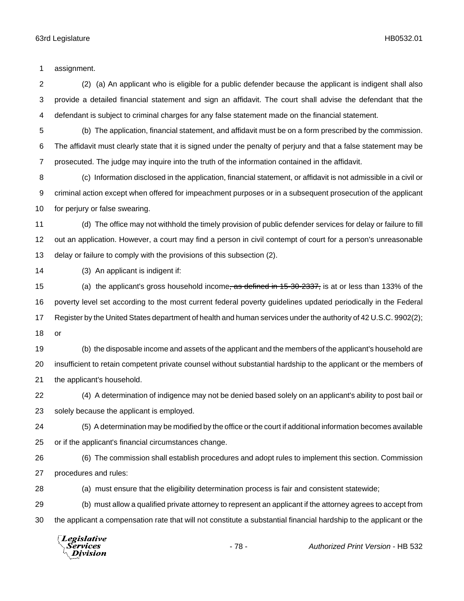assignment.

 (2) (a) An applicant who is eligible for a public defender because the applicant is indigent shall also provide a detailed financial statement and sign an affidavit. The court shall advise the defendant that the defendant is subject to criminal charges for any false statement made on the financial statement.

 (b) The application, financial statement, and affidavit must be on a form prescribed by the commission. The affidavit must clearly state that it is signed under the penalty of perjury and that a false statement may be prosecuted. The judge may inquire into the truth of the information contained in the affidavit.

 (c) Information disclosed in the application, financial statement, or affidavit is not admissible in a civil or criminal action except when offered for impeachment purposes or in a subsequent prosecution of the applicant for perjury or false swearing.

 (d) The office may not withhold the timely provision of public defender services for delay or failure to fill out an application. However, a court may find a person in civil contempt of court for a person's unreasonable delay or failure to comply with the provisions of this subsection (2).

(3) An applicant is indigent if:

15 (a) the applicant's gross household income<del>, as defined in 15-30-2337,</del> is at or less than 133% of the poverty level set according to the most current federal poverty guidelines updated periodically in the Federal Register by the United States department of health and human services under the authority of 42 U.S.C. 9902(2); or

 (b) the disposable income and assets of the applicant and the members of the applicant's household are insufficient to retain competent private counsel without substantial hardship to the applicant or the members of the applicant's household.

 (4) A determination of indigence may not be denied based solely on an applicant's ability to post bail or solely because the applicant is employed.

 (5) A determination may be modified by the office or the court if additional information becomes available or if the applicant's financial circumstances change.

 (6) The commission shall establish procedures and adopt rules to implement this section. Commission procedures and rules:

(a) must ensure that the eligibility determination process is fair and consistent statewide;

 (b) must allow a qualified private attorney to represent an applicant if the attorney agrees to accept from the applicant a compensation rate that will not constitute a substantial financial hardship to the applicant or the

Legislative Services Division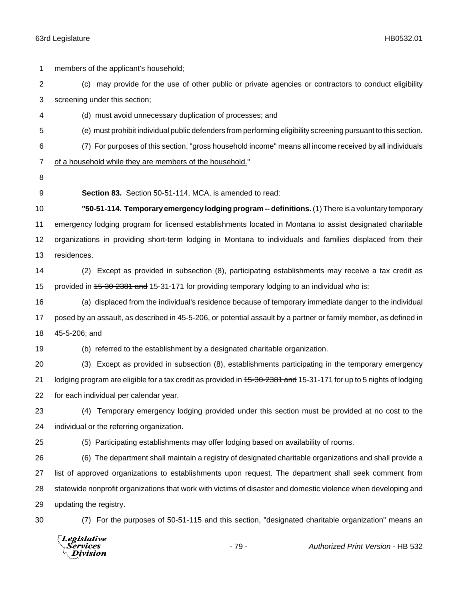| 1                | members of the applicant's household;                                                                               |  |  |
|------------------|---------------------------------------------------------------------------------------------------------------------|--|--|
| $\overline{2}$   | (c) may provide for the use of other public or private agencies or contractors to conduct eligibility               |  |  |
| 3                | screening under this section;                                                                                       |  |  |
| 4                | (d) must avoid unnecessary duplication of processes; and                                                            |  |  |
| 5                | (e) must prohibit individual public defenders from performing eligibility screening pursuant to this section.       |  |  |
| 6                | (7) For purposes of this section, "gross household income" means all income received by all individuals             |  |  |
| $\overline{7}$   | of a household while they are members of the household."                                                            |  |  |
| 8                |                                                                                                                     |  |  |
| $\boldsymbol{9}$ | Section 83. Section 50-51-114, MCA, is amended to read:                                                             |  |  |
| 10               | "50-51-114. Temporary emergency lodging program -- definitions. (1) There is a voluntary temporary                  |  |  |
| 11               | emergency lodging program for licensed establishments located in Montana to assist designated charitable            |  |  |
| 12               | organizations in providing short-term lodging in Montana to individuals and families displaced from their           |  |  |
| 13               | residences.                                                                                                         |  |  |
| 14               | Except as provided in subsection (8), participating establishments may receive a tax credit as<br>(2)               |  |  |
| 15               | provided in 45-30-2381 and 15-31-171 for providing temporary lodging to an individual who is:                       |  |  |
| 16               | (a) displaced from the individual's residence because of temporary immediate danger to the individual               |  |  |
| 17               | posed by an assault, as described in 45-5-206, or potential assault by a partner or family member, as defined in    |  |  |
| 18               | 45-5-206; and                                                                                                       |  |  |
| 19               | (b) referred to the establishment by a designated charitable organization.                                          |  |  |
| 20               | (3) Except as provided in subsection (8), establishments participating in the temporary emergency                   |  |  |
| 21               | lodging program are eligible for a tax credit as provided in 45-30-2381 and 15-31-171 for up to 5 nights of lodging |  |  |
| 22               | for each individual per calendar year.                                                                              |  |  |
| 23               | (4) Temporary emergency lodging provided under this section must be provided at no cost to the                      |  |  |
| 24               | individual or the referring organization.                                                                           |  |  |
| 25               | (5) Participating establishments may offer lodging based on availability of rooms.                                  |  |  |
| 26               | (6) The department shall maintain a registry of designated charitable organizations and shall provide a             |  |  |
| 27               | list of approved organizations to establishments upon request. The department shall seek comment from               |  |  |
| 28               | statewide nonprofit organizations that work with victims of disaster and domestic violence when developing and      |  |  |
| 29               | updating the registry.                                                                                              |  |  |
| 30               | (7) For the purposes of 50-51-115 and this section, "designated charitable organization" means an                   |  |  |
|                  | Legislative<br>$-79-$<br>Authorized Print Version - HB 532<br>Services<br>Division                                  |  |  |

# - 79 - *Authorized Print Version* - HB 532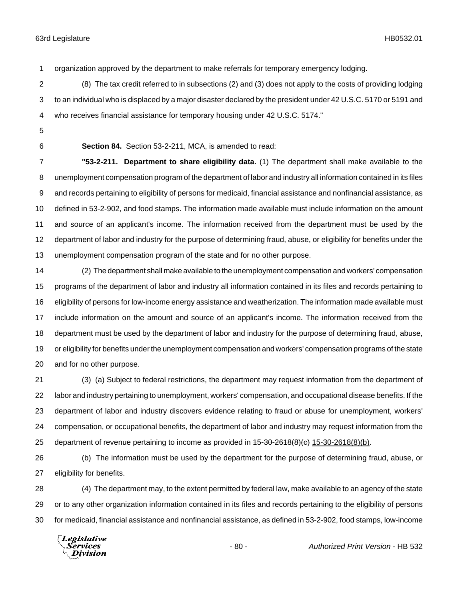organization approved by the department to make referrals for temporary emergency lodging.

 (8) The tax credit referred to in subsections (2) and (3) does not apply to the costs of providing lodging to an individual who is displaced by a major disaster declared by the president under 42 U.S.C. 5170 or 5191 and who receives financial assistance for temporary housing under 42 U.S.C. 5174."

- 
- 

**Section 84.** Section 53-2-211, MCA, is amended to read:

 **"53-2-211. Department to share eligibility data.** (1) The department shall make available to the unemployment compensation program of the department of labor and industry all information contained in its files and records pertaining to eligibility of persons for medicaid, financial assistance and nonfinancial assistance, as defined in 53-2-902, and food stamps. The information made available must include information on the amount and source of an applicant's income. The information received from the department must be used by the department of labor and industry for the purpose of determining fraud, abuse, or eligibility for benefits under the unemployment compensation program of the state and for no other purpose.

 (2) The department shall make available to the unemployment compensation and workers' compensation programs of the department of labor and industry all information contained in its files and records pertaining to eligibility of persons for low-income energy assistance and weatherization. The information made available must include information on the amount and source of an applicant's income. The information received from the department must be used by the department of labor and industry for the purpose of determining fraud, abuse, or eligibility for benefits under the unemployment compensation and workers' compensation programs of the state and for no other purpose.

 (3) (a) Subject to federal restrictions, the department may request information from the department of labor and industry pertaining to unemployment, workers' compensation, and occupational disease benefits. If the department of labor and industry discovers evidence relating to fraud or abuse for unemployment, workers' compensation, or occupational benefits, the department of labor and industry may request information from the 25 department of revenue pertaining to income as provided in  $45-30-2618(8)(c)$  15-30-2618(8)(b).

 (b) The information must be used by the department for the purpose of determining fraud, abuse, or eligibility for benefits.

 (4) The department may, to the extent permitted by federal law, make available to an agency of the state or to any other organization information contained in its files and records pertaining to the eligibility of persons for medicaid, financial assistance and nonfinancial assistance, as defined in 53-2-902, food stamps, low-income

Legislative Services Division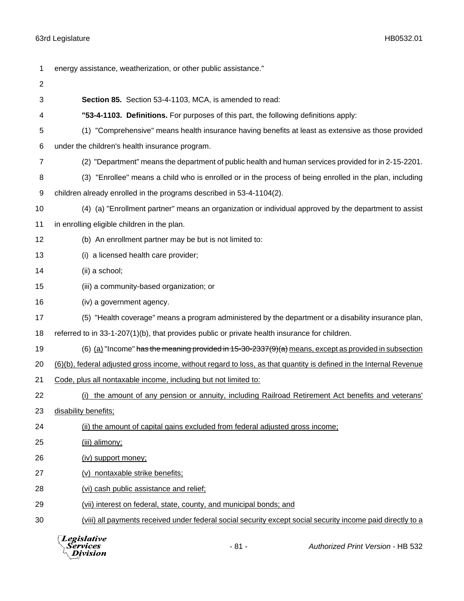| 1  | energy assistance, weatherization, or other public assistance."                                                    |  |
|----|--------------------------------------------------------------------------------------------------------------------|--|
| 2  |                                                                                                                    |  |
| 3  | Section 85. Section 53-4-1103, MCA, is amended to read:                                                            |  |
| 4  | "53-4-1103. Definitions. For purposes of this part, the following definitions apply:                               |  |
| 5  | (1) "Comprehensive" means health insurance having benefits at least as extensive as those provided                 |  |
| 6  | under the children's health insurance program.                                                                     |  |
| 7  | (2) "Department" means the department of public health and human services provided for in 2-15-2201.               |  |
| 8  | (3) "Enrollee" means a child who is enrolled or in the process of being enrolled in the plan, including            |  |
| 9  | children already enrolled in the programs described in 53-4-1104(2).                                               |  |
| 10 | (4) (a) "Enrollment partner" means an organization or individual approved by the department to assist              |  |
| 11 | in enrolling eligible children in the plan.                                                                        |  |
| 12 | (b) An enrollment partner may be but is not limited to:                                                            |  |
| 13 | (i) a licensed health care provider;                                                                               |  |
| 14 | (ii) a school;                                                                                                     |  |
| 15 | (iii) a community-based organization; or                                                                           |  |
| 16 | (iv) a government agency.                                                                                          |  |
| 17 | (5) "Health coverage" means a program administered by the department or a disability insurance plan,               |  |
| 18 | referred to in 33-1-207(1)(b), that provides public or private health insurance for children.                      |  |
| 19 | (6) (a) "Income" has the meaning provided in 15-30-2337(9)(a) means, except as provided in subsection              |  |
| 20 | (6)(b), federal adjusted gross income, without regard to loss, as that quantity is defined in the Internal Revenue |  |
| 21 | Code, plus all nontaxable income, including but not limited to:                                                    |  |
| 22 | (i) the amount of any pension or annuity, including Railroad Retirement Act benefits and veterans'                 |  |
| 23 | disability benefits;                                                                                               |  |
| 24 | (ii) the amount of capital gains excluded from federal adjusted gross income;                                      |  |
| 25 | (iii) alimony;                                                                                                     |  |
| 26 | (iv) support money;                                                                                                |  |
| 27 | (v) nontaxable strike benefits;                                                                                    |  |
| 28 | (vi) cash public assistance and relief;                                                                            |  |
| 29 | (vii) interest on federal, state, county, and municipal bonds; and                                                 |  |
| 30 | (viii) all payments received under federal social security except social security income paid directly to a        |  |
|    |                                                                                                                    |  |



- 81 - *Authorized Print Version* - HB 532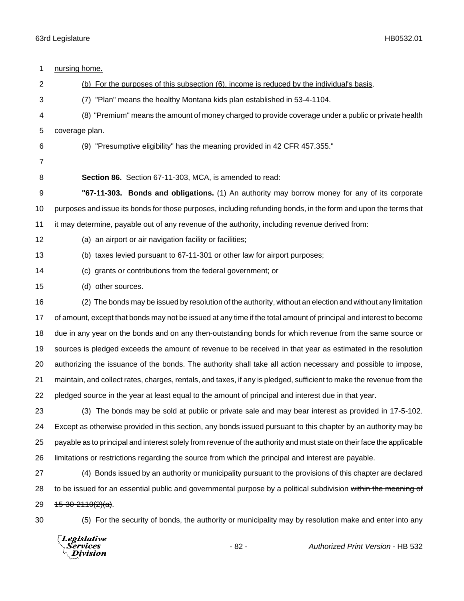| 1  | nursing home.                                                                                                         |  |  |
|----|-----------------------------------------------------------------------------------------------------------------------|--|--|
| 2  | (b) For the purposes of this subsection (6), income is reduced by the individual's basis.                             |  |  |
| 3  | (7) "Plan" means the healthy Montana kids plan established in 53-4-1104.                                              |  |  |
| 4  | (8) "Premium" means the amount of money charged to provide coverage under a public or private health                  |  |  |
| 5  | coverage plan.                                                                                                        |  |  |
| 6  | (9) "Presumptive eligibility" has the meaning provided in 42 CFR 457.355."                                            |  |  |
| 7  |                                                                                                                       |  |  |
| 8  | Section 86. Section 67-11-303, MCA, is amended to read:                                                               |  |  |
| 9  | "67-11-303. Bonds and obligations. (1) An authority may borrow money for any of its corporate                         |  |  |
| 10 | purposes and issue its bonds for those purposes, including refunding bonds, in the form and upon the terms that       |  |  |
| 11 | it may determine, payable out of any revenue of the authority, including revenue derived from:                        |  |  |
| 12 | (a) an airport or air navigation facility or facilities;                                                              |  |  |
| 13 | (b) taxes levied pursuant to 67-11-301 or other law for airport purposes;                                             |  |  |
| 14 | (c) grants or contributions from the federal government; or                                                           |  |  |
| 15 | (d) other sources.                                                                                                    |  |  |
| 16 | (2) The bonds may be issued by resolution of the authority, without an election and without any limitation            |  |  |
| 17 | of amount, except that bonds may not be issued at any time if the total amount of principal and interest to become    |  |  |
| 18 | due in any year on the bonds and on any then-outstanding bonds for which revenue from the same source or              |  |  |
| 19 | sources is pledged exceeds the amount of revenue to be received in that year as estimated in the resolution           |  |  |
| 20 | authorizing the issuance of the bonds. The authority shall take all action necessary and possible to impose,          |  |  |
| 21 | maintain, and collect rates, charges, rentals, and taxes, if any is pledged, sufficient to make the revenue from the  |  |  |
| 22 | pledged source in the year at least equal to the amount of principal and interest due in that year.                   |  |  |
| 23 | (3) The bonds may be sold at public or private sale and may bear interest as provided in 17-5-102.                    |  |  |
| 24 | Except as otherwise provided in this section, any bonds issued pursuant to this chapter by an authority may be        |  |  |
| 25 | payable as to principal and interest solely from revenue of the authority and must state on their face the applicable |  |  |
| 26 | limitations or restrictions regarding the source from which the principal and interest are payable.                   |  |  |
| 27 | (4) Bonds issued by an authority or municipality pursuant to the provisions of this chapter are declared              |  |  |
| 28 | to be issued for an essential public and governmental purpose by a political subdivision within the meaning of        |  |  |
| 29 | $+5-30-2110(2)(a)$ .                                                                                                  |  |  |
| 30 | (5) For the security of bonds, the authority or municipality may by resolution make and enter into any                |  |  |
|    |                                                                                                                       |  |  |

*Legislative*<br>Services<br>*Division*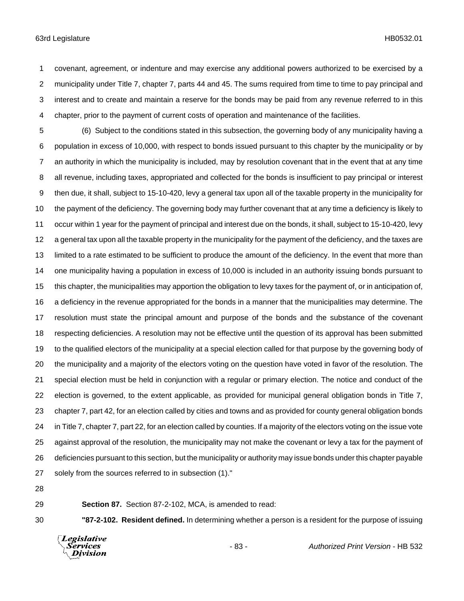covenant, agreement, or indenture and may exercise any additional powers authorized to be exercised by a municipality under Title 7, chapter 7, parts 44 and 45. The sums required from time to time to pay principal and interest and to create and maintain a reserve for the bonds may be paid from any revenue referred to in this chapter, prior to the payment of current costs of operation and maintenance of the facilities.

 (6) Subject to the conditions stated in this subsection, the governing body of any municipality having a population in excess of 10,000, with respect to bonds issued pursuant to this chapter by the municipality or by an authority in which the municipality is included, may by resolution covenant that in the event that at any time all revenue, including taxes, appropriated and collected for the bonds is insufficient to pay principal or interest then due, it shall, subject to 15-10-420, levy a general tax upon all of the taxable property in the municipality for the payment of the deficiency. The governing body may further covenant that at any time a deficiency is likely to occur within 1 year for the payment of principal and interest due on the bonds, it shall, subject to 15-10-420, levy a general tax upon all the taxable property in the municipality for the payment of the deficiency, and the taxes are limited to a rate estimated to be sufficient to produce the amount of the deficiency. In the event that more than one municipality having a population in excess of 10,000 is included in an authority issuing bonds pursuant to this chapter, the municipalities may apportion the obligation to levy taxes for the payment of, or in anticipation of, a deficiency in the revenue appropriated for the bonds in a manner that the municipalities may determine. The resolution must state the principal amount and purpose of the bonds and the substance of the covenant respecting deficiencies. A resolution may not be effective until the question of its approval has been submitted to the qualified electors of the municipality at a special election called for that purpose by the governing body of the municipality and a majority of the electors voting on the question have voted in favor of the resolution. The special election must be held in conjunction with a regular or primary election. The notice and conduct of the election is governed, to the extent applicable, as provided for municipal general obligation bonds in Title 7, chapter 7, part 42, for an election called by cities and towns and as provided for county general obligation bonds in Title 7, chapter 7, part 22, for an election called by counties. If a majority of the electors voting on the issue vote against approval of the resolution, the municipality may not make the covenant or levy a tax for the payment of deficiencies pursuant to this section, but the municipality or authority may issue bonds under this chapter payable 27 solely from the sources referred to in subsection (1)."

**Section 87.** Section 87-2-102, MCA, is amended to read:

**"87-2-102. Resident defined.** In determining whether a person is a resident for the purpose of issuing

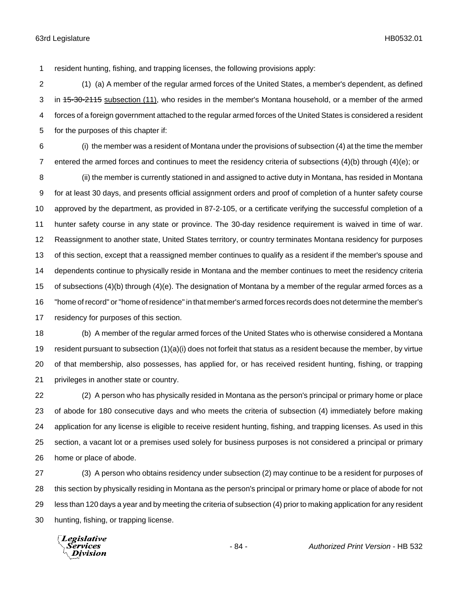resident hunting, fishing, and trapping licenses, the following provisions apply:

 (1) (a) A member of the regular armed forces of the United States, a member's dependent, as defined 3 in 45-30-2115 subsection (11), who resides in the member's Montana household, or a member of the armed forces of a foreign government attached to the regular armed forces of the United States is considered a resident for the purposes of this chapter if:

 (i) the member was a resident of Montana under the provisions of subsection (4) at the time the member entered the armed forces and continues to meet the residency criteria of subsections (4)(b) through (4)(e); or

 (ii) the member is currently stationed in and assigned to active duty in Montana, has resided in Montana for at least 30 days, and presents official assignment orders and proof of completion of a hunter safety course approved by the department, as provided in 87-2-105, or a certificate verifying the successful completion of a hunter safety course in any state or province. The 30-day residence requirement is waived in time of war. Reassignment to another state, United States territory, or country terminates Montana residency for purposes of this section, except that a reassigned member continues to qualify as a resident if the member's spouse and dependents continue to physically reside in Montana and the member continues to meet the residency criteria of subsections (4)(b) through (4)(e). The designation of Montana by a member of the regular armed forces as a "home of record" or "home of residence" in that member's armed forces records does not determine the member's residency for purposes of this section.

 (b) A member of the regular armed forces of the United States who is otherwise considered a Montana resident pursuant to subsection (1)(a)(i) does not forfeit that status as a resident because the member, by virtue of that membership, also possesses, has applied for, or has received resident hunting, fishing, or trapping privileges in another state or country.

 (2) A person who has physically resided in Montana as the person's principal or primary home or place of abode for 180 consecutive days and who meets the criteria of subsection (4) immediately before making application for any license is eligible to receive resident hunting, fishing, and trapping licenses. As used in this section, a vacant lot or a premises used solely for business purposes is not considered a principal or primary home or place of abode.

 (3) A person who obtains residency under subsection (2) may continue to be a resident for purposes of this section by physically residing in Montana as the person's principal or primary home or place of abode for not less than 120 days a year and by meeting the criteria of subsection (4) prior to making application for any resident hunting, fishing, or trapping license.

Legislative Services Division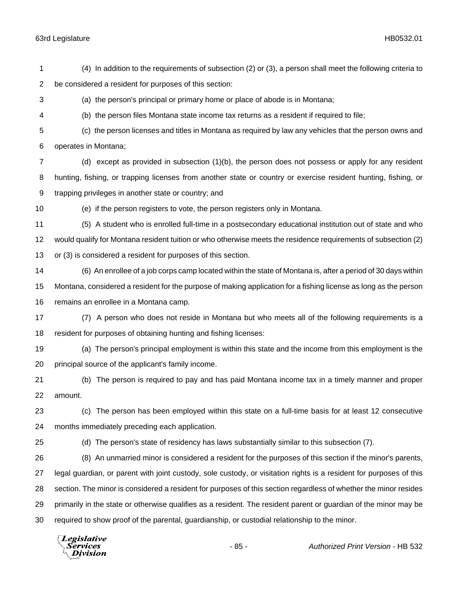**Division** 

 (4) In addition to the requirements of subsection (2) or (3), a person shall meet the following criteria to be considered a resident for purposes of this section: (a) the person's principal or primary home or place of abode is in Montana; (b) the person files Montana state income tax returns as a resident if required to file; (c) the person licenses and titles in Montana as required by law any vehicles that the person owns and operates in Montana; (d) except as provided in subsection (1)(b), the person does not possess or apply for any resident hunting, fishing, or trapping licenses from another state or country or exercise resident hunting, fishing, or trapping privileges in another state or country; and (e) if the person registers to vote, the person registers only in Montana. (5) A student who is enrolled full-time in a postsecondary educational institution out of state and who would qualify for Montana resident tuition or who otherwise meets the residence requirements of subsection (2) or (3) is considered a resident for purposes of this section. (6) An enrollee of a job corps camp located within the state of Montana is, after a period of 30 days within Montana, considered a resident for the purpose of making application for a fishing license as long as the person remains an enrollee in a Montana camp. (7) A person who does not reside in Montana but who meets all of the following requirements is a resident for purposes of obtaining hunting and fishing licenses: (a) The person's principal employment is within this state and the income from this employment is the principal source of the applicant's family income. (b) The person is required to pay and has paid Montana income tax in a timely manner and proper amount. (c) The person has been employed within this state on a full-time basis for at least 12 consecutive months immediately preceding each application. (d) The person's state of residency has laws substantially similar to this subsection (7). (8) An unmarried minor is considered a resident for the purposes of this section if the minor's parents, legal guardian, or parent with joint custody, sole custody, or visitation rights is a resident for purposes of this section. The minor is considered a resident for purposes of this section regardless of whether the minor resides primarily in the state or otherwise qualifies as a resident. The resident parent or guardian of the minor may be required to show proof of the parental, guardianship, or custodial relationship to the minor. **Legislative** Services - 85 - *Authorized Print Version* - HB 532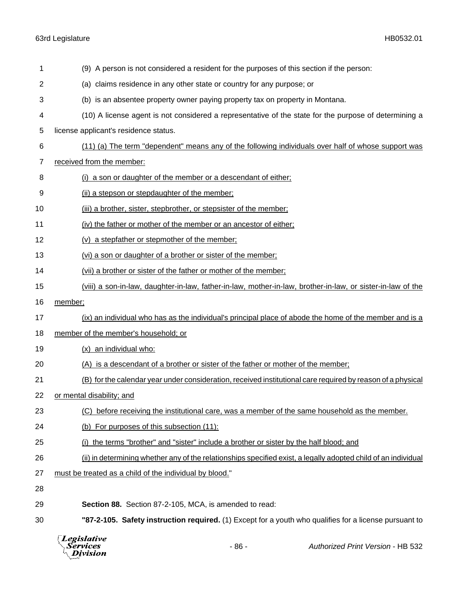| 1  | (9) A person is not considered a resident for the purposes of this section if the person:                      |  |  |
|----|----------------------------------------------------------------------------------------------------------------|--|--|
| 2  | (a) claims residence in any other state or country for any purpose; or                                         |  |  |
| 3  | (b) is an absentee property owner paying property tax on property in Montana.                                  |  |  |
| 4  | (10) A license agent is not considered a representative of the state for the purpose of determining a          |  |  |
| 5  | license applicant's residence status.                                                                          |  |  |
| 6  | (11) (a) The term "dependent" means any of the following individuals over half of whose support was            |  |  |
| 7  | received from the member:                                                                                      |  |  |
| 8  | (i) a son or daughter of the member or a descendant of either;                                                 |  |  |
| 9  | (ii) a stepson or stepdaughter of the member;                                                                  |  |  |
| 10 | (iii) a brother, sister, stepbrother, or stepsister of the member;                                             |  |  |
| 11 | (iv) the father or mother of the member or an ancestor of either;                                              |  |  |
| 12 | (v) a stepfather or stepmother of the member;                                                                  |  |  |
| 13 | (vi) a son or daughter of a brother or sister of the member;                                                   |  |  |
| 14 | (vii) a brother or sister of the father or mother of the member;                                               |  |  |
| 15 | (viii) a son-in-law, daughter-in-law, father-in-law, mother-in-law, brother-in-law, or sister-in-law of the    |  |  |
| 16 | member;                                                                                                        |  |  |
| 17 | (ix) an individual who has as the individual's principal place of abode the home of the member and is a        |  |  |
| 18 | member of the member's household; or                                                                           |  |  |
| 19 | (x) an individual who:                                                                                         |  |  |
| 20 | (A) is a descendant of a brother or sister of the father or mother of the member;                              |  |  |
| 21 | (B) for the calendar year under consideration, received institutional care required by reason of a physical    |  |  |
| 22 | or mental disability; and                                                                                      |  |  |
| 23 | (C) before receiving the institutional care, was a member of the same household as the member.                 |  |  |
| 24 | (b) For purposes of this subsection (11):                                                                      |  |  |
| 25 | (i) the terms "brother" and "sister" include a brother or sister by the half blood; and                        |  |  |
| 26 | (ii) in determining whether any of the relationships specified exist, a legally adopted child of an individual |  |  |
| 27 | must be treated as a child of the individual by blood."                                                        |  |  |
| 28 |                                                                                                                |  |  |
| 29 | Section 88. Section 87-2-105, MCA, is amended to read:                                                         |  |  |
| 30 | "87-2-105. Safety instruction required. (1) Except for a youth who qualifies for a license pursuant to         |  |  |
|    |                                                                                                                |  |  |



- 86 - *Authorized Print Version* - HB 532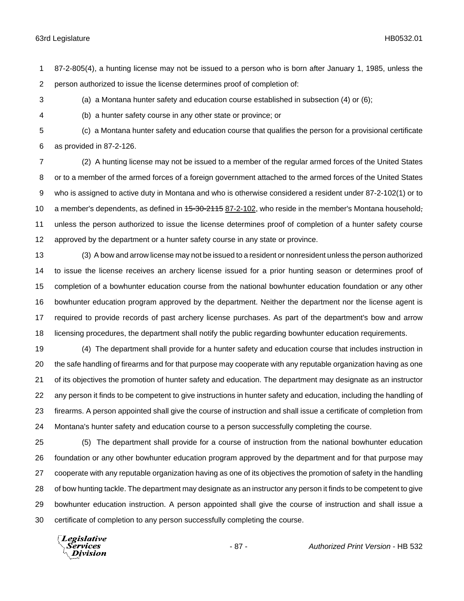87-2-805(4), a hunting license may not be issued to a person who is born after January 1, 1985, unless the person authorized to issue the license determines proof of completion of:

(a) a Montana hunter safety and education course established in subsection (4) or (6);

(b) a hunter safety course in any other state or province; or

 (c) a Montana hunter safety and education course that qualifies the person for a provisional certificate as provided in 87-2-126.

 (2) A hunting license may not be issued to a member of the regular armed forces of the United States or to a member of the armed forces of a foreign government attached to the armed forces of the United States who is assigned to active duty in Montana and who is otherwise considered a resident under 87-2-102(1) or to 10 a member's dependents, as defined in 45-30-2115 87-2-102, who reside in the member's Montana household- unless the person authorized to issue the license determines proof of completion of a hunter safety course approved by the department or a hunter safety course in any state or province.

 (3) A bow and arrow license may not be issued to a resident or nonresident unless the person authorized to issue the license receives an archery license issued for a prior hunting season or determines proof of completion of a bowhunter education course from the national bowhunter education foundation or any other bowhunter education program approved by the department. Neither the department nor the license agent is required to provide records of past archery license purchases. As part of the department's bow and arrow licensing procedures, the department shall notify the public regarding bowhunter education requirements.

 (4) The department shall provide for a hunter safety and education course that includes instruction in the safe handling of firearms and for that purpose may cooperate with any reputable organization having as one of its objectives the promotion of hunter safety and education. The department may designate as an instructor any person it finds to be competent to give instructions in hunter safety and education, including the handling of firearms. A person appointed shall give the course of instruction and shall issue a certificate of completion from Montana's hunter safety and education course to a person successfully completing the course.

 (5) The department shall provide for a course of instruction from the national bowhunter education foundation or any other bowhunter education program approved by the department and for that purpose may cooperate with any reputable organization having as one of its objectives the promotion of safety in the handling of bow hunting tackle. The department may designate as an instructor any person it finds to be competent to give bowhunter education instruction. A person appointed shall give the course of instruction and shall issue a certificate of completion to any person successfully completing the course.

Legislative *Services* **Division**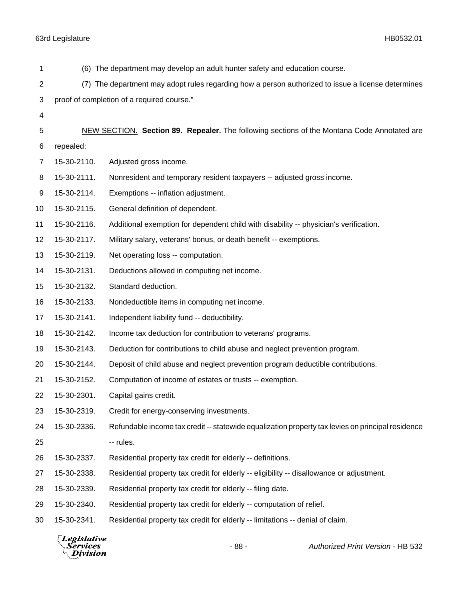| 1  |             | (6) The department may develop an adult hunter safety and education course.                        |
|----|-------------|----------------------------------------------------------------------------------------------------|
| 2  |             | (7) The department may adopt rules regarding how a person authorized to issue a license determines |
| 3  |             | proof of completion of a required course."                                                         |
| 4  |             |                                                                                                    |
| 5  |             | NEW SECTION. Section 89. Repealer. The following sections of the Montana Code Annotated are        |
| 6  | repealed:   |                                                                                                    |
| 7  | 15-30-2110. | Adjusted gross income.                                                                             |
| 8  | 15-30-2111. | Nonresident and temporary resident taxpayers -- adjusted gross income.                             |
| 9  | 15-30-2114. | Exemptions -- inflation adjustment.                                                                |
| 10 | 15-30-2115. | General definition of dependent.                                                                   |
| 11 | 15-30-2116. | Additional exemption for dependent child with disability -- physician's verification.              |
| 12 | 15-30-2117. | Military salary, veterans' bonus, or death benefit -- exemptions.                                  |
| 13 | 15-30-2119. | Net operating loss -- computation.                                                                 |
| 14 | 15-30-2131. | Deductions allowed in computing net income.                                                        |
| 15 | 15-30-2132. | Standard deduction.                                                                                |
| 16 | 15-30-2133. | Nondeductible items in computing net income.                                                       |
| 17 | 15-30-2141. | Independent liability fund -- deductibility.                                                       |
| 18 | 15-30-2142. | Income tax deduction for contribution to veterans' programs.                                       |
| 19 | 15-30-2143. | Deduction for contributions to child abuse and neglect prevention program.                         |
| 20 | 15-30-2144. | Deposit of child abuse and neglect prevention program deductible contributions.                    |
| 21 | 15-30-2152. | Computation of income of estates or trusts -- exemption.                                           |
| 22 | 15-30-2301. | Capital gains credit.                                                                              |
| 23 | 15-30-2319. | Credit for energy-conserving investments.                                                          |
| 24 | 15-30-2336. | Refundable income tax credit -- statewide equalization property tax levies on principal residence  |
| 25 |             | -- rules.                                                                                          |
| 26 | 15-30-2337. | Residential property tax credit for elderly -- definitions.                                        |
| 27 | 15-30-2338. | Residential property tax credit for elderly -- eligibility -- disallowance or adjustment.          |
| 28 | 15-30-2339. | Residential property tax credit for elderly -- filing date.                                        |
| 29 | 15-30-2340. | Residential property tax credit for elderly -- computation of relief.                              |
| 30 | 15-30-2341. | Residential property tax credit for elderly -- limitations -- denial of claim.                     |

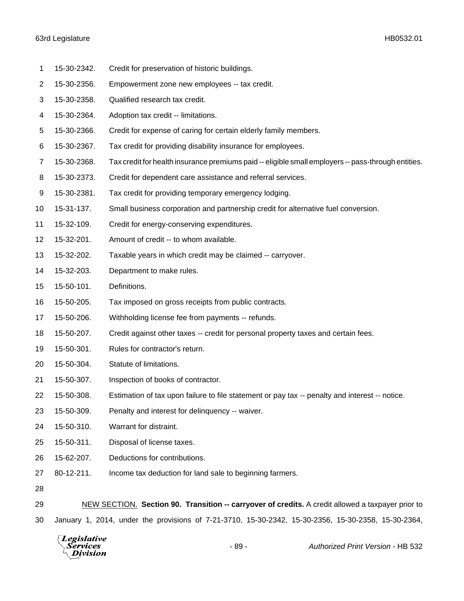- 15-30-2342. Credit for preservation of historic buildings.
- 15-30-2356. Empowerment zone new employees -- tax credit.
- 15-30-2358. Qualified research tax credit.
- 15-30-2364. Adoption tax credit -- limitations.
- 15-30-2366. Credit for expense of caring for certain elderly family members.
- 15-30-2367. Tax credit for providing disability insurance for employees.
- 15-30-2368. Tax credit for health insurance premiums paid -- eligible small employers -- pass-through entities.
- 15-30-2373. Credit for dependent care assistance and referral services.
- 15-30-2381. Tax credit for providing temporary emergency lodging.
- 15-31-137. Small business corporation and partnership credit for alternative fuel conversion.
- 15-32-109. Credit for energy-conserving expenditures.
- 15-32-201. Amount of credit -- to whom available.
- 15-32-202. Taxable years in which credit may be claimed -- carryover.
- 15-32-203. Department to make rules.
- 15-50-101. Definitions.
- 15-50-205. Tax imposed on gross receipts from public contracts.
- 15-50-206. Withholding license fee from payments -- refunds.
- 15-50-207. Credit against other taxes -- credit for personal property taxes and certain fees.
- 15-50-301. Rules for contractor's return.
- 15-50-304. Statute of limitations.
- 15-50-307. Inspection of books of contractor.
- 15-50-308. Estimation of tax upon failure to file statement or pay tax -- penalty and interest -- notice.
- 15-50-309. Penalty and interest for delinquency -- waiver.
- 15-50-310. Warrant for distraint.
- 15-50-311. Disposal of license taxes.
- 15-62-207. Deductions for contributions.
- 80-12-211. Income tax deduction for land sale to beginning farmers.
- 

 NEW SECTION. **Section 90. Transition -- carryover of credits.** A credit allowed a taxpayer prior to January 1, 2014, under the provisions of 7-21-3710, 15-30-2342, 15-30-2356, 15-30-2358, 15-30-2364,

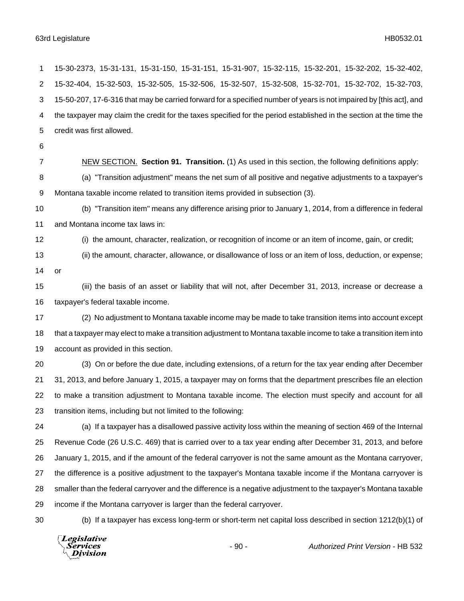15-30-2373, 15-31-131, 15-31-150, 15-31-151, 15-31-907, 15-32-115, 15-32-201, 15-32-202, 15-32-402, 15-32-404, 15-32-503, 15-32-505, 15-32-506, 15-32-507, 15-32-508, 15-32-701, 15-32-702, 15-32-703, 15-50-207, 17-6-316 that may be carried forward for a specified number of years is not impaired by [this act], and the taxpayer may claim the credit for the taxes specified for the period established in the section at the time the credit was first allowed.

NEW SECTION. **Section 91. Transition.** (1) As used in this section, the following definitions apply:

 (a) "Transition adjustment" means the net sum of all positive and negative adjustments to a taxpayer's Montana taxable income related to transition items provided in subsection (3).

 (b) "Transition item" means any difference arising prior to January 1, 2014, from a difference in federal and Montana income tax laws in:

(i) the amount, character, realization, or recognition of income or an item of income, gain, or credit;

(ii) the amount, character, allowance, or disallowance of loss or an item of loss, deduction, or expense;

or

 (iii) the basis of an asset or liability that will not, after December 31, 2013, increase or decrease a taxpayer's federal taxable income.

 (2) No adjustment to Montana taxable income may be made to take transition items into account except that a taxpayer may elect to make a transition adjustment to Montana taxable income to take a transition item into account as provided in this section.

 (3) On or before the due date, including extensions, of a return for the tax year ending after December 31, 2013, and before January 1, 2015, a taxpayer may on forms that the department prescribes file an election to make a transition adjustment to Montana taxable income. The election must specify and account for all transition items, including but not limited to the following:

 (a) If a taxpayer has a disallowed passive activity loss within the meaning of section 469 of the Internal Revenue Code (26 U.S.C. 469) that is carried over to a tax year ending after December 31, 2013, and before January 1, 2015, and if the amount of the federal carryover is not the same amount as the Montana carryover, the difference is a positive adjustment to the taxpayer's Montana taxable income if the Montana carryover is smaller than the federal carryover and the difference is a negative adjustment to the taxpayer's Montana taxable income if the Montana carryover is larger than the federal carryover.

(b) If a taxpayer has excess long-term or short-term net capital loss described in section 1212(b)(1) of

Legislative Services Division

- 90 - *Authorized Print Version* - HB 532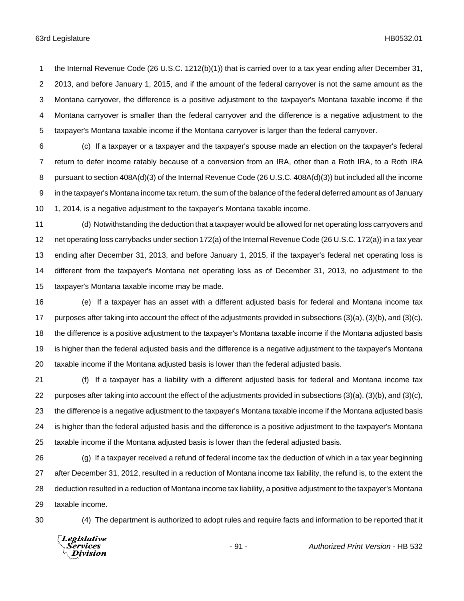the Internal Revenue Code (26 U.S.C. 1212(b)(1)) that is carried over to a tax year ending after December 31, 2013, and before January 1, 2015, and if the amount of the federal carryover is not the same amount as the Montana carryover, the difference is a positive adjustment to the taxpayer's Montana taxable income if the Montana carryover is smaller than the federal carryover and the difference is a negative adjustment to the taxpayer's Montana taxable income if the Montana carryover is larger than the federal carryover.

 (c) If a taxpayer or a taxpayer and the taxpayer's spouse made an election on the taxpayer's federal return to defer income ratably because of a conversion from an IRA, other than a Roth IRA, to a Roth IRA pursuant to section 408A(d)(3) of the Internal Revenue Code (26 U.S.C. 408A(d)(3)) but included all the income in the taxpayer's Montana income tax return, the sum of the balance of the federal deferred amount as of January 1, 2014, is a negative adjustment to the taxpayer's Montana taxable income.

 (d) Notwithstanding the deduction that a taxpayer would be allowed for net operating loss carryovers and net operating loss carrybacks under section 172(a) of the Internal Revenue Code (26 U.S.C. 172(a)) in a tax year ending after December 31, 2013, and before January 1, 2015, if the taxpayer's federal net operating loss is different from the taxpayer's Montana net operating loss as of December 31, 2013, no adjustment to the taxpayer's Montana taxable income may be made.

 (e) If a taxpayer has an asset with a different adjusted basis for federal and Montana income tax purposes after taking into account the effect of the adjustments provided in subsections (3)(a), (3)(b), and (3)(c), the difference is a positive adjustment to the taxpayer's Montana taxable income if the Montana adjusted basis is higher than the federal adjusted basis and the difference is a negative adjustment to the taxpayer's Montana taxable income if the Montana adjusted basis is lower than the federal adjusted basis.

 (f) If a taxpayer has a liability with a different adjusted basis for federal and Montana income tax purposes after taking into account the effect of the adjustments provided in subsections (3)(a), (3)(b), and (3)(c), the difference is a negative adjustment to the taxpayer's Montana taxable income if the Montana adjusted basis is higher than the federal adjusted basis and the difference is a positive adjustment to the taxpayer's Montana taxable income if the Montana adjusted basis is lower than the federal adjusted basis.

 (g) If a taxpayer received a refund of federal income tax the deduction of which in a tax year beginning after December 31, 2012, resulted in a reduction of Montana income tax liability, the refund is, to the extent the deduction resulted in a reduction of Montana income tax liability, a positive adjustment to the taxpayer's Montana taxable income.

(4) The department is authorized to adopt rules and require facts and information to be reported that it

Legislative *Services* **Division**